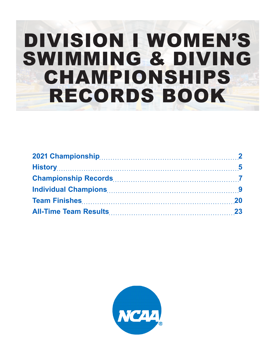# DIVISION I WOMEN'S SWIMMING & DIVING CHAMPIONSHIPS RECORDS BOOK

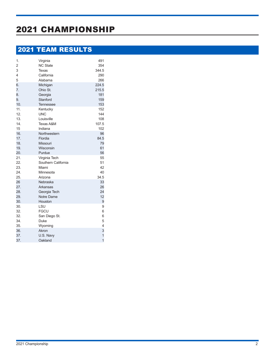# 2021 CHAMPIONSHIP

# 2021 TEAM RESULTS

| Virginia            | 491                     |
|---------------------|-------------------------|
| <b>NC State</b>     | 354                     |
| Texas               | 344.5                   |
| California          | 290                     |
| Alabama             | 266                     |
| Michigan            | 224.5                   |
| Ohio St.            | 215.5                   |
| Georgia             | 181                     |
| Stanford            | 159                     |
| Tennessee           | 153                     |
| Kentucky            | 152                     |
| <b>UNC</b>          | 144                     |
| Louisville          | 108                     |
| Texas A&M           | 107.5                   |
| Indiana             | 102                     |
| Northwestern        | 96                      |
| Flordia             | 84.5                    |
| <b>Missouri</b>     | 79                      |
| Wisconsin           | 61                      |
| Purdue              | 56                      |
| Virginia Tech       | 55                      |
| Southern California | 51                      |
| Miami               | 42                      |
| Minnesota           | 40                      |
| Arizona             | 34.5                    |
| Nebraska            | 33                      |
| Arkansas            | 26                      |
| Georgia Tech        | 24                      |
| Notre Dame          | 12                      |
| Houston             | 9                       |
| LSU                 | 9                       |
| <b>FGCU</b>         | 6                       |
| San Diego St.       | 6                       |
| Duke                | 5                       |
| Wyoming             | $\overline{\mathbf{4}}$ |
| Akron               | 3                       |
| U.S. Navy           | $\mathbf{1}$            |
| Oakland             | $\overline{1}$          |
|                     |                         |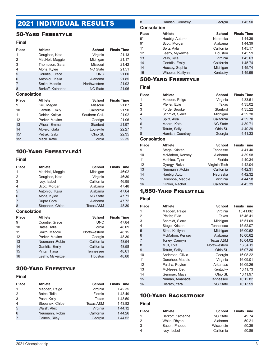# 2021 INDIVIDUAL RESULTS

### 50-Yard Freestyle

#### **Final**

| <b>Place</b>       | <b>Athlete</b>     | <b>School</b>   | <b>Finals Time</b> |
|--------------------|--------------------|-----------------|--------------------|
| 1                  | Douglass, Kate     | Virginia        | 21.13              |
| 2                  | MacNeil, Maggie    | Michigan        | 21.17              |
| 3                  | Thompson, Sarah    | Missouri        | 21.42              |
| 4                  | Alons, Kylee       | <b>NC State</b> | 21.51              |
| 5                  | Countie, Grace     | <b>UNC</b>      | 21.60              |
| 6                  | Antoniou, Kalia    | Alabama         | 21.85              |
| 7                  | Smith, Maddie      | Northwestern    | 21.92              |
| 8                  | Berkoff, Katharine | <b>NC State</b> | 21.96              |
| <b>Consolation</b> |                    |                 |                    |
| <b>Place</b>       | Athlete            | <b>School</b>   | <b>Finals Time</b> |
| 9                  | Keil, Megan        | Missouri        | 21.87              |
| 10                 | Gantrils, Emily    | California      | 21.90              |
| 11                 | Dobler, Kaitlyn    | Southern Cali.  | 21.92              |
| 12                 | Parker, Maxine     | Georiga         | 21.96              |
| 13                 | Wheal, Emma        | Stanford        | 21.97              |
| 14                 | Albiero, Gabi      | Louisville      | 22.27              |
| $15*$              | Petrak, Gabi       | Ohio St.        | 22.35              |
|                    |                    |                 |                    |

### 100-Yard Freestyle41

#### **Final**

| <b>Place</b>       | <b>Athlete</b>  | <b>School</b>   | <b>Finals Time</b> |
|--------------------|-----------------|-----------------|--------------------|
| 1                  | MacNeil, Maggie | Michigan        | 46:02              |
| 2                  | Douglass, Kate  | Virginia        | 46:30              |
| 3                  | Ivey, Isabel    | California      | 46.95              |
| 4                  | Scott, Morgan   | Alabama         | 47.48              |
| 5                  | Antoniou, Kalia | Alabama         | 47.64              |
| 6                  | Alons, Kylee    | <b>NC State</b> | 47.71              |
| 7                  | Dupre Cora      | Alabama         | 47.72              |
| 8                  | Stepanek, Chloe | Texas A&M       | 48.30              |
| <b>Consolation</b> |                 |                 |                    |
|                    |                 |                 |                    |
| <b>Place</b>       | <b>Athlete</b>  | <b>School</b>   | <b>Finals Time</b> |
| 9                  | Countie, Grace  | <b>UNC</b>      | 47.84              |
| 10                 | Bates, Talia    | Flordia         | 48.09              |
| 11                 | Smith, Maddie   | Northwestern    | 48.15              |
| 12                 | Parker, Maxine  | Georgia         | 48.30              |
| 13                 | Neumann, Robin  | California      | 48.54              |
| 14                 | Gantriis, Emily | California      | 48.58              |
| 15                 | Pintar, Tjasa   | Tennessee       | 48.61              |

### 200-Yard Freestyle

#### **Final**

| <b>Place</b>   | <b>Athlete</b>  | <b>School</b> | <b>Finals Time</b> |
|----------------|-----------------|---------------|--------------------|
| $\mathbf{1}$   | Madden, Paige   | Virginia      | 1:42.35            |
| 2              | Bates, Talia    | Flordia       | 1:43.49            |
| 3              | Pash, Kelly     | Texas         | 1:43.50            |
| $\overline{4}$ | Stepanek, Chloe | Texas A&M     | 1:43.82            |
| 5              | Walsh, Alex     | Virginia      | 1:44.12            |
| 6              | Neumann, Robin  | California    | 1:44.26            |
| 7              | Gaines, Riley   | Georgia       | 1:44.52            |

| 8                  | Harnish, Countrey | Georgia       | 1:45.50            |
|--------------------|-------------------|---------------|--------------------|
| <b>Consolation</b> |                   |               |                    |
| <b>Place</b>       | <b>Athlete</b>    | <b>School</b> | <b>Finals Time</b> |
| $9*$               | Haebig, Autumn    | Nebraska      | 1:44.39            |
| $9*$               | Scott, Morgan     | Alabama       | 1:44.39            |
| 11                 | Spitz, Ayla       | California    | 1:45.17            |
| 12                 | Leehy, Mykenzie   | Houston       | 1:45.59            |
| 13                 | Valls, Kyla       | Virginia      | 1:45.63            |
| 14                 | Gantriis, Emily   | California    | 1:45.74            |
| 14                 | Housey, Sophie    | Michigan      | 1:45.74            |
| 16                 | Wheeler, Kaitlynn | Kentucky      | 1:45.99            |
|                    |                   |               |                    |

### 500-Yard Freestyle

#### **Final**

| <b>Place</b>       | <b>Athlete</b>    | <b>School</b>   | <b>Finals Time</b> |
|--------------------|-------------------|-----------------|--------------------|
| 1                  | Madden, Paige     | Virginia        | 4:33.61            |
| 2                  | Pfeifer, Evie     | Texas           | 4:35.02            |
| 3                  | Forde, Brooke     | Stanford        | 4:35.22            |
| 4                  | Schmidt, Sierra   | Michigan        | 4:39.30            |
| 5                  | Spitz, Alya       | California      | 4:39.70            |
| 6                  | Moore, Kate       | <b>NC State</b> | 4:39.71            |
| 7                  | Tafuto, Sally     | Ohio St.        | 4:40.29            |
| 8                  | Harnish, Countrey | Georgia         | 4:41.33            |
| <b>Consolation</b> |                   |                 |                    |
|                    |                   |                 |                    |
| <b>Place</b>       | <b>Athlete</b>    | <b>School</b>   | <b>Finals Time</b> |
| 9                  | Stege, Kristen    | <b>Tennesse</b> | 4:41.40            |
| 10                 | McMahon, Kensey   | Alabama         | 4:39.98            |
| 11                 | Mathieu, Tylor    | Florida         | 4:40.34            |
| 12                 | Gyorgy, Reka      | Virginia Tech   | 4:42.04            |
| 13                 | Neumann, Robin    | California      | 4:42.31            |
| 14                 | Haebig, Autumn    | Nebraska        | 4:42.32            |
| 15                 | Donohoe, Maddie   | Viriginia       | 4:44.58            |
| 16                 | Klinker, Rachel   | California      | 4:45.39            |

### 1,650-Yard Freestyle

#### **Final**

| Place | <b>Athlete</b>   | <b>School</b>    | <b>Finals Time</b> |
|-------|------------------|------------------|--------------------|
| 1     | Madden, Paige    | Virginia         | 15.41.86:          |
| 2     | Pfeifer, Evie    | Texas            | 15:46.41           |
| 3     | Schmidt, Sierra  | Michigan         | 15:51.09           |
| 4     | Stege, Kristen   | <b>Tennessee</b> | 15:52.07           |
| 5     | Sims, Kaitlynn   | Michigan         | 16:00.62           |
| 6     | McMahon, Kensey  | Alabama          | 16:00.62           |
| 7     | Toney, Camryn    | Texas A&M        | 16:04.02           |
| 8     | Mull, Lola       | Northwestern     | 16:04.11           |
| 9     | Tafuto, Sallty   | Ohio St.         | 16:07.36           |
| 10    | Anderson, Olivia | Georgia          | 16:08.22           |
| 11    | Donohoe, Maddie  | Virginia         | 16:09.01           |
| 12    | Palsha, Peyton   | Arkansas         | 16:09.26           |
| 13    | McNeese, Beth    | Kentucky         | 16:11.73           |
| 14    | Geringer, Maya   | Ohio St.         | 16:11.97           |
| 15    | Numan, Amanada   | <b>Tennessee</b> | 16:12.82           |
| 16    | Hierath, Yara    | <b>NC State</b>  | 16:13.59           |

#### 100-Yard Backstroke

| <b>Place</b> | <b>Athlete</b>     | School          | <b>Finals Time</b> |
|--------------|--------------------|-----------------|--------------------|
| 1            | Berkoff, Katherine | <b>NC State</b> | 49.74              |
| 2            | White, Rhyan       | Alabama         | 50.21              |
| 3            | Bacon. Phoebe      | Wisconsin       | 50.39              |
| 4            | Ivey, Isebel       | California      | 50.85              |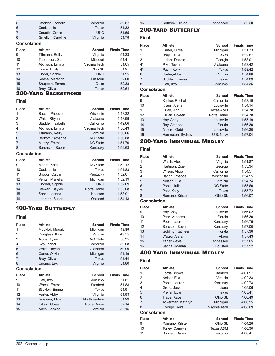| 5            | Stadden, Isabelle  | California    | 50.87              |  |  |
|--------------|--------------------|---------------|--------------------|--|--|
| 6            | Cook, Julia        | Texas         | 51.32              |  |  |
| 7            | Countie, Grace     | <b>UNC</b>    | 51.55              |  |  |
| 8            | Gmelich, Caroline  | Virginia      | 51.78              |  |  |
|              | <b>Consolation</b> |               |                    |  |  |
| <b>Place</b> | Athlete            | <b>School</b> | <b>Finals Time</b> |  |  |
| 9            | Tiltmann, Reilly   | Virginia      | 51.33              |  |  |
|              |                    |               |                    |  |  |
| 10           | Thompson, Sarah    | Missouri      | 51.41              |  |  |
| 11           | Atkinson, Emma     | Virginia Tech | 51.65              |  |  |
| 12           | Crane, Emily       | Ohio St.      | 51.91              |  |  |
| 13           | Linder, Sophie     | <b>UNC</b>    | 51.95              |  |  |

14 Reese, Meredith Missouri 52.00<br>
14 Shuppert, Emma 14 Duke 52.38

#### Shuppert, Emma Duke 52.38 Bray, Olivia 200-Yard Backstroke

#### **Final**

| <b>Place</b>       | <b>Athlete</b>     | <b>School</b>   | <b>Finals Time</b> |
|--------------------|--------------------|-----------------|--------------------|
| 1                  | Bacon, Phoebe      | Wisonsin        | 1:48.32            |
| 2                  | White, Rhyan       | Alabama         | 1:48.99            |
| 3                  | Stadden, Isabelle  | California      | 1:49.66            |
| 4                  | Atkinson, Emma     | Virginia Tech   | 1:50.43            |
| 5                  | Tiltmann, Reilly   | Virginia        | 1:50.66            |
| 6                  | Berkoff, Katharine | <b>NC State</b> | 1:50.88            |
| 7                  | Muzzy, Emma        | <b>NC State</b> | 1:51.70            |
| 8                  | Sorenson, Sophie   | Kentucky        | 1:52.63            |
| <b>Consolation</b> |                    |                 |                    |
|                    |                    |                 |                    |
| <b>Place</b>       | Athlete            | School          | <b>Finals Time</b> |
| 9                  | Moore, Kate        | <b>NC State</b> | 1:52.12            |
| 10                 | Cook, Julia        | Texas           | 1:51.83            |
| 11                 | Brooks, Caitlin    | Kentucky        | 1:52.01            |
| 12                 | Venter, Mariella   | Michigan        | 1:52.19            |
| 13                 | Lindner, Sophie    | <b>UNC</b>      | 1:52.69            |
| 14                 | Stewart, Bayley    | Notre Dame      | 1:53.08            |
| 15                 | Sacha, Ioanna      | Houston         | 1:53.91            |
| 16                 | Lagrand, Susan     | Oakland         | 1:54.13            |

### 100-Yard Butterfly

#### **Final**

| <b>Place</b>       | <b>Athlete</b>  | <b>School</b>   | <b>Finals Time</b> |
|--------------------|-----------------|-----------------|--------------------|
| 1                  | MacNeil, Maggie | Michigan        | 48.89              |
| 2                  | Douglass, Kate  | Virginia        | 49.55              |
| 3                  | Alons, Kylee    | <b>NC State</b> | 50.35              |
| 4                  | Ivey, Isabel    | California      | 50.68              |
| 5                  | White, Rhyan    | Alabama         | 50.99              |
| 6                  | Carter, Olivia  | Michigan        | 51.19              |
| 7                  | Bray, Olivia    | <b>Texas</b>    | 51.44              |
| 8                  | Cuomo, Lexi     | Virginia        | 51.80              |
| <b>Consolation</b> |                 |                 |                    |
| <b>Place</b>       | <b>Athlete</b>  | School          | <b>Finals Time</b> |
| 9                  | Gati, Izzy      | Kentucky        | 51.81              |
| 10                 | Wheal, Emma     | Stanford        | 51.83              |
| 11                 | Sticklen, Emma  | Texas           | 51.91              |
| 12                 | Harter, Abby    | Virginia        | 51.93              |
| 13                 | Guevara, Miriam | Northwestern    | 51.99              |
| 14                 | Gillain, Coleen | Notre Dame      | 52.14              |
| 15                 | Nava, Jessica   | Virginia        | 52.15              |

16 Rothrock, Trude Tennessee 52.20

### 200-Yard Butterfly

#### **Final**

| Place              | <b>Athlete</b>     | <b>School</b> | <b>Finals Time</b> |
|--------------------|--------------------|---------------|--------------------|
| 1                  | Carter, Olivia     | Michigan      | 1:51.33            |
| $\overline{2}$     | Bray, Olivia       | Texas         | 1:52.87            |
| 3                  | Luther, Dakota     | Georgia       | 1:53.01            |
| $4^*$              | Pike, Taylor       | Alabama       | 1:53.42            |
| $4^*$              | Pash, Kelly        | <b>Texas</b>  | 1:53.42            |
| 6                  | Harter, Abby       | Virginia      | 1:54.86            |
| 7                  | Sticklen, Emma     | <b>Texas</b>  | 1:54.09            |
| 8                  | Gati, Izzy         | Kentucky      | 1:54.35            |
| <b>Consolation</b> |                    |               |                    |
| <b>Place</b>       | <b>Athlete</b>     | <b>School</b> | <b>Finals Time</b> |
| 9                  | Klinker, Rachel    | California    | 1:53.19            |
| 10                 | Kraus, Alena       | Louisville    | 1:54.14            |
| 11                 | Quah, Jing         | Texas A&M     | 1:54.78            |
| 12                 | Gillian, Coleen    | Notre Dame    | 1:54.78            |
| 13                 | Hay, Abby          | Louisville    | 1:55.19            |
| 14                 | Ray, Amanda        | Florida       | 1:56.30            |
| 15                 | Albiero, Gabi      | Louisville    | 1:56.30            |
| 16                 | Harrington, Sydney | U.S. Navy     | 1:57.04            |

### 200-Yard Individual Medley

#### **Final**

| Place              | <b>Athlete</b>    | <b>School</b>    | <b>Finals Time</b> |
|--------------------|-------------------|------------------|--------------------|
| 1                  | Walsh, Alex       | Virginia         | 1:51.87            |
| $\overline{2}$     | Hartman, Zoie     | Georgia          | 1:53.34            |
| 3                  | Wilson, Alicia    | California       | 1:54.51            |
| 4                  | Bacon, Pheobe     | Wisconsin        | 1:54.55            |
| 5                  | Nelson, Ella      | Virginia         | 1:54.74            |
| 6                  | Poole, Julia      | <b>NC State</b>  | 1:55.60            |
| $\overline{7}$     | Pash, Kelly       | Texas            | 1:55.72            |
| 8                  | Romano, Kristen   | Ohio St.         | 1:56.07            |
| <b>Consolation</b> |                   |                  |                    |
| Place              | <b>Athlete</b>    | <b>School</b>    | <b>Finals Time</b> |
| 9                  | Hay, Abby         | Louisville       | 1:56.02            |
| 10                 | Pearl, Vanessa    | Flordia          | 1:56.30            |
| 11                 | Poole, Lauren     | Kentucky         | 1:56.75            |
| 12                 | Soreson, Sophie   | Kentucky         | 1:57.00            |
| 13                 | Golding, Kathleen | Florida          | 1:57.36            |
| 14                 | Watson, Sarah     | Akron            | 1:57.43            |
| 15                 | Yager, Alexis     | <b>Tennessee</b> | 1:57.65            |
| 16                 | Sacha, Joanna     | Houston          | 1:57.92            |

### 400-Yard Individual Medley

| Place              | <b>Athlete</b>    | <b>School</b> | <b>Finals Time</b> |
|--------------------|-------------------|---------------|--------------------|
| 1                  | Forde, Brooke     | Stanford      | 4:01.57            |
| 2                  | Nelson.Ella       | Virginia      | 4:02.33            |
| 3                  | Poole, Lauren     | Kentucky      | 4:02.73            |
| 4                  | Grote, Josie      | Indiana       | 4:05.06            |
| 5                  | Pfeifer, Evie     | Texas         | 4:05.41            |
| 6                  | Trace, Katie      | Ohio St.      | 4:06.49            |
| 7                  | Ackerman, Kathryn | Michigan      | 4:06.95            |
| 8                  | Gyorgy, Reka      | Virginia Tech | 4:08.69            |
| <b>Consolation</b> |                   |               |                    |
| Place              | <b>Athlete</b>    | <b>School</b> | <b>Finals Time</b> |
| 9                  | Romano, Kristen   | Ohio St.      | 4:04.28            |
| 10                 | Toney, Camryn     | Texas A&M     | 4:06.30            |
| 11                 | Bonnett, Bailey   | Kentucky      | 4:06.41            |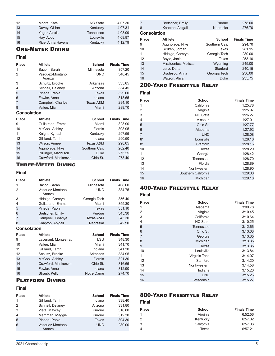| 12<br>13<br>14<br>15 | Moore, Kate<br>Davey, Gillian<br>Yager, Alexis<br>Hay, Abby | <b>NC State</b><br>Kentucky<br><b>Tennessee</b><br>Louisville | 4:07.30<br>4:07.31<br>4:08.09<br>4:08.87 |
|----------------------|-------------------------------------------------------------|---------------------------------------------------------------|------------------------------------------|
| 16                   | Rice, Anna Havens                                           | Kentucky                                                      | 4:12.79                                  |
|                      |                                                             |                                                               |                                          |

### One-Meter Diving

#### **Final**

| <b>Place</b>       | <b>Athlete</b>             | <b>School</b> | <b>Finals Time</b> |
|--------------------|----------------------------|---------------|--------------------|
| 1                  | Bacon, Sarah               | Minnesota     | 357.20             |
| 2                  | Vazquez-Montano,<br>Aranza | <b>UNC</b>    | 348.45             |
| 3                  | Schultz, Brooke            | Arkansas      | 335.85             |
| 4                  | Schnell, Delaney           | Arizona       | 334.45             |
| 5                  | Pineda, Paola              | Texas         | 329.00             |
| 6                  | Fowler, Anne               | Indiana       | 318.65             |
|                    | Campbell, Charlye          | Texas A&M     | 294.10             |
| 8                  | Vallee, Mia                | Miami         | 289.70             |
| <b>Consolation</b> |                            |               |                    |
| <b>Place</b>       | <b>Athlete</b>             | School        | <b>Finals Time</b> |
|                    |                            |               |                    |

| 9  | Gullstrand, Emma    | Miami          | 323.90 |
|----|---------------------|----------------|--------|
| 10 | McCool, Ashley      | Flordia        | 308.95 |
| 11 | Knight, Kyndal      | Kentucky       | 297.55 |
| 12 | Gilliland, Tarrin   | Indiana        | 290.50 |
| 13 | Wilson, Aimee       | Texas A&M      | 298.05 |
| 14 | Agunbiade, Nike     | Southern Cali. | 282.40 |
| 15 | Pullinger, Maddison | <b>Duke</b>    | 275.25 |
| 16 | Crawford, Mackenzie | Ohio St.       | 273.40 |

### Three-Meter Diving

#### **Final**

| <b>Place</b>       | <b>Athlete</b>             | <b>School</b> | <b>Finals Time</b> |
|--------------------|----------------------------|---------------|--------------------|
| 1                  | Bacon, Sarah               | Minnesota     | 408.60             |
| 2                  | Vazquez-Montano,<br>Aranza | <b>UNC</b>    | 384.75             |
| 3                  | Hidalgo, Camryn            | Georgia Tech  | 356.40             |
| 4                  | Gullstrand, Emma           | Miami         | 355.30             |
| 5                  | Pineda, Paola              | <b>Texas</b>  | 351.10             |
| 6                  | Bretscher, Emily           | Purdue        | 345.30             |
| 7                  | Campbell, Charlye          | Texas A&M     | 343.30             |
| 8                  | Knaptop, Abigail           | Nebraska      | 342.90             |
| <b>Consolation</b> |                            |               |                    |
| <b>Place</b>       | <b>Athlete</b>             | <b>School</b> | <b>Finals Time</b> |
| 9                  | Lavenant, Montserrat       | LSU           | 348.30             |
| 10                 | Vallee, Mia                | Miami         | 341.70             |
| 11                 | Gilliland, Tarrin          | Indiana       | 341.30             |
| 12                 | Schultz, Brooke            | Arkansas      | 334.95             |
| 13                 | McCool, Ashley             | Flordia       | 321.30             |
| 14                 | Crawford, Mackenzie        | Ohio St.      | 316.65             |
| 15                 | Fowler, Anne               | Indiana       | 312.90             |
| 16                 | Straub, Kelly              | Notre Dame    | 274.70             |

### Platform Diving

#### **Final**

| <b>Place</b>  | Athlete                    | School       | <b>Finals Time</b> |
|---------------|----------------------------|--------------|--------------------|
| 1             | Gilliland, Tarrin          | Indiana      | 338.40             |
| $\mathcal{P}$ | Schnell, Delaney           | Arizona      | 331.80             |
| 3             | Vieta, Maycey              | Purdue       | 316.80             |
| 4             | Merriman, Maggie           | Purdue       | 312.30             |
| 5             | Pineda, Paola              | <b>Texas</b> | 304.30             |
| 6             | Vazquez-Montano,<br>Aranza | <b>UNC</b>   | 280.00             |

| 7                  | Bretscher, Emily     | Purdue         | 278.00             |
|--------------------|----------------------|----------------|--------------------|
| 8                  | Knapton, Abigail     | Nebraska       | 276.70             |
| <b>Consolation</b> |                      |                |                    |
| <b>Place</b>       | <b>Athlete</b>       | School         | <b>Finals Time</b> |
| 9                  | Agunbiade, Nike      | Southern Cali. | 294.70             |
| 10                 | Skilken, Jordan      | Texas          | 281.15             |
| 11                 | Hidalgo, Camryn      | Georgia Tech   | 280.00             |
| 12                 | Boyle, Janie         | Texas          | 253.10             |
| 13                 | Mirafuentes, Melissa | Wyoming        | 245.00             |
| 14                 | Lenz, Daria          | Stanford       | 240.15             |
| 15                 | Bradescu, Anna       | Georgia Tech   | 236.00             |
| 16                 | Watson, Aliyah       | Duke           | 235.75             |

### 200-Yard Freestyle Relay

#### **Final**

| <b>Place</b>   | <b>School</b>       | <b>Finals Time</b> |
|----------------|---------------------|--------------------|
| 1              | California          | 1:25.78            |
| $\overline{2}$ | Virginia            | 1:25.97            |
| 3              | <b>NC State</b>     | 1:26.27            |
| 4              | Missouri            | 1:27.01            |
| 5              | Ohio St.            | 1:27.77            |
| 6              | Alabama             | 1:27.92            |
| 7              | <b>UNC</b>          | 1:28.08            |
| $8*$           | Louisville          | 1:28.16            |
| $8*$           | Stanford            | 1:28.16            |
| 10             | Texas               | 1:28.29            |
| 11             | Georgia             | 1:28.42            |
| 12             | <b>Tennessee</b>    | 1:28.70            |
| 13             | Flordia             | 1:28.89            |
| 14             | Northwestern        | 1:28.90            |
| 15             | Southern California | 1:29:00            |
| 16             | Michigan            | 1:29.18            |

### 400-Yard Freestyle Relay

#### **Final**

| <b>Place</b> | <b>School</b>    | <b>Finals Time</b> |
|--------------|------------------|--------------------|
| 1            | Alabama          | 3:09.78            |
| 2            | Virginia         | 3:10.45            |
| 3            | California       | 3:10.64            |
| 4            | <b>NC State</b>  | 3:10.25            |
| 5            | <b>Tennessee</b> | 3:12.66            |
| 6            | Ohio St.         | 3:13.03            |
| 7            | Georgia          | 3:13.35            |
| 8            | Michigan         | 3:13.35            |
| 9            | Texas            | 3:13.35            |
| 10           | Louisville       | 3:13.84            |
| 11           | Virginia Tech    | 3:14.07            |
| 12           | Stanford         | 3:14.20            |
| 13           | Northwestern     | 3:14.58            |
| 14           | Indiana          | 3:15.20            |
| 15           | <b>UNC</b>       | 3:15.26            |
| 16           | Wisconsin        | 3:15.27            |

### 800-Yard Freestyle Relay

| Place | <b>School</b> | <b>Finals Time</b> |
|-------|---------------|--------------------|
|       |               |                    |
| 1     | Virginia      | 6:52.56            |
| 2     | Kentucky      | 6:57.02            |
| 3     | California    | 6:57.06            |
| 4     | Texas         | 6:57.21            |
|       |               |                    |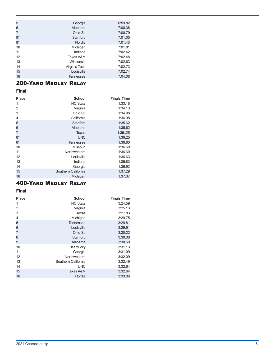| 5    | Georgia          | 6:59.82 |
|------|------------------|---------|
| 6    | Alabama          | 7:00.38 |
| 7    | Ohio St.         | 7:00.79 |
| $8*$ | Stanford         | 7:01.05 |
| $8*$ | Flordia          | 7:01.43 |
| 10   | Michigan         | 7:01.81 |
| 11   | Indiana          | 7:02.42 |
| 12   | Texas A&M        | 7:02.48 |
| 13   | Wisconsin        | 7:02.63 |
| 14   | Virginia Tech    | 7:02.73 |
| 15   | Louisville       | 7:02.74 |
| 16   | <b>Tennessee</b> | 7:04.08 |

### 200-Yard Medley Relay

#### **Final**

| <b>Place</b> | <b>School</b>       | <b>Finals Time</b> |
|--------------|---------------------|--------------------|
| 1            | <b>NC State</b>     | 1:33.18            |
| 2            | Virginia            | 1:34.13            |
| 3            | Ohio St.            | 1:34.98            |
| 4            | California          | 1:34.98            |
| 5            | Stanford            | 1:35.62            |
| 6            | Alabama             | 1:35.62            |
| 7            | Texas               | 1:3525             |
| $8*$         | <b>UNC</b>          | 1:36.25            |
| $8*$         | <b>Tennessee</b>    | 1:36.60            |
| 10           | Missouri            | 1:36.60            |
| 11           | Northwestern        | 1:36.60            |
| 12           | Louisville          | 1:36.63            |
| 13           | Indiana             | 1:36.83            |
| 14           | Georgia             | 1:36.92            |
| 15           | Southern California | 1:37.29            |
| 16           | Michigan            | 1:37.37            |

### 400-Yard Medley Relay

| <b>Place</b> | <b>School</b>       | <b>Finals Time</b> |
|--------------|---------------------|--------------------|
| 1            | <b>NC State</b>     | 3:24.59            |
| 2            | Virginia            | 3:25.13            |
| 3            | Texas               | 3:27.83            |
| 4            | Michigan            | 3:29.75            |
| 5            | <b>Tennessee</b>    | 3:29.81            |
| 6            | Louisville          | 3:29.91            |
| 7            | Ohio St.            | 3:30.22            |
| 8            | Stanford            | 3:30.36            |
| 9            | Alabama             | 3:30.69            |
| 10           | Kentucky            | 3:31.13            |
| 11           | Georgia             | 3:31.99            |
| 12           | Northwestern        | 3:32.09            |
| 13           | Southern California | 3:32.49            |
| 14           | <b>UNC</b>          | 3:32.64            |
| 15           | Texas A&M           | 3:32.64            |
| 16           | Flordia             | 3:33.06            |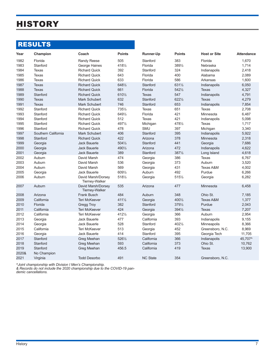# **HISTORY**

## RESULTS

| Year         | Champion            | Coach                                       | <b>Points</b>    | Runner-Up           | <b>Points</b>    | <b>Host or Site</b> | <b>Attendance</b> |
|--------------|---------------------|---------------------------------------------|------------------|---------------------|------------------|---------------------|-------------------|
| 1982<br>1983 | Florida<br>Stanford | Randy Reese<br>George Haines                | 505<br>4181/2    | Stanford<br>Florida | 383<br>3891/2    | Florida<br>Nebraska | 1,670<br>1,714    |
| 1984         | Texas               | <b>Richard Quick</b>                        | 392              | Stanford            | 324              | Indianapolis        | 2,418             |
| 1985         | <b>Texas</b>        | <b>Richard Quick</b>                        | 643              | Florida             | 400              | Alabama             | 2,089             |
| 1986         | Texas               | <b>Richard Quick</b>                        | 633              | Florida             | 586              | Arkansas            | 1,600             |
| 1987         | <b>Texas</b>        | <b>Richard Quick</b>                        | 6481/2           | Stanford            | 6311/2           | Indianapolis        | 6,050             |
| 1988         | <b>Texas</b>        | <b>Richard Quick</b>                        | 661              | Florida             | $542\frac{1}{2}$ | <b>Texas</b>        | 4,327             |
| 1989         | Stanford            | <b>Richard Quick</b>                        | 6101/2           | <b>Texas</b>        | 547              | Indianapolis        | 4,791             |
| 1990         | <b>Texas</b>        | <b>Mark Schubert</b>                        | 632              | Stanford            | $622\frac{1}{2}$ | <b>Texas</b>        | 4,279             |
| 1991         | <b>Texas</b>        | Mark Schubert                               | 746              | Stanford            | 653              | Indianapolis        | 7,854             |
| 1992         | Stanford            | <b>Richard Quick</b>                        | 7351/2           | <b>Texas</b>        | 651              | Texas               | 2,708             |
| 1993         | Stanford            | <b>Richard Quick</b>                        | 6491/2           | Florida             | 421              | Minnesota           | 6,487             |
| 1994         | Stanford            | <b>Richard Quick</b>                        | 512              | Texas               | 421              | Indianapolis        | 5,098             |
| 1995         | Stanford            | <b>Richard Quick</b>                        | 4971/2           | Michigan            | 4781/2           | <b>Texas</b>        | 1,717             |
| 1996         | Stanford            | <b>Richard Quick</b>                        | 478              | <b>SMU</b>          | 397              | Michigan            | 3,340             |
| 1997         | Southern California | <b>Mark Schubert</b>                        | 406              | Stanford            | 395              | Indianapolis        | 5,922             |
| 1998         | Stanford            | <b>Richard Quick</b>                        | 422              | Arizona             | 378              | Minnesota           | 2,318             |
| 1999         | Georgia             | <b>Jack Bauerle</b>                         | $504\frac{1}{2}$ | Stanford            | 441              | Georgia             | 7,686             |
| 2000         | Georgia             | <b>Jack Bauerle</b>                         | 4901/2           | Arizona             | 472              | Indianapolis        | 4,622             |
| 2001         | Georgia             | <b>Jack Bauerle</b>                         | 389              | Stanford            | $387\frac{1}{2}$ | Long Island         | 4,618             |
| 2002         | Auburn              | David Marsh                                 | 474              | Georgia             | 386              | Texas               | 6,767             |
| 2003         | Auburn              | David Marsh                                 | 536              | Georgia             | 373              | Auburn              | 3,520             |
| 2004         | Auburn              | David Marsh                                 | 569              | Georgia             | 431              | Texas A&M           | 4,002             |
| 2005         | Georgia             | <b>Jack Bauerle</b>                         | 6091/2           | Auburn              | 492              | Purdue              | 6,266             |
| 2006         | Auburn              | David Marsh/Dorsey<br>Tierney-Walker        | 5181/2           | Georgia             | 5151/2           | Georgia             | 6,282             |
| 2007         | Auburn              | David Marsh/Dorsey<br><b>Tierney-Walker</b> | 535              | Arizona             | 477              | Minnesota           | 6,458             |
| 2008         | Arizona             | <b>Frank Busch</b>                          | 484              | Auburn              | 348              | Ohio St.            | 7,185             |
| 2009         | California          | <b>Teri McKeever</b>                        | $411\frac{1}{2}$ | Georgia             | 4001/2           | Texas A&M           | 1,377             |
| 2010         | Florida             | <b>Gregg Troy</b>                           | 382              | Stanford            | 3791/2           | Purdue              | 2,043             |
| 2011         | California          | <b>Teri McKeever</b>                        | 424              | Georgia             | 3941/2           | <b>Texas</b>        | 7,207             |
| 2012         | California          | <b>Teri McKeever</b>                        | 4121/2           | Georgia             | 366              | Auburn              | 2,954             |
| 2013         | Georgia             | <b>Jack Bauerle</b>                         | 477              | California          | 393              | Indianapolis        | 9,155             |
| 2014         | Georgia             | <b>Jack Bauerle</b>                         | 528              | Stanford            | 4021/2           | Minneapolis         | 8,366             |
| 2015         | California          | <b>Teri McKeever</b>                        | 513              | Georgia             | 452              | Greensboro, N.C.    | 8,969             |
| 2016         | Georgia             | <b>Jack Bauerle</b>                         | 414              | Stanford            | 395              | Georgia Tech        | 11,705            |
| 2017         | Stanford            | Greg Meehan                                 | 5261/2           | California          | 366              | Indianapolis        | 45,707^           |
| 2018         | Stanford            | Greg Meehan                                 | 593              | California          | 373              | Ohio St.            | 10,762            |
| 2019         | Stanford            | Greg Meehan                                 | 456.5            | California          | 419              | <b>Texas</b>        | 13,900            |
| 2020&        | No Champion         |                                             |                  |                     |                  |                     |                   |
| 2021         | Virginia            | <b>Todd Desorbo</b>                         | 491              | <b>NC State</b>     | 354              | Greensboro, N.C.    |                   |

*^Joint championship with Division I Men's Championship.*

*& Records do not include the 2020 championship due to the COVID-19 pandemic cancellations.*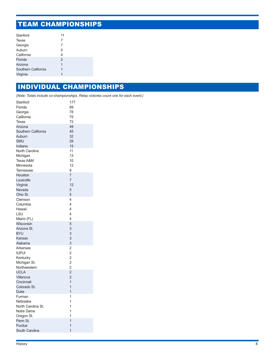# TEAM CHAMPIONSHIPS

| Stanford            | 11             |
|---------------------|----------------|
| Texas               | 7              |
| Georgia             | 7              |
| Auburn              | 5              |
| California          | 4              |
| Florida             | $\overline{2}$ |
| Arizona             | 1              |
| Southern California | 1              |
| Virginia            | 1              |

### INDIVIDUAL CHAMPIONSHIPS

*(Note: Totals include co-championships. Relay victories count one for each event.)*

| Stanford             | 177            |
|----------------------|----------------|
| Florida              | 89             |
| Georgia              | 78             |
| California           | 75             |
| Texas                | 72             |
| Arizona              | 49             |
| Southern California  | 45             |
| Auburn               | 32             |
| <b>SMU</b>           | 29             |
| Indiana              | 15             |
| North Carolina       | 11             |
| Michigan             | 13             |
| <b>Texas A&amp;M</b> | 10             |
| Minnesota            | 12             |
| <b>Tennessee</b>     | 8              |
| Houston              | 7              |
| Louisville           | $\overline{7}$ |
| Virginia             | 12             |
| Nevada               | 5              |
| Ohio St.             | 5              |
| Clemson              | 4              |
| Columbia             | 4              |
| Hawaii               | 4              |
| LSU                  | 4              |
| Miami (FL)           | 4              |
| Wisconsin            | 5              |
| Arizona St.          | 3              |
| <b>BYU</b>           | 3              |
| Kansas               | 3              |
| Alabama              | 3              |
| Arkansas             | $\overline{2}$ |
| <b>IUPUI</b>         | $\overline{2}$ |
| Kentucky             | $\overline{2}$ |
| Michigan St.         | $\overline{c}$ |
| Northwestern         | 2              |
| <b>UCLA</b>          | $\overline{2}$ |
| Villanova            | $\overline{2}$ |
| Cincinnati           | 1              |
| Colorado St.         | 1              |
| <b>Duke</b>          | 1              |
| Furman               | 1              |
| Nebraska             | 1              |
| North Carolina St.   | 1              |
| Notre Dame           | 1              |
| Oregon St.           | 1              |
| Penn St.             | 1              |
| Purdue               | 1              |
| South Carolina       | $\overline{1}$ |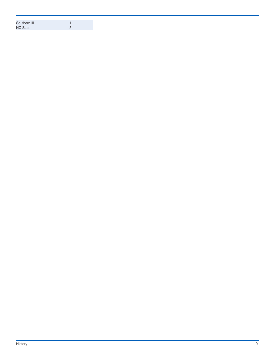| Southern III.   |  |
|-----------------|--|
| <b>NC State</b> |  |
|                 |  |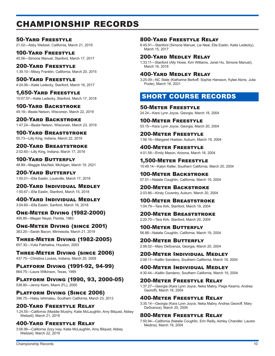# CHAMPIONSHIP RECORDS

50-Yard Freestyle 21.02—Abby Weitzeil, California, March 21, 2019

100-Yard Freestyle 45.56—Simone Manuel, Stanford, March 17, 2017

200-Yard Freestyle 1:39.10—Missy Franklin, California, March 20, 2015

500-Yard Freestyle 4:24.06—Katie Ledecky, Stanford, March 16, 2017

1,650-Yard Freestyle 15:07.57—Katie Ledecky, Stanford, March 17, 2018

100-Yard Backstroke 49.18—Beata Nelson, Wisconsin, March 22, 2019

200-Yard Backstroke 1:47.24—Beata Nelson, Wisconsin, March 23, 2019

100-Yard Breaststroke 55.73—Lilly King, Indiana, March 22, 2019

200-Yard Breaststroke 2:02.60—Lilly King, Indiana, March 17, 2018

100-Yard Butterfly 48.89—Maggie MacNeil, Michigan, March 19, 2021

200-Yard Butterfly 1:50.01—Ella Eastin, Louisville, March 17, 2018

200-Yard Individual Medley 1:50.67—Ella Eastin, Stanford, March 15, 2018

400-Yard Individual Medley 3:54.60—Ella Eastin, Sanford, March 16, 2018

One-Meter Diving (1982-2000) 495.85—Megan Neyer, Florida, 1983

One-Meter Diving (since 2001) 363.20—Sarah Bacon, Minnesota, March 21, 2019

Three-Meter Diving (1982-2005) 657.30—Yulia Pakhalina, Houston, 2003

Three-Meter Diving (since 2006) 437.75—Christina Loukas, Indiana, March 20, 2009

Platform Diving (1991-92, 94-99) 664.75—Laura Wilkinson, Texas, 1999

Platform Diving (1990, 93, 2000-05) 538.80—Jenny Keim, Miami (FL), 2000

Platform Diving (Since 2006) 396.75—Haley Ishimatsu, Southern California, March 23, 2013

200-Yard Freestyle Relay 1:24.55—California (Maddie Murphy, Katie McLaughlin, Amy Bilquist, Abbey Weitzeil), March 21, 2019

### 400-Yard Freestyle Relay

3:06.96—California (Izzy Ivey, Katie McLaughlin, Amy Bilquist, Abbey Weitzeil), March 22, 2019

### 800-Yard Freestyle Relay

6:45.91—Stanford (Simone Manuel, Lia Neal, Ella Eastin, Katie Ledecky), March 15, 2017

### 200-Yard Medley Relay

1:33.11—Stanford (Ally Howe, Kim Williams, Janet Hu, Simone Manuel), March 16, 2018

#### 400-Yard Medley Relay

3:25.09—NC State (Katharine Berkoff, Sophie Hansson, Kylee Alons, Julia Poole), March 18, 2021

### SHORT COURSE RECORDS

50-Meter Freestyle 24.24—Kara Lynn Joyce, Georgia, March 18, 2004

100-Meter Freestyle 53.15—Kara Lynn Joyce, Georgia, March 20, 2004

200-Meter Freestyle 1:56.16—Margaret Hoelzer, Auburn, March 19, 2004

400-Meter Freestyle 4:01.58—Emily Mason, Arizona, March 18, 2004

1,500-Meter Freestyle 15:49.14—Kalyn Keller, Southern California, March 20, 2004

100-Meter Backstroke 57.51—Natalie Coughlin, California, March 19, 2004

200-Meter Backstroke 2:03.86—Kirsty Coventry, Auburn, March 20, 2004

100-Meter Breaststroke 1:04.79—Tara Kirk, Stanford, March 19, 2004

200-Meter Breaststroke 2:20.70—Tara Kirk, Stanford, March 20, 2004

100-Meter Butterfly 56.88—Natalie Coughlin, California, March 19, 2004

200-Meter Butterfly 2:06.02—Mary DeScenza, Georgia, March 20, 2004

200-Meter Individual Medley 2:08.11—Kaitlin Sandeno, Southern California, March 18, 2004

400-Meter Individual Medley 4:30.44—Kaitlin Sandeno, Southern California, March 19, 2004

200-Meter Freestyle Relay

1:37.27—Georgia (Kara Lynn Joyce, Neka Mabry, Paige Kearns, Andrea Georoff), March 18, 2004

#### 400-Meter Freestyle Relay

3:35.14—Georgia (Kara Lynn Joyce, Neka Mabry, Andrea Georoff, Mary DeScenza), March 20, 2004

### 800-Meter Freestyle Relay

7:50.94—California (Natalie Coughlin, Erin Reilly, Ashley Chandler, Lauren Medina), March 19, 2004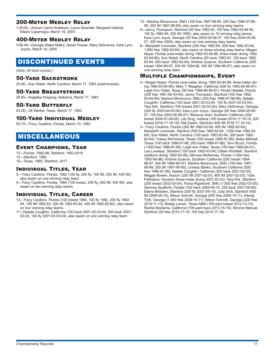### 200-Meter Medley Relay

1:49.02—Auburn (Jenni Anderson, Laura Swander, Margaret Hoelzer, Eileen Coparropa), March 19, 2004

#### 400-Meter Medley Relay

3:56.48—Georgia (Neka Mabry, Sarah Poewe, Mary DeScenza, Kara Lynn Joyce), March 18, 2004

### DISCONTINUED EVENTS

*(Note: All short course.)*

#### 50-Yard Backstroke

25.46—Sue Walsh, North Carolina, March 17, 1983 (preliminaries)

#### 50-Yard Breaststroke

28.80—Angelika Knipping, Alabama, March 17, 1983

#### 50-Yard Butterfly

24.26—Jill Sterkel, Texas, March 17, 1983

#### 100-Yard Individual Medley

55.74—Tracy Caulkins, Florida, March 10, 1982

### MISCELLANEOUS

#### Event Champions, Year

13—Florida, 1982-88; Stanford, 1993-2018

12—Stanford, 1992.

10—Texas, 1985; Stanford, 2017.

#### Individual Titles, Year

- 5—Tracy Caulkins, Florida, 1982 (100 fly, 200 fly, 100 IM, 200 IM, 400 IM), also swam on one winning relay team.
- 4—Tracy Caulkins, Florida, 1984 (100 breast, 200 fly, 200 IM, 400 IM), also swam on two winning relay teams.

#### Individual Titles, Career

- 12—Tracy Caulkins, Florida (100 breast 1984, 100 fly 1982, 200 fly 1982- 84, 100 IM 1982-83, 200 IM 1982-83-84, 400 IM 1982-83-84), also swam on four winning relay teams.
- 11—Natalie Coughlin, California (100 back 2001-02-03-04, 200 back 2001- 02-03, 100 fly 2001-02-03-04), also swam on one winning relay team.
- 10—Martina Moravcova, SMU (100 free 1997-98-99, 200 free 1996-97-98- 99, 200 IM 1997-98-99), also swam on four winning relay teams.
- 9—Jenny Thompson, Stanford (50 free 1992-93, 100 free 1992-93-94-95, 100 fly 1994-95, 200 IM 1995), also swam on 10 winning relay teams; Kara Lynn Joyce, Georgia (50 free 2004-05-06-07, 100 free 2004-05-06- 07, 200 free 2006), also swam on nine winning relay teams.
- 8—Marybeth Linzmeier, Stanford (200 free 1982-84, 500 free 1982-83-84, 1,650 free 1982-83-84), also swam on three winning relay teams; Megan Neyer, Florida (one-meter diving 1982-83-84-86, three-meter diving 1982- 83-84-86); Sue Walsh, North Carolina (50 back 1982-83, 100 back 1982- 83-84, 200 back 1982-83-84); Kristine Quance, Southern California (200 breast 1994-96-97, 200 IM 1994-96, 400 IM 1994-96-97), also swam on one winning relay team.

#### Multiple Championships, Event

- 4—Megan Neyer, Florida (one-meter diving 1982-83-84-86, three-meter diving 1982-83-84-86); Mary T. Meagher, California (200 fly 1983-85-86-87); Leigh Ann Fetter, Texas (50 free 1988-89-90-91); Nicole Haislett, Florida (200 free 1991-92-93-94); Jenny Thompson, Stanford (100 free 1992- 93-94-95); Martina Moravcova, SMU (200 free 1996-97-98-99); Natalie Coughlin, California (100 back 2001-02-03-04, 100 fly 2001-02-03-04); Tara Kirk, Stanford (100 breast 2001-02-03-04); Mary DeScenza, Georgia (200 fly 2003-04-05-06); Kara Lynn Joyce, Georgia (50 free 2004-05-06- 07, 100 free 2004-05-06-07); Rebecca Soni, Southern California (200 breast 2006-07-08-09); Lilly King, Indiana (100 breast 2016-17-18-19, 200 breast 2016-17-18-19); Ella Eastin, Stanford (400 IM 2016-17-18-19)..
- 3—Tracy Caulkins, Florida (200 IM 1982-83-84, 400 IM 1982-83-84); Marybeth Linzmeier, Stanford (500 free 1982-83-84, 1,650 free 1982-83- 84); Sue Walsh, North Carolina (100 back 1982-83-84, 200 back 1982- 83-84); Tracey McFarlane, Texas (100 breast 1985-87-88); Betsy Mitchell, Texas (100 back 1986-87-88, 200 back 1986-87-88); Tami Bruce, Florida (1,650 free 1986-87-88); Leigh Ann Fetter, Texas (100 free 1989-90-91); Lea Loveless, Stanford (100 back 1992-93-94); Eileen Richitelli, Stanford (platform diving 1992-93-95); Mimosa McNerney, Florida (1,650 free 1993-95-96); Kristine Quance, Southern California (200 breast 1994- 96-97, 400 IM 1994-96-97); Martina Moravcova, SMU (100 free 1997- 98-99, 200 IM 1997-98-99); Lindsay Benko, Southern California (500 free 1996-97-99); Natalie Coughlin, California (200 back 2001-02-03); Maggie Bowen, Auburn (200 IM 2001-02-03, 400 IM 2001-02-03); Yulia Pakhalina, Houston (three-meter diving 2001-02-03); Tara Kirk, Stanford (200 breast 2002-03-04); Flavia Rigamonti, SMU (1,650 free 2002-03-05); Gemma Spofforth, Florida (100 back 2008-09-10; 200 back 2007-08-09); Elaine Breeden, Stanford (200 fly 2007-09-10); Julia Smit, Stanford (400 IM 2008-09-10); Allison Schmitt, Georgia (500 free 2009-10-11); Wendy Trott, Georgia (1,650 free 2009-10-11); Allison Schmitt, Georgia (200 free 2010-11-13); Breeja Larson, Texas A&M (100-yard breast 2012-13-14); Rachel Bootsma, California (100-yard back 2013-15-16); Simone Manuel, Stanford (50 free 2015-17-18, 100 free 2015-17-18)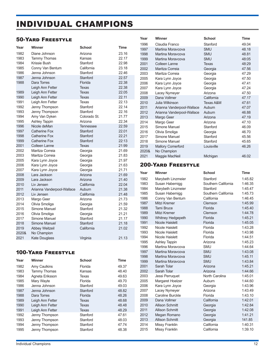# INDIVIDUAL CHAMPIONS

### 50-Yard Freestyle

| Year          | Winner                                | <b>School</b>           | Time           |
|---------------|---------------------------------------|-------------------------|----------------|
| 1982          | Diane Johnson                         | Arizona                 | 23.16          |
| 1983          | <b>Tammy Thomas</b>                   | Kansas                  | 22.17          |
| 1984          | Krissie Bush                          | Stanford                | 22.98          |
| 1985          | Conny Van Bentum                      | California              | 23.18          |
| 1986          | Jenna Johnson                         | Stanford                | 22.46          |
| 1987          | Jenna Johnson                         | Stanford                | 22.57          |
| 1988          | Dara Torres                           | Florida                 | 22.38          |
|               | Leigh Ann Fetter                      | Texas                   | 22.38          |
| 1989          | Leigh Ann Fetter                      | Texas                   | 22.05          |
| 1990          | Leigh Ann Fetter                      | <b>Texas</b>            | 22.11          |
| 1991          | Leigh Ann Fetter                      | Texas                   | 22.13          |
| 1992<br>1993  | Jenny Thompson                        | Stanford                | 22.14          |
| 1994          | Jenny Thompson                        | Stanford                | 22.16          |
| 1995          | Amy Van Dyken<br><b>Ashley Tappin</b> | Colorado St.<br>Arizona | 21.77<br>22.34 |
| 1996          | Nicole deMan                          | Tennessee               | 22.59          |
| 1997          | Catherine Fox                         | Stanford                | 22.01          |
| 1998          | <b>Catherine Fox</b>                  | Stanford                | 22.21          |
| 1999          | Catherine Fox                         | Stanford                | 22:13          |
| 2001          | Colleen Lanne                         | Texas                   | 21:99          |
| 2002          | Maritza Correia                       | Georgia                 | 21.69          |
| 2003          | Maritza Correia                       | Georgia                 | 21.83          |
| 2005          | Kara Lynn Joyce                       | Georgia                 | 21.97          |
| 2006          | Kara Lynn Joyce                       | Georgia                 | 21.63          |
| 2007          | Kara Lynn Joyce                       | Georgia                 | 21.71          |
| 2008          | Lara Jackson                          | Arizona                 | 21.69          |
| 2009          | Lara Jackson                          | Arizona                 | 21.40          |
| 2010          | Liv Jensen                            | California              | 22.04          |
| 2011          | Arianna Vanderpool-Wallace            | Auburn                  | 21.38          |
| 2012          | Liv Jensen                            | California              | 21.48          |
| 2013          | Margo Geer                            | Arizona                 | 21.73          |
| 2014          | Olivia Smoliga                        | Georgia                 | 21.59          |
| 2015          | Simone Manuel                         | Stanford                | 21.32          |
| 2016          | Olivia Smoliga                        | Georgia                 | 21.21          |
| 2017          | <b>Simone Manuel</b>                  | Stanford                | 21.17          |
| 2018          | Simone Manuel                         | Stanford<br>California  | 21.18          |
| 2019<br>2020& | <b>Abbey Weitzeil</b>                 |                         | 21.02          |
| 2021          | No Champion                           |                         | 21.13          |
|               | Kate Douglass                         | Virginia                |                |

### 100-Yard Freestyle

| Year | <b>Winner</b>    | <b>School</b> | Time  |
|------|------------------|---------------|-------|
| 1982 | Amy Caulkins     | Florida       | 49.37 |
| 1983 | Tammy Thomas     | Kansas        | 48.40 |
| 1984 | Agneta Eriksson  | Texas         | 49.63 |
| 1985 | Mary Wayte       | Florida       | 49.70 |
| 1986 | Jenna Johnson    | Stanford      | 49.03 |
| 1987 | Jenna Johnson    | Stanford      | 48.82 |
| 1988 | Dara Torres      | Florida       | 48.26 |
| 1989 | Leigh Ann Fetter | Texas         | 48.68 |
| 1990 | Leigh Ann Fetter | Texas         | 48.48 |
| 1991 | Leigh Ann Fetter | <b>Texas</b>  | 48.29 |
| 1992 | Jenny Thompson   | Stanford      | 47.61 |
| 1993 | Jenny Thompson   | Stanford      | 48.03 |
| 1994 | Jenny Thompson   | Stanford      | 47.74 |
| 1995 | Jenny Thompson   | Stanford      | 48.38 |

| Year  | Winner                     | <b>School</b>        | <b>Time</b> |
|-------|----------------------------|----------------------|-------------|
| 1996  | Claudia Franco             | Stanford             | 49.04       |
| 1997  | Martina Moravcova          | <b>SMU</b>           | 48.18       |
| 1998  | Martina Moravcova          | <b>SMU</b>           | 48.81       |
| 1999  | Martina Moravcova          | <b>SMU</b>           | 48:05       |
| 2001  | Colleen Lanne              | Texas                | 48:29       |
| 2002  | Maritza Correia            | Georgia              | 47.56       |
| 2003  | Maritza Correia            | Georgia              | 47.29       |
| 2005  | Kara Lynn Joyce            | Georgia              | 47.50       |
| 2006  | Kara Lynn Joyce            | Georgia              | 47.41       |
| 2007  | Kara Lynn Joyce            | Georgia              | 47.24       |
| 2008  | Lacey Nymeyer              | Arizona              | 47.50       |
| 2009  | Dana Vollmer               | California           | 47.17       |
| 2010  | Julia Wilkinson            | <b>Texas A&amp;M</b> | 47.61       |
| 2011  | Arianna Vanderpool-Wallace | Auburn               | 47.07       |
| 2012  | Arianna Vanderpool-Wallace | Auburn               | 46.88       |
| 2013  | Margo Geer                 | Arizona              | 47.19       |
| 2014  | Margo Geer                 | Arizona              | 47.10       |
| 2015  | Simone Manuel              | Stanford             | 46.09       |
| 2016  | Olivia Smoliga             | Georgia              | 46.70       |
| 2017  | Simone Manuel              | Stanford             | 45.56       |
| 2018  | Simone Manuel              | Stanford             | 45.65       |
| 2019  | <b>Mallory Comerford</b>   | Louisville           | 46.26       |
| 2020& | No Champion                |                      |             |
| 2021  | Maggie MacNeil             | Michigan             | 46.02       |

### 200-Yard Freestyle

| Year | Winner                 | <b>School</b>       | <b>Time</b> |
|------|------------------------|---------------------|-------------|
| 1982 | Marybeth Linzmeier     | Stanford            | 1:45.82     |
| 1983 | Susan Habernigg        | Southern California | 1:46.35     |
| 1984 | Marybeth Linzmeier     | Stanford            | 1:45.47     |
| 1985 | Susan Habernigg        | Southern California | 1:45.73     |
| 1986 | Conny Van Bentum       | California          | 1:46.45     |
| 1987 | Mitzi Kremer           | Clemson             | 1:45.99     |
| 1988 | <b>Tami Bruce</b>      | Florida             | 1:45.40     |
| 1989 | Mitzi Kremer           | Clemson             | 1:44.78     |
| 1990 | Whitney Hedgepeth      | Florida             | 1:45.21     |
| 1991 | Nicole Haislett        | Florida             | 1:45.05     |
| 1992 | Nicole Haislett        | Florida             | 1:43.28     |
| 1993 | Nicole Haislett        | Florida             | 1:43.98     |
| 1994 | Nicole Haislett        | Florida             | 1:44.51     |
| 1995 | <b>Ashley Tappin</b>   | Arizona             | 1:45.23     |
| 1996 | Martina Moravcova      | <b>SMU</b>          | 1:44.64     |
| 1997 | Martina Moravcova      | <b>SMU</b>          | 1:43.08     |
| 1998 | Martina Moravcova      | <b>SMU</b>          | 1:45.11     |
| 1999 | Martina Moravcova      | <b>SMU</b>          | 1:43.84     |
| 2001 | Sarah Tolar            | Arizona             | 1:45.21     |
| 2002 | Sarah Tolar            | Arizona             | 1:44.66     |
| 2003 | Jessi Perruquet        | North Carolina      | 1:45.01     |
| 2005 | Margaret Hoelzer       | Auburn              | 1:44.60     |
| 2006 | Kara Lynn Joyce        | Georgia             | 1:43.96     |
| 2007 | Lacey Nymeyer          | Arizona             | 1:43.49     |
| 2008 | Caroline Burckle       | Florida             | 1:43.10     |
| 2009 | Dana Vollmer           | California          | 1:42.01     |
| 2010 | <b>Allison Schmitt</b> | Georgia             | 1:42.84     |
| 2011 | <b>Allison Schmitt</b> | Georgia             | 1:42.08     |
| 2012 | Megan Romano           | Georgia             | 1:41.21     |
| 2013 | <b>Allison Schmitt</b> | Georgia             | 141.85      |
| 2014 | <b>Missy Franklin</b>  | California          | 1:40.31     |
| 2015 | <b>Missy Franklin</b>  | California          | 1:39.10     |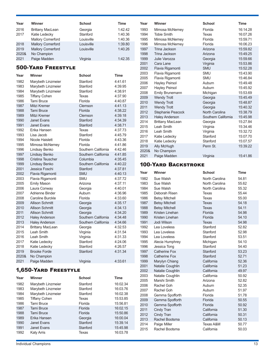| Year  | Winner                   | <b>School</b> | Time    |
|-------|--------------------------|---------------|---------|
| 2016  | <b>Brittany MacLean</b>  | Georgia       | 1:42.42 |
| 2017  | Katie Ledecky            | Stanford      | 1:40.36 |
|       | <b>Mallory Comerford</b> | Louisville    | 1:40.36 |
| 2018  | <b>Mallory Comerford</b> | Louisville    | 1:39.80 |
| 2019  | <b>Mallory Comerford</b> | Louisville    | 1:40.26 |
| 2020& | No Champion              |               |         |
| 2021  | Paige Madden             | Virginia      | 1:42.35 |

### 500-Yard Freestyle

| Year         | Winner                                           | <b>School</b>                  | <b>Time</b>        |
|--------------|--------------------------------------------------|--------------------------------|--------------------|
| 1982         | Marybeth Linzmeier                               | Stanford                       | 4:41.61            |
| 1983         | Marybeth Linzmeier                               | Stanford                       | 4:39.95            |
| 1984         | Marybeth Linzmeier                               | Stanford                       | 4:38.91            |
| 1985         | <b>Tiffany Cohen</b>                             | Texas                          | 4:37.90            |
| 1986         | <b>Tami Bruce</b>                                | Florida                        | 4:40.87            |
| 1987         | Mitzi Kremer                                     | Clemson                        | 4:41.13            |
| 1988         | <b>Tami Bruce</b>                                | Florida                        | 4:38.22            |
| 1989         | Mitzi Kremer                                     | Clemson                        | 4:39.18            |
| 1990         | Janet Evans                                      | Stanford                       | 4:34.39            |
| 1991         | <b>Janet Evans</b>                               | Stanford                       | 4:38.71            |
| 1992         | Erika Hansen                                     | Texas                          | 4:37.73            |
| 1993         | Lisa Jacob                                       | Stanford                       | 4:45.79            |
| 1994         | Nicole Haislett                                  | Florida                        | 4:43.36            |
| 1995         | Mimosa McNerney                                  | Florida                        | 4:41.86            |
| 1996         | Lindsay Benko                                    | Southern California            | 4:42.46            |
| 1997         | Lindsay Benko                                    | Southern California            | 4:41.85            |
| 1998         | Cristina Teuscher                                | Columbia                       | 4:35.45            |
| 1999         | Lindsay Benko                                    | Southern California            | 4:40.22            |
| 2001         | Jessica Foschi                                   | Stanford                       | 4:37.81            |
| 2002         | Flavia Rigamonti                                 | <b>SMU</b>                     | 4:40.13            |
| 2003         | Flavia Rigamonti                                 | <b>SMU</b>                     | 4:37.72            |
| 2005         | <b>Emily Mason</b>                               | Arizona                        | 4:37.11            |
| 2006         | Laura Conway                                     | Georgia                        | 4:40.01            |
| 2007         | Adrienne Binder                                  | Auburn                         | 4:36.96            |
| 2008         | Caroline Burckle                                 | Florida                        | 4:33.60            |
| 2009         | <b>Allison Schmitt</b>                           | Georgia                        | 4:35.17            |
| 2010         | <b>Allison Schmitt</b><br><b>Allison Schmitt</b> | Georgia                        | 4:34.13            |
| 2011         |                                                  | Georgia<br>Southern California | 4:34.20            |
| 2012<br>2013 | <b>Haley Anderson</b><br><b>Haley Anderson</b>   | Southern California            | 4:34.48<br>4:34.66 |
| 2014         | <b>Brittany MacLean</b>                          | Georgia                        | 4:32.53            |
| 2015         | Leah Smith                                       |                                | 4:31.54            |
| 2016         | Leah Smith                                       | Virginia<br>Virginia           | 4:31.33            |
| 2017         | Katie Ledecky                                    | Stanford                       | 4:24.06            |
| 2018         | Katie Ledecky                                    | Stanford                       | 4:26.57            |
| 2019         | <b>Brooke Forde</b>                              | Stanford                       | 4:31.34            |
| 2020&        | No Champion                                      |                                |                    |
| 2021         | Paige Madden                                     | Virginia                       | 4:33.61            |

### 1,650-Yard Freestyle

| Year | Winner               | <b>School</b> | <b>Time</b> |
|------|----------------------|---------------|-------------|
| 1982 | Marybeth Linzmeier   | Stanford      | 16:02.34    |
| 1983 | Marybeth Linzmeier   | Stanford      | 16:03.76    |
| 1984 | Marybeth Linzmeier   | Stanford      | 16:02.38    |
| 1985 | <b>Tiffany Cohen</b> | Texas         | 15:53.85    |
| 1986 | <b>Tami Bruce</b>    | Florida       | 15:56.81    |
| 1987 | <b>Tami Bruce</b>    | Florida       | 16:02.15    |
| 1988 | <b>Tami Bruce</b>    | Florida       | 15:50.86    |
| 1989 | Erika Hansen         | Georgia       | 16:00.04    |
| 1990 | Janet Evans          | Stanford      | 15:39.14    |
| 1991 | <b>Janet Evans</b>   | Stanford      | 15:45.98    |
| 1992 | Katy Arris           | Texas         | 16:03.78    |

| Year  | Winner                  | <b>School</b>       | <b>Time</b> |
|-------|-------------------------|---------------------|-------------|
| 1993  | Mimosa McNerney         | Florida             | 16:14.28    |
| 1994  | <b>Tobie Smith</b>      | Texas               | 16:07.26    |
| 1995  | Mimosa McNerney         | Florida             | 15:59.71    |
| 1996  | Mimosa McNerney         | Florida             | 16:06.23    |
| 1997  | <b>Trina Jackson</b>    | Arizona             | 15:59.82    |
| 1998  | Trina Jackson           | Arizona             | 15:49.25    |
| 1999  | <b>Julie Varozza</b>    | Georgia             | 15:59.66    |
| 2001  | Cara Lane               | Virginia            | 15:53.86    |
| 2002  | Flavia Rigamonti        | <b>SMU</b>          | 15:52.28    |
| 2003  | Flavia Rigamonti        | <b>SMU</b>          | 15:43.90    |
| 2005  | Flavia Rigamonti        | <b>SMU</b>          | 15:46.84    |
| 2006  | <b>Hayley Peirsol</b>   | Auburn              | 15:49.48    |
| 2007  | <b>Hayley Peirsol</b>   | Auburn              | 15:45.92    |
| 2008  | <b>Emily Brunemann</b>  | Michigan            | 15:53.69    |
| 2009  | <b>Wendy Trott</b>      | Georgia             | 15:45.49    |
| 2010  | <b>Wendy Trott</b>      | Georgia             | 15:48.87    |
| 2011  | <b>Wendy Trott</b>      | Georgia             | 15:40.32    |
| 2012  | Stephanie Peacock       | North Carolina      | 15:38.79    |
| 2013  | <b>Haley Anderson</b>   | Southern California | 15:45.98    |
| 2014  | <b>Brittany MacLean</b> | Georgia             | 15:27.84    |
| 2015  | Leah Smith              | Virginia            | 15:34.46    |
| 2016  | Leah Smith              | Virginia            | 15:32.72    |
| 2017  | Katie Ledecky           | Stanford            | 15:07.70    |
| 2018  | Katie Ledecky           | Stanford            | 15:07.57    |
| 2019  | Ally McHugh             | Penn St.            | 15:39.22    |
| 2020& | No Champion             |                     |             |
| 2021  | Paige Madden            | Virginia            | 15:41.86    |

### 100-Yard Backstroke

| Year | Winner                | <b>School</b>  | <b>Time</b> |
|------|-----------------------|----------------|-------------|
| 1982 | Sue Walsh             | North Carolina | 54.81       |
| 1983 | Sue Walsh             | North Carolina | 55.62       |
| 1984 | Sue Walsh             | North Carolina | 55.32       |
| 1985 | Deborah Risen         | Texas          | 55.44       |
| 1986 | <b>Betsy Mitchell</b> | Texas          | 55.00       |
| 1987 | <b>Betsy Mitchell</b> | Texas          | 54.18       |
| 1988 | <b>Betsy Mitchell</b> | <b>Texas</b>   | 54.11       |
| 1989 | Kristen Linehan       | Florida        | 54.98       |
| 1990 | Kristen Linehan       | Florida        | 54.10       |
| 1991 | Jodi Wilson           | Texas          | 54.98       |
| 1992 | Lea Loveless          | Stanford       | 52.82       |
| 1993 | Lea Loveless          | Stanford       | 52.98       |
| 1994 | Lea Loveless          | Stanford       | 53.51       |
| 1995 | Alecia Humphrey       | Michigan       | 54.10       |
| 1996 | Jessica Tong          | Stanford       | 54.40       |
| 1997 | <b>Catherine Fox</b>  | Stanford       | 53.23       |
| 1998 | Catherine Fox         | Stanford       | 52.71       |
| 1999 | Marylyn Chiang        | California     | 52.36       |
| 2001 | Natalie Coughlin      | California     | 51.23       |
| 2002 | Natalie Coughlin      | California     | 49.97       |
| 2003 | Natalie Coughlin      | California     | 50.92       |
| 2005 | Marshi Smith          | Arizona        | 52.82       |
| 2006 | Rachel Goh            | Auburn         | 52.35       |
| 2007 | Rachel Goh            | Auburn         | 51.97       |
| 2008 | Gemma Spofforth       | Florida        | 51.78       |
| 2009 | Gemma Spofforth       | Florida        | 50.55       |
| 2010 | Gemma Spofforth       | Florida        | 50.92       |
| 2011 | Cindy Tran            | California     | 51.30       |
| 2012 | Cindy Tran            | California     | 50.31       |
| 2013 | Rachel Bootsma        | California     | 50.13       |
| 2014 | Paige Miller          | Texas A&M      | 50.77       |
| 2015 | Rachel Bootsma        | California     | 50.03       |
|      |                       |                |             |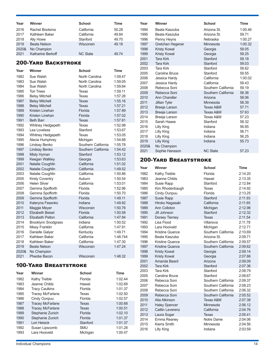| Year  | Winner              | <b>School</b>   | Time  |
|-------|---------------------|-----------------|-------|
| 2016  | Rachel Bootsma      | California      | 50.28 |
| 2017  | Kathleen Baker      | California      | 49.84 |
| 2018  | Ally Howe           | Stanford        | 49.70 |
| 2019  | <b>Beata Nelson</b> | Wisconsin       | 49.18 |
| 2020& | No Champion         |                 |       |
| 2021  | Katharine Berkoff   | <b>NC State</b> | 49.74 |

### 200-Yard Backstroke

| Year         | Winner                              | <b>School</b>       | <b>Time</b>        |
|--------------|-------------------------------------|---------------------|--------------------|
| 1982         | Sue Walsh                           | North Carolina      | 1:59.47            |
| 1983         | Sue Walsh                           | North Carolina      | 1:59.05            |
| 1984         | Sue Walsh                           | North Carolina      | 1:59.84            |
| 1985         | <b>Tori Trees</b>                   | Texas               | 1:59.11            |
| 1986         | <b>Betsy Mitchell</b>               | Texas               | 1:57.26            |
| 1987         | <b>Betsy Mitchell</b>               | Texas               | 1:55.16            |
| 1988         | <b>Betsy Mitchell</b>               | <b>Texas</b>        | 1:57.21            |
| 1989         | Kristen Linehan                     | Florida             | 1:57.89            |
| 1990         | Kristen Linehan                     | Florida             | 1:57.02            |
| 1991         | <b>Beth Barr</b>                    | Texas               | 1:57.81            |
| 1992         | Whitney Hedgepeth                   | Texas               | 1:52.98            |
| 1993         | Lea Loveless                        | Stanford            | 1:53.67            |
| 1994         | Whitney Hedgepeth                   | Texas               | 1:53.05            |
| 1995         | Alecia Humphrey                     | Michigan            | 1:54.68            |
| 1996         | Lindsay Benko                       | Southern California | 1:55.78            |
| 1997         | Lindsay Benko                       | Southern California | 1:54.42            |
| 1998         | Misty Hyman                         | Stanford            | 1:53.12            |
| 1999         | Keegan Walkley                      | Georgia             | 1:53.63            |
| 2001         | Natalie Coughlin                    | California          | 1:51.02            |
| 2002         | Natalie Coughlin                    | California          | 1:49.52            |
| 2003         | Natalie Coughlin                    | California          | 1:50.86            |
| 2005         | <b>Kirsty Coventry</b>              | Auburn              | 1:50.54            |
| 2006         | <b>Helen Silver</b>                 | California          | 1:53.01            |
| 2007         | Gemma Spofforth                     | Florida<br>Florida  | 1:52.96            |
| 2008<br>2009 | Gemma Spofforth                     | Florida             | 1:50.70<br>1:49.11 |
| 2010         | Gemma Spofforth<br>Kateryna Fesenko | Indiana             | 1:49.92            |
| 2011         | Maggie Meyer                        | Wisconsin           | 1:50.76            |
| 2012         | <b>Elizabeth Beisel</b>             | Florida             | 1:50.58            |
| 2013         | <b>Elizabeth Pelton</b>             | California          | 1:47.84            |
| 2014         | <b>Brooklynn Snodgrass</b>          | Indiana             | 1:50.52            |
| 2015         | <b>Missy Franklin</b>               | California          | 1:47.91            |
| 2016         | Danielle Galyer                     | Kentucky            | 1:49.71            |
| 2017         | Kathleen Baker                      | California          | 1:48.744           |
| 2018         | Kathleen Baker                      | California          | 1:47.30            |
| 2019         | <b>Beata Nelson</b>                 | Wisconsin           | 1:47.24            |
| 2020&        | No Champion                         |                     |                    |
| 2021         | Pheobe Bacon                        | Wisconsin           | 1:48.32            |

### 100-Yard Breaststroke

| Year | Winner                  | <b>School</b> | <b>Time</b> |
|------|-------------------------|---------------|-------------|
| 1982 | Kathy Treible           | Florida       | 1:02.44     |
| 1983 | Jeanne Childs           | Hawaii        | 1:02.69     |
| 1984 | <b>Tracy Caulkins</b>   | Florida       | 1:01.37     |
| 1985 | <b>Tracey McFarlane</b> | Texas         | 1:02.50     |
| 1986 | Cindy Ounpuu            | Florida       | 1:02.57     |
| 1987 | <b>Tracey McFarlane</b> | <b>Texas</b>  | 1:00.68     |
| 1988 | <b>Tracey McFarlane</b> | Texas         | 1:00.51     |
| 1989 | Stephanie Zunich        | Florida       | 1:02.10     |
| 1990 | Stephanie Zunich        | Florida       | 1:01.37     |
| 1991 | Lori Heisick            | Stanford      | 1:01.37     |
| 1992 | Susan Lipscomb          | <b>SMU</b>    | 1:01.28     |
| 1993 | Lara Hooiveld           | Michigan      | 1:00.47     |

| Year  | Winner              | <b>School</b>       | <b>Time</b> |
|-------|---------------------|---------------------|-------------|
| 1994  | Beata Kaszuba       | Arizona St.         | 1:00.46     |
| 1995  | Beata Kaszuba       | Arizona St.         | 59.71       |
| 1996  | Penny Heyns         | Nebraska            | 1:00.27     |
| 1997  | Gretchen Hegener    | Minnesota           | 1:00.32     |
| 1998  | <b>Kristy Kowal</b> | Georgia             | 59.05       |
| 1999  | <b>Kristy Kowal</b> | Georgia             | 59.25       |
| 2001  | <b>Tara Kirk</b>    | Stanford            | 59.18       |
| 2002  | <b>Tara Kirk</b>    | Stanford            | 59.03       |
| 2003  | <b>Tara Kirk</b>    | Stanford            | 58.62       |
| 2005  | Caroline Bruce      | Stanford            | 59.55       |
| 2006  | Jessica Hardy       | California          | 1:00.02     |
| 2007  | Jessica Hardy       | California          | 59.43       |
| 2008  | Rebecca Soni        | Southern California | 59.19       |
| 2009  | Rebecca Soni        | Southern California | 58.36       |
| 2010  | Ann Chandler        | Arizona             | 58.06       |
| 2011  | Jillian Tyler       | Minnesota           | 58.39       |
| 2012  | Breeja Larson       | Texas A&M           | 57.71       |
| 2013  | Breeja Larson       | Texas A&M           | 57.63       |
| 2014  | Breeja Larson       | Texas A&M           | 57.23       |
| 2015  | Sarah Haase         | Stanford            | 58.32       |
| 2016  | Lilly King          | Indiana             | 56.85       |
| 2017  | Lilly King          | Indiana             | 56.71       |
| 2018  | Lilly King          | Indiana             | 56.25       |
| 2019  | <b>Lilly King</b>   | Indiana             | 55.73       |
| 2020& | No Champion         |                     |             |
| 2021  | Sophie Hansson      | <b>NC State</b>     | 57.23       |

### 200-Yard Breaststroke

| Year         | Winner                       | <b>School</b>                              | <b>Time</b>        |
|--------------|------------------------------|--------------------------------------------|--------------------|
| 1982         | Kathy Treible                | Florida                                    | 2:14.20            |
| 1983         | Jeanne Childs                | Hawaii                                     | 2:13.35            |
| 1984         | Susie Rapp                   | Stanford                                   | 2:12.84            |
| 1985         | Kim Rhodenbaugh              | <b>Texas</b>                               | 2:14.92            |
| 1986         | Cindy Ounpuu                 | Florida                                    | 2:13.25            |
| 1987         | Susie Rapp                   | Stanford                                   | 2:11.93            |
| 1988         | Hiroko Nagasaki              | California                                 | 2:11.65            |
| 1989         | Ann Colloton                 | Michigan                                   | 2:12.96            |
| 1990         | Jill Johnson                 | Stanford                                   | 2:12.32            |
| 1991         | Dorsey Tierney               | Texas                                      | 2:11.54            |
| 1992         | Lisa Flood                   | Villanova                                  | 2:11.78            |
| 1993         | Lara Hooiveld                | Michigan                                   | 2:12.71            |
| 1994         | Kristine Quance              | Southern California                        | 2:10.69            |
| 1995         | Beata Kaszuba                | Arizona St.                                | 2:09.71            |
| 1996         | <b>Kristine Quance</b>       | Southern California                        | 2:09.57            |
| 1997         | <b>Kristine Quance</b>       | Southern California                        | 2:09.62            |
| 1998         | <b>Kristy Kowal</b>          | Georgia                                    | 2:09.14            |
| 1999         | <b>Kristy Kowal</b>          | Georgia                                    | 2:07.66            |
| 2001         | Amanda Beard                 | Arizona                                    | 2:09.09            |
| 2002         | <b>Tara Kirk</b>             | Stanford                                   | 2:07.36            |
| 2003         | <b>Tara Kirk</b>             | Stanford                                   | 2:08.79            |
| 2005         | Caroline Bruce               | Stanford                                   | 2:08.67            |
| 2006<br>2007 | Rebecca Soni<br>Rebecca Soni | Southern California<br>Southern California | 2:09.37            |
| 2008         | Rebecca Soni                 | Southern California                        | 2:08.23<br>2:06.32 |
| 2009         | Rebecca Soni                 | Southern California                        | 2:05.52            |
| 2010         | Alia Atkinson                | Texas A&M                                  | 2:07.38            |
| 2011         | <b>Haley Spencer</b>         | Minnesota                                  | 2:06.12            |
| 2012         | <b>Caitlin Leverenz</b>      | California                                 | 2:04.76            |
| 2013         | Laura Sogar                  | <b>Texas</b>                               | 2:05.41            |
| 2014         | Emma Reaney                  | Notre Dame                                 | 2:04.06            |
| 2015         | Kierra Smith                 | Minnesota                                  | 2:04.56            |
| 2016         | <b>Lilly King</b>            | Indiana                                    | 2:03.59            |
|              |                              |                                            |                    |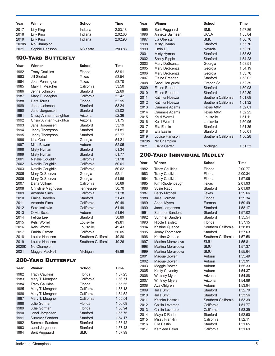| Year                      | Winner                               | <b>School</b>            | Time               |  |  |
|---------------------------|--------------------------------------|--------------------------|--------------------|--|--|
| 2017                      | <b>Lilly King</b>                    | Indiana                  | 2:03.18            |  |  |
| 2018                      | Lilly King                           | Indiana                  | 2:02.60            |  |  |
| 2019                      | Lilly King                           | Indiana                  | 2:02.90            |  |  |
| 2020&                     | No Champion                          |                          |                    |  |  |
| 2021                      | Sophie Hansson                       | <b>NC State</b>          | 2:03.86            |  |  |
|                           | <b>100-YARD BUTTERFLY</b>            |                          |                    |  |  |
| Year                      | Winner                               | <b>School</b>            | Time               |  |  |
| 1982                      | <b>Tracy Caulkins</b>                | Florida                  | 53.91              |  |  |
| 1983                      | <b>Jill Sterkel</b>                  | Texas                    | 53.54              |  |  |
| 1984                      | Joan Pennington                      | Texas                    | 53.70              |  |  |
| 1985                      | Mary T. Meagher                      | California               | 53.50              |  |  |
| 1986                      | Jenna Johnson                        | Stanford                 | 52.69              |  |  |
| 1987                      | Mary T. Meagher                      | California               | 52.42              |  |  |
| 1988                      | Dara Torres                          | Florida<br>Stanford      | 52.95<br>53.24     |  |  |
| 1989<br>1990              | Jenna Johnson<br>Janel Jorgensen     | Stanford                 | 53.02              |  |  |
| 1991                      | Crissy Ahmann-Leighton               | Arizona                  | 52.36              |  |  |
| 1992                      | Crissy Ahmann-Leighton               | Arizona                  | 51.75              |  |  |
| 1993                      | Janel Jorgensen                      | Stanford                 | 53.19              |  |  |
| 1994                      | Jenny Thompson                       | Stanford                 | 51.81              |  |  |
| 1995                      | Jenny Thompson                       | Stanford                 | 52.77              |  |  |
| 1996                      | Lisa Coole                           | Georgia                  | 54.21              |  |  |
| 1997                      | Mimi Bowen                           | Auburn                   | 52.05              |  |  |
| 1998                      | Misty Hyman                          | Stanford                 | 51.34              |  |  |
| 1999                      | Misty Hyman                          | Stanford                 | 51.77              |  |  |
| 2001<br>2002              | Natalie Coughlin<br>Natalie Coughlin | California<br>California | 51.18<br>50.01     |  |  |
| 2003                      | Natalie Coughlin                     | California               | 50.62              |  |  |
| 2005                      | Mary DeScenza                        | Georgia                  | 52.11              |  |  |
| 2006                      | Mary DeScenza                        | Georgia                  | 51.56              |  |  |
| 2007                      | Dana Vollmer                         | California               | 50.69              |  |  |
| 2008                      | <b>Christine Magnuson</b>            | <b>Tennessee</b>         | 50.70              |  |  |
| 2009                      | Amanda Sims                          | California               | 51.28              |  |  |
| 2010                      | Flaine Breeden                       | Stanford                 | 51.43              |  |  |
| 2011                      | <b>Amanda Sims</b>                   | California               | 50.49              |  |  |
| 2012<br>2013              | Sara Isakovic<br>Olivia Scott        | California<br>Auburn     | 51.49<br>51.64     |  |  |
| 2014                      | Felicia I ee                         | Stanford                 | 50.89              |  |  |
| 2015                      | Kelsi Worrell                        | Louisville               | 49.81              |  |  |
| 2016                      | Kelsi Worrell                        | Louisville               | 49.43              |  |  |
| 2017                      | Farida Osman                         | California               | 50.05              |  |  |
| 2018                      | Louise Hansson                       | Southern California      | 49.80              |  |  |
| 2019                      | Louise Hansson                       | Southern California      | 49.26              |  |  |
| 2020&                     | No Champion                          |                          |                    |  |  |
| 2021                      | Maggie MacNeil                       | Michigan                 | 48.89              |  |  |
| <b>200-YARD BUTTERFLY</b> |                                      |                          |                    |  |  |
| Year                      | Winner                               | School                   | Time               |  |  |
| 1982                      | <b>Tracy Caulkins</b>                | Florida                  | 1:57.23            |  |  |
| 1983                      | Mary T. Meagher                      | California               | 1:56.71            |  |  |
| 1984                      | <b>Tracy Caulkins</b>                | Florida                  | 1:55.55            |  |  |
| 1985                      | Mary T. Meagher                      | California               | 1:55.13            |  |  |
| 1986                      | Mary T. Meagher                      | California               | 1:54.52            |  |  |
| 1987                      | Mary T. Meagher<br>Julie Gorman      | California<br>Florida    | 1:55.54            |  |  |
| 1988<br>1989              | <b>Julie Gorman</b>                  | Florida                  | 1:56.08<br>1:56.94 |  |  |
| 1990                      | Janel Jorgensen                      | Stanford                 | 1:55.75            |  |  |
| 1991                      | <b>Summer Sanders</b>                | Stanford                 | 1:54.17            |  |  |
| 1992                      | <b>Summer Sanders</b>                | Stanford                 | 1:53.42            |  |  |
| 1993                      | Janel Jorgensen                      | Stanford                 | 1:57.43            |  |  |
| 1994                      | <b>Berit Puggaard</b>                | SMU                      | 1:57.99            |  |  |

| Year         | Winner                                         | <b>School</b>            | <b>Time</b>        |
|--------------|------------------------------------------------|--------------------------|--------------------|
| 1995         | <b>Berit Puggaard</b>                          | SMU                      | 1:57.86            |
| 1996         | Annette Salmeen                                | UCLA                     | 1:55.84            |
| 1997         | Lia Oberstar                                   | <b>SMU</b>               | 1:56.76            |
| 1998<br>1999 | Misty Hyman<br>Limin Liu                       | Stanford<br>Nevada       | 1:55.70<br>1:53.36 |
| 2001         | Misty Hyman                                    | Stanford                 | 1:53.63            |
| 2002         | <b>Shelly Ripple</b>                           | Stanford                 | 1:54.23            |
| 2003         | Mary DeScenza                                  | Georgia                  | 1:53.51            |
| 2005         | Mary DeScenza                                  | Georgia                  | 1:54.19            |
| 2006         | Mary DeScenza                                  | Georgia                  | 1:53.78            |
| 2007<br>2008 | Elaine Breeden<br>Saori Haruguchi              | Stanford                 | 1:53.02<br>1:52.39 |
| 2009         | Elaine Breeden                                 | Oregon St.<br>Stanford   | 1:50.98            |
| 2010         | Elaine Breeden                                 | Stanford                 | 1:52.39            |
| 2011         | Katinka Hosszu                                 | Southern California      | 1:51.69            |
| 2012         | Katinka Hosszu                                 | Southern California      | 1:51.32            |
| 2013         | <b>Cammile Adams</b>                           | Texas A&M                | 1:52.61            |
| 2014<br>2015 | Cammile Adams<br>Kelsi Worrell                 | Texas A&M<br>Louisville  | 1:52.25<br>1:51.11 |
| 2016         | Kelsi Worrell                                  | Louisville               | 1:50.96            |
| 2017         | Ella Eastin                                    | Stanford                 | 1:51.35            |
| 2018         | Ella Eastin                                    | Stanford                 | 1:50.01            |
| 2019         | Louise Hansson                                 | Southern California      | 1:50.28            |
| 2020&        | No Champion                                    |                          |                    |
| 2021         | Olivia Carter                                  | Michigan                 | 1:51.33            |
|              | 200-Yard Individual Medley                     |                          |                    |
| Year         | Winner                                         | <b>School</b>            | <b>Time</b>        |
| 1982         | <b>Tracy Caulkins</b>                          | Florida                  | 2:00.77            |
| 1983         | <b>Tracy Caulkins</b>                          | Florida                  | 2:00.34            |
| 1984         | <b>Tracy Caulkins</b>                          | Florida                  | 1:57.06            |
| 1985<br>1986 | Kim Rhodenbaugh<br>Susie Rapp                  | Texas<br>Stanford        | 2:01.93<br>2:01.80 |
| 1987         | <b>Betsy Mitchell</b>                          | Texas                    | 1:59.66            |
| 1988         | Julie Gorman                                   | Florida                  | 1:59.34            |
| 1989         | <b>Angel Myers</b>                             | Furman                   | 1:59.49            |
| 1990         | Janel Jorgensen                                | Stanford                 | 1:58.17            |
| 1991<br>1992 | <b>Summer Sanders</b><br><b>Summer Sanders</b> | Stanford<br>Stanford     | 1:57.02<br>1:55.54 |
| 1993         | Nicole Haislett                                | Florida                  | 1:57.15            |
| 1994         | Kristine Quance                                | Southern California      | 1:58.89            |
| 1995         | Jenny Thompson                                 | Stanford                 | 1:57.63            |
| 1996         | <b>Kristine Quance</b>                         | Southern California      | 1:57.58            |
| 1997         | Martina Moravcova                              | <b>SMU</b>               | 1:55.81            |
| 1998<br>1999 | Martina Moravcova<br>Martina Moravcova         | <b>SMU</b><br><b>SMU</b> | 1:57.37<br>1:55.64 |
| 2001         | Maggie Bowen                                   | Auburn                   | 1:55.49            |
| 2002         | Maggie Bowen                                   | Auburn                   | 1:53.91            |
| 2003         | Maggie Bowen                                   | Auburn                   | 1:55.33            |
| 2005         | <b>Kirsty Coventry</b>                         | Auburn                   | 1:54.37            |
| 2006         | <b>Whitney Myers</b>                           | Arizona                  | 1:54.88            |
| 2007<br>2008 | <b>Whitney Myers</b><br>Ava Ohlgren            | Arizona<br>Auburn        | 1:54.89<br>1:53.94 |
| 2009         | Julia Smit                                     | Stanford                 | 1:52.79            |
| 2010         | Julia Smit                                     | Stanford                 | 1:53.56            |
| 2011         | Katinka Hosszu                                 | Southern California      | 1:53.39            |
| 2012         | <b>Caitlin Leverenz</b>                        | California               | 1:51.77            |
| 2013         | <b>Caitlin Leverenz</b>                        | California               | 1:53.39            |
| 2014<br>2015 | Maya DiRado<br>Missy Franklin                  | Stanford<br>California   | 1:52.50<br>1:52.11 |
| 2016         | Ella Eastin                                    | Stanford                 | 1:51.65            |
| 2017         | Kathleen Baker                                 | California               | 1:51.69            |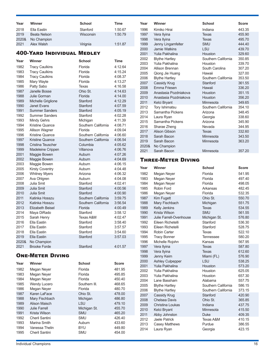| Year  | Winner       | <b>School</b> | Time    |
|-------|--------------|---------------|---------|
| 2018  | Ella Eastin  | Stanford      | 1:50.67 |
| 2019  | Beata Nelson | Wisconsin     | 1:50.79 |
| 2020& | No Champion  |               |         |
| 2021  | Alex Walsh   | Virignia      | 1:51.87 |

### 400-Yard Individual Medley

| Year  | Winner                  | <b>School</b>       | <b>Time</b> |
|-------|-------------------------|---------------------|-------------|
| 1982  | <b>Tracy Caulkins</b>   | Florida             | 4:12.64     |
| 1983  | <b>Tracy Caulkins</b>   | Florida             | 4:15.24     |
| 1984  | <b>Tracy Caulkins</b>   | Florida             | 4:08.37     |
| 1985  | Mary Wayte              | Florida             | 4:13.27     |
| 1986  | Patty Sabo              | Texas               | 4:16.58     |
| 1987  | Janelle Bosse           | Ohio St.            | 4:14.63     |
| 1988  | <b>Julie Gorman</b>     | Florida             | 4:14.00     |
| 1989  | Michelle Griglione      | Stanford            | 4:12.29     |
| 1990  | <b>Janet Evans</b>      | Stanford            | 4:07.59     |
| 1991  | <b>Summer Sanders</b>   | Stanford            | 4:05.19     |
| 1992  | <b>Summer Sanders</b>   | Stanford            | 4:02.28     |
| 1993  | <b>Mindy Gehrs</b>      | Michigan            | 4:11.39     |
| 1994  | Kristine Quance         | Southern California | 4:08.71     |
| 1995  | Allison Wagner          | Florida             | 4:09.04     |
| 1996  | <b>Kristine Quance</b>  | Southern California | 4:06.60     |
| 1997  | <b>Kristine Quance</b>  | Southern California | 4:06.54     |
| 1998  | Cristina Teuscher       | Columbia            | 4:05.62     |
| 1999  | Madeleine Crippen       | Villanova           | 4:06.76     |
| 2001  | Maggie Bowen            | Auburn              | 4:07.26     |
| 2002  | Maggie Bowen            | Auburn              | 4:04.69     |
| 2003  | Maggie Bowen            | Auburn              | 4:06.15     |
| 2005  | <b>Kirsty Coventry</b>  | Auburn              | 4:04.48     |
| 2006  | <b>Whitney Myers</b>    | Arizona             | 4:06.32     |
| 2007  | Ava Ohlgren             | Auburn              | 4:04.08     |
| 2008  | Julia Smit              | Stanford            | 4:02.41     |
| 2009  | Julia Smit              | Stanford            | 4:00.56     |
| 2010  | <b>Julia Smit</b>       | Stanford            | 4:00.90     |
| 2011  | Katinka Hosszu          | Southern California | 3:59.75     |
| 2012  | Katinka Hosszu          | Southern California | 3:56.54     |
| 2013  | <b>Elizabeth Beisel</b> | Florida             | 4:00.49     |
| 2014  | Maya DiRado             | Stanford            | 3:58.12     |
| 2015  | Sarah Henry             | Texas A&M           | 4:02.47     |
| 2016  | Ella Eastin             | Stanford            | 3:58.40     |
| 2017  | Ella Eastin             | Stanford            | 3:57.57     |
| 2018  | Ella Eastin             | Stanford            | 3:54.60     |
| 2019  | Ella Eastin             | Stanford            | 3:57.03     |
| 2020& | No Champion             |                     |             |
| 2021  | <b>Brooke Forde</b>     | Stanford            | 4:01.57     |

### One-Meter Diving

| Year | Winner              | <b>School</b> | <b>Score</b> |
|------|---------------------|---------------|--------------|
| 1982 | Megan Neyer         | Florida       | 481.95       |
| 1983 | Megan Neyer         | Florida       | 495.85       |
| 1984 | Megan Neyer         | Florida       | 450.40       |
| 1985 | <b>Wendy Lucero</b> | Southern III. | 468.65       |
| 1986 | Megan Neyer         | Florida       | 480.70       |
| 1987 | Karen LaFace        | Ohio St.      | 478.00       |
| 1988 | Mary Fischbach      | Michigan      | 486.80       |
| 1989 | Alison Maisch       | LSU           | 479.10       |
| 1990 | Julie Farrell       | Michigan St.  | 455.70       |
| 1991 | Krista Wilson       | <b>SMU</b>    | 465.20       |
| 1992 | Cheril Santini      | SMU           | 426.40       |
| 1993 | Marina Smith        | Auburn        | 433.60       |
| 1994 | Vanessa Thelin      | BYU           | 449.80       |
| 1995 | Cheril Santini      | <b>SMU</b>    | 454.00       |

| Year  | <b>Winner</b>         | <b>School</b>       | <b>Score</b> |
|-------|-----------------------|---------------------|--------------|
| 1996  | Kimiko Hirai          | Indiana             | 443.35       |
| 1997  | Vera Ilyina           | Texas               | 455.90       |
| 1998  | Vera Ilyina           | Texas               | 495.70       |
| 1999  | Jenny Lingamfelter    | <b>SMU</b>          | 444.40       |
| 2000  | Jamie Watkins         | LSU                 | 439.70       |
| 2001  | Yulia Pakhalina       | Houston             | 329.60       |
| 2002  | <b>Blythe Hartley</b> | Southern California | 350.85       |
| 2003  | Yulia Pakhalina       | Houston             | 339.70       |
| 2004  | Allison Brennan       | South Carolina      | 307.20       |
| 2005  | Qiong Jie Huang       | Hawaii              | 327.00       |
| 2006  | <b>Blythe Hartley</b> | Southern California | 353.50       |
| 2007  | Cassidy Krug          | Stanford            | 361.55       |
| 2008  | <b>Fmma Friesen</b>   | Hawaii              | 336.20       |
| 2009  | Anastasia Pozdniakova | Houston             | 351.15       |
| 2010  | Anastasia Pozdniakova | Houston             | 356.20       |
| 2011  | Kelci Bryant          | Minnesota           | 349.65       |
| 2012  | Tory Ishimatsu        | Southern California | 354.10       |
| 2013  | Samantha Pickens      | Arizona             | 348.45       |
| 2014  | Laura Ryan            | Georgia             | 338.60       |
| 2015  | Samantha Pickens      | Arizona             | 345.90       |
| 2016  | Sharae Zheng          | Nevada              | 344.95       |
| 2017  | Alison Gibson         | Texas               | 332.60       |
| 2018  | Sarah Bacon           | Minnesota           | 343.50       |
| 2019  | Sarah Bacon           | Minnesota           | 363.20       |
| 2020& | No Champion           |                     |              |
| 2021  | Sarah Bacon           | Minnesota           | 357.20       |

### Three-Meter Diving

| Year | Winner                  | <b>School</b>       | <b>Score</b> |
|------|-------------------------|---------------------|--------------|
| 1982 | Megan Neyer             | Florida             | 541.95       |
| 1983 | Megan Neyer             | Florida             | 497.40       |
| 1984 | Megan Neyer             | Florida             | 498.05       |
| 1985 | Robin Ford              | Arkansas            | 482.45       |
| 1986 | Megan Neyer             | Florida             | 532.35       |
| 1987 | Kim Fugett              | Ohio St.            | 550.70       |
| 1988 | Mary Fischbach          | Michigan            | 551.75       |
| 1989 | Kelly Jenkins           | <b>Texas</b>        | 534.55       |
| 1990 | Krista Wilson           | <b>SMU</b>          | 561.55       |
| 1991 | Julie Farrell-Ovenhouse | Michigan St.        | 576.80       |
| 1992 | Eileen Richetelli       | Stanford            | 536.30       |
| 1993 | Eileen Richetelli       | Stanford            | 528.75       |
| 1994 | Robin Carter            | Texas               | 522.10       |
| 1995 | <b>Tracy Bonner</b>     | <b>Tennessee</b>    | 580.20       |
| 1996 | Michelle Rojohn         | Kansas              | 567.95       |
| 1997 | Vera Ilyina             | <b>Texas</b>        | 587.80       |
| 1998 | Vera Ilyina             | Texas               | 612.60       |
| 1999 | Jenny Keim              | Miami (FL)          | 576.90       |
| 2000 | <b>Ashley Culpepper</b> | LSU                 | 538.25       |
| 2001 | Yulia Pakhalina         | Houston             | 573.20       |
| 2002 | Yulia Pakhalina         | Houston             | 625.05       |
| 2003 | Yulia Pakhalina         | Houston             | 657.30       |
| 2004 | Lane Bassham            | Alabama             | 557.75       |
| 2005 | <b>Blythe Hartley</b>   | Southern California | 586.15       |
| 2006 | <b>Blythe Hartley</b>   | Southern California | 373.15       |
| 2007 | Cassidy Krug            | Stanford            | 420.90       |
| 2008 | Chelsea Davis           | Ohio St.            | 365.85       |
| 2009 | Christina Loukas        | Indiana             | 437.75       |
| 2010 | Kelci Bryant            | Minnesota           | 415.50       |
| 2011 | Abby Johnston           | <b>Duke</b>         | 409.35       |
| 2012 | <b>Jaele Patrick</b>    | Texas A&M           | 410.15       |
| 2013 | <b>Casey Matthews</b>   | Purdue              | 386.55       |
| 2014 | Laura Ryan              | Georgia             | 423.15       |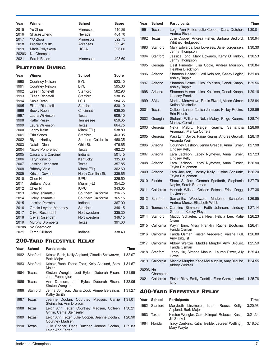| Year         | Winner                              | <b>School</b>       | <b>Score</b>     |
|--------------|-------------------------------------|---------------------|------------------|
| 2015         | Yu Zhou                             | Minnesota           | 410.25           |
| 2016         | Sharae Zheng                        | Nevada              | 404.70           |
| 2017         | <b>YU Zhou</b>                      | Minnesota           | 392.75           |
| 2018         | <b>Brooke Shultz</b>                | Arkansas            | 399.45           |
| 2019         | Maria Polyakova                     | <b>UCLA</b>         | 396.00           |
| 2020&        | No Champion                         |                     |                  |
| 2021         | Sarah Bacon                         | Minnesota           | 408.60           |
|              | <b>PLATFORM DIVING</b>              |                     |                  |
| Year         | Winner                              | <b>School</b>       | Score            |
| 1990         | Courtney Nelson                     | <b>BYU</b>          | 523.10           |
| 1991         | <b>Courtney Nelson</b>              | <b>BYU</b>          | 595.00           |
| 1992         | Eileen Richetelli                   | Stanford            | 582.90           |
| 1993         | Fileen Richetelli                   | Stanford            | 530.95           |
| 1994         | Susie Ryan                          | LSU                 | 584.65           |
| 1995         | Eileen Richetelli                   | Stanford            | 630.10           |
| 1996         | <b>Becky Ruehl</b>                  | Cincinnati          | 636.05           |
| 1997         | Laura Wilkinson                     | <b>Texas</b>        | 606.10           |
| 1998         | <b>Kathy Pesek</b>                  | Tennessee           | 659.65           |
| 1999         | Laura Wilkinson                     | <b>Texas</b>        | 664.75           |
| 2000         | Jenny Keim                          | Miami (FL)          | 538.80           |
| 2001         | Erin Sones                          | Stanford            | 463.05           |
| 2002         | <b>Blythe Hartley</b>               | Southern California | 460.35           |
| 2003         | Natalia Diea                        | Ohio St.            | 476.65           |
| 2004         | Nicole Pohorenec                    | Texas               | 482.20           |
| 2005<br>2006 | <b>Cassandra Cardinell</b>          | Indiana             | 501.45           |
| 2007         | Taryn Ignacio<br>Jessica Livingston | Kentucky<br>Texas   | 335.30<br>357.85 |
| 2008         | <b>Brittany Viola</b>               | Miami (FL)          | 362.60           |
| 2009         | <b>Kristen Davies</b>               | North Carolina St.  | 339.65           |
| 2010         | Chen Ni                             | <b>IUPUI</b>        | 325.50           |
| 2011         | <b>Brittany Viola</b>               | Miami (FL)          | 354.25           |
| 2012         | Chen Ni                             | <b>IUPUI</b>        | 343.05           |
| 2013         | Haley Ishimatsu                     | Southern California | 396.75           |
| 2014         | Haley Ishimatsu                     | Southern California | 365.15           |
| 2015         | Jessica Parratto                    | Indiana             | 367.00           |
| 2016         | Gracia Leydon-Mahoney               | Stanford            | 346.15           |
| 2017         | Olivia Rosendahl                    | Northwestern        | 335.30           |
| 2018         | Olivia Rosendah                     | Northwestern        | 346.15           |
| 2019         | Murphy Bromberg                     | Texas               | 391.60           |
| 2020&        | No Champion                         |                     |                  |
| 2021         | <b>Tarrin Gilliland</b>             | Indiana             | 338.40           |

### 200-Yard Freestyle Relay

| Year | <b>School</b> | <b>Participants</b>                                                       | Time    |
|------|---------------|---------------------------------------------------------------------------|---------|
| 1982 | Stanford      | Krissie Bush, Kelly Asplund, Claudia Schwarzer,<br>Barb Major             | 1:32.07 |
| 1983 | Stanford      | Krissie Bush, Diana Zock, Kelly Asplund, Barb<br>Major                    | 1:31.67 |
| 1984 | Texas         | Kirsten Wengler, Jodi Eyles, Deborah Risen,<br>Joan Pennington            | 1:31.95 |
| 1985 | Texas         | Ann Drolsom, Jodi Eyles, Deborah Risen,<br>Kirsten Wengler                | 1:32.06 |
| 1986 | Stanford      | Jenna Johnson, Diana Zock, Aimee Berzinsm, 1:31.27<br>Kathy Smith         |         |
| 1987 | Texas         | Jeanne Doolan, Courtney Madsen, Carrie<br>Steinseifer, Ann Drolsom        | 1:31.01 |
| 1988 | Texas         | Leigh Ann Fetter, Courtney Madsen, Colleen<br>Griffin, Carrie Steinseifer | 1:30.21 |
| 1989 | Texas         | Leigh Ann Fetter, Julie Cooper, Jeanne Doolan,<br><b>Courtney Madsen</b>  | 1:28.90 |
| 1990 | Texas         | Julie Cooper, Dana Dutcher, Jeanne Doolan,<br>Leigh Ann Fetter            | 1:29.83 |
|      |               |                                                                           |         |

| Year     | <b>School</b>          | <b>Participants</b>                                                         | Time    |
|----------|------------------------|-----------------------------------------------------------------------------|---------|
| 1991     | Texas                  | Leigh Ann Fetter, Julie Cooper, Dana Dutcher,<br>Andrea Fisher              | 1:30.01 |
| 1992     | Texas                  | Julie Cooper, Andrea Fisher, Barbara Bedford,<br><b>Whitney Hedgepeth</b>   | 1:30.94 |
| 1993     | Stanford               | Mary Edwards, Lea Loveless, Janel Jorgensen,<br>Jenny Thompson              | 1:30.30 |
| 1994     | Stanford               | Jessica Tong, Mary Edwards, Kerry O'Hanlon,<br>Jenny Thompson               | 1:30.53 |
| 1995     | Georgia                | Liesl Pimentel, Lisa Coole, Andrea Morrison,<br>Heather Blackmon            | 1:30.84 |
| 1996     | Arizona                | Shannon Hosack, Liesl Kolbisen, Casey Legler,<br><b>Ashley Tappin</b>       | 1:31.09 |
| 1997     | Arizona                | Shannon Hosack, Liesl Kolbisen, Denali Knapp,<br><b>Ashley Tappin</b>       | 1:29.56 |
| 1998     | Arizona                | Shannon Hosack, Liesl Kolbisen, Denali Knapp,<br>Lindsey Farella            | 1:29.16 |
| 1999     | <b>SMU</b>             | Martina Moravcova, Rania Elwani, Alison Wimer,<br>Katina Maistrellis        | 1:28.94 |
| 2001     | Texas                  | Colleen Lanne, Tanica Jamison, Kelley Robins,<br>Erin Phenix                | 1:28.89 |
| 2002     | Georgia                | Stefanie Williams, Neka Mabry, Paige Kearns,<br>Maritza Correia             | 1:28.74 |
| 2003     | Georgia                | Paige<br>Kearns, Samantha<br>Neka<br>Mabry,<br>Arsenault. Maritza Correia   | 1:28.96 |
| 2005     | Georgia                | Kara Lynn Joyce, Paige Kearns, Andrea Georoff,<br>Amanda Weir               | 1:28.10 |
| 2006     | Arizona                | Courtney Cashion, Jenna Gresdal, Anna Turner,<br>Lindsey Kelly              | 1:27.98 |
| 2007     | Arizona                | Lara Jackson, Lacey Nymeyer, Anna Turner,<br>Lindsey Kelly                  | 1:27.23 |
| 2008     | Arizona                | Lara Jackson, Lacey Nymeyer, Anna Turner,<br>Taylor Baughman                | 1:26.90 |
| 2009     | Arizona                | Lara Jackson, Lindsey Kelly, Justine Schluntz,<br>Taylor Baughman           | 1:26.20 |
| 2010     | Florida                | Shara Stafford, Gemma Spofforth, Stephanie<br>Napier, Sarah Bateman         | 1:27.79 |
| 2011     | California             | Hannah Wilson, Colleen Fotsch, Erica Dagg,<br>Liv Jensen                    | 1:27.36 |
| 2012     | Stanford               | Samantha Woodward,<br>Madeline Schaefer,<br>Andrea Murez, Elizabeth Webb    | 1:26.85 |
| 2013     |                        | Tennessee Caroline Simmons, Faith Johnson, Lindsay<br>Gendron, Kelsey Floyd | 1:27.14 |
| 2014     | Stanford               | Maddy Schaefer, Lia Neal, Felicia Lee, Katie<br>Olsen                       | 1:26.23 |
| 2015     | California             | Kaylin Bing, Missy Franklin, Rachel Bootsma,<br>Farida Osman                | 1:26.41 |
| 2016     | California             | Farida Osman, Kristen Vredeveld, Valerie Hull,<br>Amy Bilquist              | 1:26.80 |
| 2017     | California             | Abbey Weitzeil, Maddie Murphy, Amy Bilquist,<br>Farida Osman                | 1:25.59 |
| 2018     | Stanford               | Janey Hu, Simone Manuel, Lauren Pitzer, Ally                                | 1:25.43 |
| 2019     | California             | Howe<br>Maddie Murphy, Katie McLaughlin, Amy Bilquist,                      | 1:24.55 |
| 2020& No |                        | Abbey Weitzeil                                                              |         |
| 2021     | Champion<br>California | Eloise Riley, Emily Gantriis, Elise Garcia, Isabel<br>Ivey                  | 1:25.78 |
|          |                        |                                                                             |         |

### 400-Yard Freestyle Relay

| Year | School        | <b>Participants</b>                                            | Time    |
|------|---------------|----------------------------------------------------------------|---------|
|      | 1982 Stanford | Marybeth Linzmeier, Isabel Reuss, Kelly<br>Asplund, Barb Major | 3:20.98 |
| 1983 | Texas         | Kirsten Wengler, Carol Klimpel, Rebecca Kast,<br>Jill Sterkel  | 3:21.34 |
| 1984 | Florida       | Tracy Caulkins, Kathy Treible, Laureen Welting,<br>Mary Wayte  | 3:18.52 |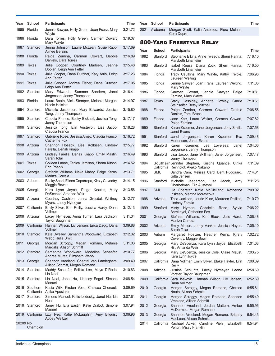|          | Year School                 | <b>Participants</b>                                                       | Time    |      | Year School   | <b>Participants</b>                                                                     | Time    |
|----------|-----------------------------|---------------------------------------------------------------------------|---------|------|---------------|-----------------------------------------------------------------------------------------|---------|
| 1985     | Florida                     | Jennie Sawyer, Holly Green, Joan Franz, Mary<br>Wayte                     | 3:21.72 |      | 2021 Alabama  | Morgan Scott, Kalia Antoniou, Flora Molnar,<br>Cora Dupre                               |         |
|          | 1986 Florida                | Dara Torres, Holly Green, Carmen Cowart,<br>Mary Wayte                    | 3:19.07 |      |               | <b>800-YARD FREESTYLE RELAY</b>                                                         |         |
|          | 1987 Stanford               | Jenna Johnson, Laurie McLean, Susie Rapp,<br>Aimee Berzins                | 3:17.69 | Year | <b>School</b> | <b>Participants</b>                                                                     | Time    |
|          | 1988 Florida                | Paige Zemina, Carmen Cowart, Debbie<br>Daniels, Dara Torres               | 3:16.89 | 1982 | Stanford      | Stephanie Elkins, Anne Tweedy, Sherri Hanna,<br>Marybeth Linzmeier                      | 7:16.10 |
| 1989     | Texas                       | Julie Cooper, Courtney Madsen, Jeanne<br>Doolan, Leigh Ann Fetter         | 3:15.48 | 1983 | Stanford      | Isabel Reuss, Diana Zock, Sherri Hanna,<br><b>Marybeth Linzmeier</b>                    | 7:16.50 |
| 1990     | Texas                       | Julie Cooper, Dana Dutcher, Katy Arris, Leigh<br>Ann Fetter               | 3:17.23 | 1984 | Florida       | Tracy Caulkins, Mary Wayte, Kathy Treible,<br>Laureen Welting                           | 7:06.98 |
|          | 1991 Texas                  | Julie Cooper, Andrea Fisher, Dana Dutcher,<br>Leigh Ann Fetter            | 3:17.05 | 1985 | Florida       | Jennie Sawyer, Joan Franz, Laureen Welting,<br>Mary Wayte                               | 7:11.88 |
|          | 1992 Stanford               | Mary Edwards, Summer Sanders, Janel<br>Jorgensen, Jenny Thompson          | 3:16.41 | 1986 | Florida       | Carmen Cowart, Jennie Sawyer, Paige<br>Zemina, Mary Wayte                               | 7:10.81 |
|          | 1993 Florida                | Laura Booth, Vicki Stemper, Melanie Morgan,<br>Nicole Haislett            | 3:14.97 | 1987 | Texas         | Stacy Cassiday, Annette Cowley, Carrie<br>Steinseifer, Betsy Mitchell                   | 7:10.61 |
|          | 1994 Stanford               | Michelle Jesperson, Mary Edwards, Jessica<br>Tong, Jenny Thompson         | 3:15.80 | 1988 | Florida       | Paige Zemina, Carmen Cowart, Debbie<br>Daniels, Tami Bruce                              | 7:06.56 |
| 1995     | Stanford                    | Claudia Franco, Becky Bicknell, Jessica Tong,<br>Jenny Thompson           | 3:17.17 | 1989 | Florida       | Jane Kerr, Laura Walker, Carmen Cowart,<br>Paige Zemina                                 | 7:07.82 |
| 1996     | Stanford                    | Jessica Tong, Elin Austevoll, Lisa Jacob,<br>Claudia Franco               | 3:18.28 | 1990 | Stanford      | Karen Kraemer, Janel Jorgensen, Jody Smith,<br><b>Janet Evans</b>                       | 7:07.58 |
|          | 1997 Stanford               | Gabrielle Rose, Jessica Amey, Claudia Franco,<br><b>Catherine Fox</b>     | 3:16.72 | 1991 | Stanford      | Janel Jorgensen, Karen Kraemer, Eva<br>Mortensen, Janet Evans                           | 7:09.48 |
|          | 1998 Arizona                | Shannon Hosack, Liesl Kolbisen, Lindsey<br>Farella, Denali Knapp          | 3:15.77 | 1992 | Stanford      | Karen Kraemer, Lea Loveless,<br>Janel<br>Jorgensen, Jenny Thompson                      | 7:04.06 |
| 1999     | Arizona                     | Lindsey Farella, Denali Knapp, Emily Mastin,<br>Sarah Tolar               | 3:16.49 | 1993 | Stanford      | Lisa Jacob, Jane Skillman, Janel Jorgensen,<br>Jenny Thompson                           | 7:07.47 |
|          | 2001 Texas                  | Colleen Lanne, Tanica Jamison, Shona Kitson,<br><b>Erin Phenix</b>        | 3:14.52 | 1994 |               | SouthernJennifer Stephen, Kristine Quance, Ulrika<br>California Reinholdt, Ayako Nakano | 7:11.89 |
|          | 2002 Georgia                | Stefanie Williams, Neka Mabry, Paige Kerns,<br>Maritza Correia            | 3:13.71 | 1995 | SMU           | Sandra Cam, Melissa Card, Berit Puggaard,<br>Gitta Jensen                               | 7:14.31 |
|          | 2003 Auburn                 | Becky Short, Eileen Coparropa, Kirsty Coventry,<br>Maggie Bowen           | 3:14.15 | 1996 | Stanford      | Michelle Jesperson, Lisa Jacob, Amy<br>Oberhelman, Elin Austevoll                       | 7:11.28 |
| 2005     | Georgia                     | Kara Lynn Joyce, Paige Kearns, Mary<br>DeScenza, Amanda Weir              | 3:13.56 | 1997 | <b>SMU</b>    | Lia Oberstar, Katie McClelland, Katherine<br>Inskeep, Martina Moravcova                 | 7:09.92 |
|          | 2006 Arizona                | Courtney Cashion, Jenna Gresdal, Whitney<br>Myers, Lacey Nymeyer          | 3:12.77 | 1998 | Arizona       | Trina Jackson, Laurie Kline, Maureen Phillips,<br><b>Lindsey Farella</b>                | 7:10.79 |
| 2007     | California                  | Emily Silver, Erin Reilly, Jessica Hardy, Dana<br>Vollmer                 | 3:12.13 | 1999 | Stanford      | Misty Hyman, Gabrielle Rose, Sylvia<br>Bereknyei, Catherine Fox                         | 7:06.22 |
|          | 2008 Arizona                | Lacey Nymeyer, Anna Turner, Lara Jackson,<br>Taylor Baughman              | 3:11.34 | 2001 | Georgia       | Stefanie Williams, Kim Black, Julie Hardt,<br>Maritza Correia                           | 7:06.48 |
| 2009     | California                  | Hannah Wilson, Liv Jensen, Erica Dagg, Dana<br>Vollmer                    | 3:09.88 | 2002 | Arizona       | Emily Mason, Jenny Vanker, Jessica Hayes,<br>Sarah Tolar                                | 7:05.10 |
|          | 2010 Stanford               | Kate Dwelley, Samantha Woodward, Elizabeth<br>Webb, Julia Smit            | 3:12.32 | 2003 | Auburn        | Margaret Hoelzer, Heather Kemp, Kirsty<br>Coventry, Maggie Bown                         | 7:02.72 |
| 2011     | Georgia                     | Morgan Scroggy, Megan Romano, Melanie<br>Margalis, Allison Schmitt        | 3:11.03 | 2005 | Georgia       | Mary DeScenza, Kara Lynn Joyce, Elizabeth<br>Hill, Amanda Weir                          | 7:01.03 |
|          | 2012 Stanford               | Samantha Woodward, Madeline Schaefer,<br>Andrea Murez, Elizabeth Webb     | 3:10.77 | 2006 | Georgia       | Mary DeScenza, Jessica Cole, Claire Maust,<br>Kara Lynn Joyce                           | 7:03.75 |
|          | 2013 Georgia                | Shannon Vreeland, Chantal Van Landeghem,<br>Allison Schmitt, Megan Romano | 3:09.40 | 2007 |               | California Dana Vollmer, Emily Silver, Blake Hayter, Erin<br>Reilly                     | 7:00.89 |
|          | 2014 Stanford               | Maddy Schaefer, Felicia Lee, Maya DiRado,<br>Lia Neal                     | 3:10.83 | 2008 | Arizona       | Justine Schluntz, Lacey Nymeyer, Leone<br>Vorster, Taylor Baughman                      | 6:58.69 |
|          | 2015 Stanford               | Lia Neal, Janet Hu, Lindsey Engel, Simone<br>Manuel                       | 3:08.54 | 2009 |               | California Sara Isakovic, Hannah Wilson, Liv Jensen,<br>Dana Vollmer                    | 6:52.69 |
|          | 2016 Southern<br>California | Kasia Wilk, Kirsten Vose, Chelsea Chenault,<br>Anika Apostalon            | 3:09.69 | 2010 | Georgia       | Morgan Scroggy, Megan Romano, Chelsea<br>Nauta, Allison Schmitt                         | 6:55.61 |
|          | 2017 Stanford               | Simone Manuel, Katie Ledecky, Janet Hu, Lia<br>Neal                       | 3:07.61 | 2011 | Georgia       | Morgan Scroggy, Megan Romano, Shannon<br>Vreeland, Allison Schmitt                      | 6:55.40 |
|          | 2018 Stanford               | Janey Hu, Ella Eastin, Katie Drabot, Simone<br>Manuel                     | 3:07.94 | 2012 | Georgia       | Shannon Vreeland, Jordan Mattern, Amber<br>McDermott, Megan Romano                      | 6:55.96 |
|          | 2019 California             | Izzy Ivey, Katie McLaughlin, Amy Bilquist,<br>Abbey Weitzeil              | 3:06.96 | 2013 | Georgia       | Shannon Vreeland, Megan Romano, Brittany<br>MacLean, Allison Schmitt                    | 6:54.43 |
| 2020& No | Champion                    |                                                                           |         | 2014 |               | California Rachael Acker, Caroline Piehl, Elizabeth<br>Pelton, Missy Franklin           | 6:54.94 |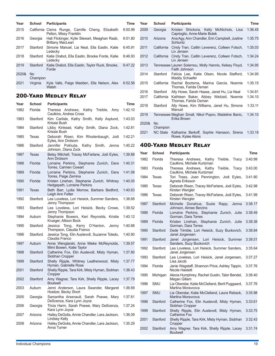| Year  | School                | <b>Participants</b>                                                            | Time    |
|-------|-----------------------|--------------------------------------------------------------------------------|---------|
| 2015  |                       | California Cierra Runge, Camille Cheng,<br>Elizabeth<br>Pelton, Missy Franklin | 6:50.99 |
| 2016  | Georgia               | Hali Flickinger, Kylie Stewart, Meaghan Raab,<br><b>Brittany MacLean</b>       | 6:51.80 |
| 2017  | Stanford              | Simone Manuel, Lia Neal, Ella Eastin, Katie<br>Ledecky                         | 6:45.91 |
| 2018  | Stanford              | Katie Drabot, Ella Eastin, Brooke Forde, Katie<br>Ledecky                      | 6:46.93 |
| 2019  | Stanford              | Katie Drabot, Ella Eastin, Taylor Ruck, Brooke,<br>Forde                       | 6:47.22 |
| 2020& | <b>No</b><br>Champion |                                                                                |         |
| 2021  | Virginia              | Kyla Valls, Paige Madden, Ella Nelson, Alex<br>Walsh                           | 6:52.56 |

### 200-Yard Medley Relay

| 1982<br>Florida<br>Theresa<br>Andrews,<br>Kathy Treible,<br>Amy<br>Caulkins, Andrea Cross<br>1983<br>Kim Carlisle, Kathy Smith, Kelly Asplund,<br>Stanford<br>Krissie Bush<br>Libby Kinkead, Kathy Smith, Diana Zock,<br>1984<br>Stanford<br>Krissie Bush<br>1985<br>Deborah Risen, Kim Rhodenbaugh, Jodi<br>Texas<br>Eyles, Ann Drolsom<br>Stanford<br>1986<br>Jennifer Pokluda,<br>Kathy Smith, Jenna<br>Johnson, Diana Zock<br>1987<br>Betsy Mitchell, Tracey McFarlane, Jodi Eyles,<br>Texas<br><b>Ann Drolsom</b><br>Lorraine Perkins, Stephanie Zunich, Dara<br>1988<br>Florida | 1:42.10<br>1:43.03<br>1:42.81<br>1:42.21<br>1:40.22 |
|---------------------------------------------------------------------------------------------------------------------------------------------------------------------------------------------------------------------------------------------------------------------------------------------------------------------------------------------------------------------------------------------------------------------------------------------------------------------------------------------------------------------------------------------------------------------------------------|-----------------------------------------------------|
|                                                                                                                                                                                                                                                                                                                                                                                                                                                                                                                                                                                       |                                                     |
|                                                                                                                                                                                                                                                                                                                                                                                                                                                                                                                                                                                       |                                                     |
|                                                                                                                                                                                                                                                                                                                                                                                                                                                                                                                                                                                       |                                                     |
|                                                                                                                                                                                                                                                                                                                                                                                                                                                                                                                                                                                       |                                                     |
|                                                                                                                                                                                                                                                                                                                                                                                                                                                                                                                                                                                       |                                                     |
|                                                                                                                                                                                                                                                                                                                                                                                                                                                                                                                                                                                       | 1:39.88                                             |
| Torres, Carmen Cowart                                                                                                                                                                                                                                                                                                                                                                                                                                                                                                                                                                 | 1:40.31                                             |
| Lorraine Perkins, Stephanie Zunich, Dara<br>1989<br>Florida<br>Torres, Paige Zemina                                                                                                                                                                                                                                                                                                                                                                                                                                                                                                   | 1:41.08                                             |
| 1990<br>Florida<br>Kristen Linehan, Stephanie Zunich, Whitney<br>Hedgepeth, Lorraine Perkins                                                                                                                                                                                                                                                                                                                                                                                                                                                                                          | 1:40.05                                             |
| 1991<br>Texas<br>Beth Barr, Lydia Morrow, Barbara Bedford,<br>Leigh Ann Fetter                                                                                                                                                                                                                                                                                                                                                                                                                                                                                                        | 1:40.63                                             |
| 1992<br>Stanford<br>Lea Loveless, Lori Heisick, Summer Sanders,<br>Jenny Thompson                                                                                                                                                                                                                                                                                                                                                                                                                                                                                                     | 1:38.68                                             |
| Stanford<br>Lea Loveless, Lori Heisick, Becky Crowe,<br>1993<br>Jenny Thompson                                                                                                                                                                                                                                                                                                                                                                                                                                                                                                        | 1:39.52                                             |
| Stephanie Bowers, Keri Reynolds, Kristie<br>1994<br>Auburn<br>Krueger, Allison Bock                                                                                                                                                                                                                                                                                                                                                                                                                                                                                                   | 1:40.12                                             |
| 1995<br>Stanford<br>Jessica<br>Tong,<br>Kerry O'Hanlon,<br>Jenny<br>Thompson, Claudia Franco                                                                                                                                                                                                                                                                                                                                                                                                                                                                                          | 1:40.88                                             |
| Jessica Tong, Elin Austevoll, Suzanne Toledo,<br>1996<br>Stanford<br>Claudia Franco                                                                                                                                                                                                                                                                                                                                                                                                                                                                                                   | 1:40.90                                             |
| Anne Wenglarski, Anne Mieke McReynolds,<br>1997<br>Auburn<br>Mimi Bowen, Katie Taylor                                                                                                                                                                                                                                                                                                                                                                                                                                                                                                 | 1:39.57                                             |
| Catherine Fox, Elin Austevoll, Misty Hyman,<br>1998<br>Stanford<br>Siobhan Cropper                                                                                                                                                                                                                                                                                                                                                                                                                                                                                                    | 1:37.80                                             |
| 1999<br>Stanford<br>Shelly Ripple, Whitney Leatherwood, Misty<br>Hyman, Gabrielle Rose                                                                                                                                                                                                                                                                                                                                                                                                                                                                                                | 1:37.77                                             |
| Shelly Ripple, Tara Kirk, Misty Hyman, Siobhan<br>2001<br>Stanford<br>Cropper                                                                                                                                                                                                                                                                                                                                                                                                                                                                                                         | 1:38.43                                             |
| Stanford<br>Amy Wagner, Tara Kirk, Shelly Ripple, Lacey<br>2002<br><b>Boutwell</b>                                                                                                                                                                                                                                                                                                                                                                                                                                                                                                    | 1:37.79                                             |
| Jenni Anderson, Laura Swander, Margaret<br>2003<br>Auburn<br>Hoelzer, Becky Short                                                                                                                                                                                                                                                                                                                                                                                                                                                                                                     | 1:36.69                                             |
| Samantha Arsenault, Sarah Poewe, Mary<br>2005<br>Georgia<br>DeScenza, Kara Lynn Joyce                                                                                                                                                                                                                                                                                                                                                                                                                                                                                                 | 1:37.81                                             |
| Tricia Harm, Sarah Poewe, Mary DeScenza,<br>2006<br>Georgia<br>Kara Lynn Joyce                                                                                                                                                                                                                                                                                                                                                                                                                                                                                                        | 1:37.24                                             |
| Hailey DeGolia, Annie Chandler, Lara Jackson,<br>2007<br>Arizona<br>Lindsey Kelly                                                                                                                                                                                                                                                                                                                                                                                                                                                                                                     | 1:36.09                                             |
| Hailey DeGolia, Annie Chandler, Lara Jackson,<br>2008<br>Arizona<br>Anna Turner                                                                                                                                                                                                                                                                                                                                                                                                                                                                                                       | 1:35.29                                             |

| Year  | <b>School</b>              | <b>Participants</b>                                                     | <b>Time</b> |
|-------|----------------------------|-------------------------------------------------------------------------|-------------|
| 2009  | Georgia                    | Kristen Shickora, Kelly McNichols, Lisa<br>Caprioglio, Anne-Marie Botek | 1:36.45     |
| 2010  | Arizona                    | Ana Agy, Ann Chandler, Erin Campbell, Justine<br>Schluntz               | 1:35.75     |
| 2011  | California                 | Cindy Tran, Caitlin Leverenz, Colleen Fotsch,<br>Liv Jensen             | 1:35.03     |
| 2012  | California                 | Cindy Tran, Caitlin Leverenz, Colleen Fotsch,<br>I iv Jensen            | 1:34.24     |
| 2013  |                            | Tennessee Lauren Solernou, Molly Hannis, Kelsey Floyd,<br>Faith Johnson | 1:34.95     |
| 2014  | Stanford                   | Felicia Lee, Katie Olsen, Nicole Stafford,<br>Maddy Schaefer            | 1:34.95     |
| 2015  | California                 | Rachel Bootsma, Marina Garcia, Noemie<br>Thomas, Farida Osman           | 1:35.15     |
| 2016  | Stanford                   | Ally Howe, Sarah Haase, Janet Hu, Lia Neal                              | 1:34.81     |
| 2017  | California                 | Kathleen Baker, Abbey Weitzeil, Noemie<br>Thomas, Farida Osman          | 1:34.10     |
| 2018  | Stanford                   | Ally Howe, Kim Williams, Janet Hu, Simone<br>Manuel                     | 1:33.11     |
| 2019  |                            | Tennessee Meghan Small, Nikol Popov, Madeline Banic,<br>Erika Brown     | 1:34.10     |
| 2020& | N <sub>0</sub><br>Champion |                                                                         |             |
| 2021  | <b>NC State</b>            | Katharine Berkoff, Sophie Hansson, Sirena<br>Rowe, Kylee Alons          | 1:33.18     |

### 400-Yard Medley Relay

| Year | <b>School</b> | <b>Participants</b>                                                       | Time    |
|------|---------------|---------------------------------------------------------------------------|---------|
| 1982 | Florida       | Theresa Andrews, Kathy<br>Treible,<br>Tracy<br>Caulkins, Michele Kurtzman | 3:40.99 |
| 1983 | Florida       | Theresa Andrews, Kathy<br>Treible,<br>Tracy<br>Caulkins, Michele Kurtzman | 3:43.00 |
| 1984 | Texas         | Tori Trees, Joan Pennington, Jodi Eyles,<br>Agneta Eriksson               | 3:41.80 |
| 1985 | Texas         | Deborah Risen, Tracey McFarlane, Jodi Eyles,<br>Kirsten Wengler           | 3:42.98 |
| 1986 | Texas         | Deborah Risen, Tracey McFarlane, Jodi Eyles,<br>Kirsten Wengler           | 3:41.99 |
| 1987 | Stanford      | Michelle Donahue.<br>Susie<br>Rapp,<br>Jenna<br>Johnson, Aimee Berzins    | 3:38.17 |
| 1988 | Florida       | Lorraine Perkins, Stephanie Zunich, Julie<br>Gorman, Dara Torres          | 3:38.49 |
| 1989 | Florida       | Kristen Linehan, Stephanie Zunich, Julie<br>Gorman, Dara Torres           | 3:38.38 |
| 1990 | Stanford      | Dede Trimble, Lori Heisick, Suzy Buckovich,<br>Janel Jorgensen            | 3:38.84 |
| 1991 | Stanford      | Janel Jorgensen, Lori<br>Heisick,<br>Summer<br>Sanders, Suzy Buckovich    | 3:39.51 |
| 1992 | Stanford      | Lea Loveless, Lori Heisick, Summer Sanders,<br>Janel Jorgensen            | 3:35.64 |
| 1993 | Stanford      | Lea Loveless, Lori Heisick, Janel Jorgensen,<br>Lisa Jacob                | 3:37.27 |
| 1994 | Florida       | Janie Wagstaff, Shannon Price, Ashley Tappin,<br>Nicole Haislett          | 3:37.76 |
| 1995 | Michigan      | Alecia Humphrey, Rachel Gustin, Talor Bendel,<br>Megan Gillam             | 3:38.40 |
| 1996 | SMU           | Lia Oberstar, Katie McClelland, Berit Puggaard,<br>Martina Moravcova      | 3:37.76 |
| 1997 | <b>SMU</b>    | Lia Oberstar, Katie McClelland, Laura Reback,<br>Martina Moravcova        | 3:35.98 |
| 1998 | Stanford      | Catherine Fox, Elin Austevoll, Misty Hyman,<br>Siobhan Cropper            | 3:33.61 |
| 1999 | Stanford      | Shelly Ripple, Elin Austevoll, Misty Hyman,<br>Catherine Fox              | 3:33.75 |
| 2001 | Stanford      | Shelly Ripple, Tara Kirk, Misty Hyman, Siobhan<br>Cropper                 | 3:32.43 |
| 2002 | Stanford      | Amy Wagner, Tara Kirk, Shelly Ripple, Lacey<br><b>Boutwell</b>            | 3:31.74 |
|      |               |                                                                           |         |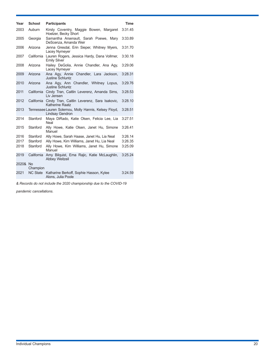| Year     | <b>School</b>   | <b>Participants</b>                                                               | <b>Time</b> |
|----------|-----------------|-----------------------------------------------------------------------------------|-------------|
| 2003     | Auburn          | Kirsty Coventry, Maggie Bowen, Margaret<br>Hoelzer, Becky Short                   | 3:31.45     |
| 2005     | Georgia         | Samantha Arsenault, Sarah Poewe, Mary<br>DeScenza, Amanda Weir                    | 3:33.89     |
| 2006     | Arizona         | Jenna Gresdal, Erin Sieper, Whitney Myers,<br>Lacey Nymeyer                       | 3:31.70     |
| 2007     | California      | Lauren Rogers, Jessica Hardy, Dana Vollmer,<br><b>Emily Silver</b>                | 3:30.18     |
| 2008     | Arizona         | Hailey DeGolia, Annie Chandler, Ana Agy,<br>Lacey Nymeyer                         | 3:29.06     |
| 2009     | Arizona         | Ana Agy, Annie Chandler, Lara Jackson,<br><b>Justine Schluntz</b>                 | 3:28.31     |
| 2010     | Arizona         | Ana Agy, Ann Chandler, Whitney Lopus,<br><b>Justine Schluntz</b>                  | 3:29.76     |
| 2011     |                 | California Cindy Tran, Caitlin Leverenz, Amanda Sims,<br>Liv Jensen               | 3:28.53     |
| 2012     |                 | California Cindy Tran, Caitlin Leverenz, Sara Isakovic,<br><b>Katherine Raatz</b> | 3:28.10     |
| 2013     |                 | Tennessee Lauren Solernou, Molly Hannis, Kelsey Floyd,<br><b>Lindsay Gendron</b>  | 3:28.51     |
| 2014     | Stanford        | Maya DiRado, Katie Olsen, Felicia Lee, Lia<br>Neal                                | 3:27.51     |
| 2015     | Stanford        | Ally Howe, Katie Olsen, Janet Hu, Simone<br>Manuel                                | 3:26.41     |
| 2016     | Stanford        | Ally Howe, Sarah Haase, Janet Hu, Lia Neal                                        | 3:26.14     |
| 2017     | Stanford        | Ally Howe, Kim Williams, Janet Hu, Lia Neal                                       | 3:26.35     |
| 2018     | Stanford        | Ally Howe, Kim Williams, Janet Hu, Simone<br>Manuel                               | 3:25.09     |
| 2019     | California      | Amy Bilquist, Ema Rajic, Katie McLaughlin,<br><b>Abbey Weitzeil</b>               | 3:25.24     |
| 2020& No | Champion        |                                                                                   |             |
| 2021     | <b>NC State</b> | Katharine Berkoff, Sophie Hasson, Kylee<br>Alons, Julia Poole                     | 3:24.59     |
|          |                 | & Records do not include the 2020 championship due to the COVID-19                |             |

*pandemic cancellations.*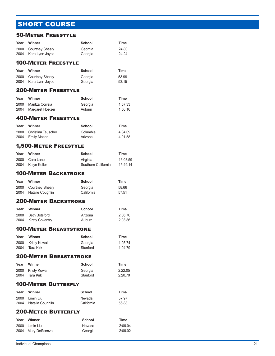# SHORT COURSE

### 50-Meter Freestyle

| Year<br>2000 | Winner<br><b>Courtney Shealy</b>                | School<br>Georgia     | Time<br>24.80      |
|--------------|-------------------------------------------------|-----------------------|--------------------|
| 2004         | Kara Lynn Joyce                                 | Georgia               | 24.24              |
|              | <b>100-METER FREESTYLE</b>                      |                       |                    |
| Year         | Winner                                          | School                | <b>Time</b>        |
| 2000<br>2004 | <b>Courtney Shealy</b><br>Kara Lynn Joyce       | Georgia<br>Georgia    | 53.99<br>53.15     |
|              | <b>200-METER FREESTYLE</b>                      |                       |                    |
| Year         | Winner                                          | School                | <b>Time</b>        |
| 2000<br>2004 | Maritza Correia<br>Margaret Hoelzer             | Georgia<br>Auburn     | 1:57.33<br>1:56.16 |
|              | <b>400-METER FREESTYLE</b>                      |                       |                    |
| Year         | Winner                                          | School                | Time               |
| 2000<br>2004 | <b>Christina Teuscher</b><br><b>Emily Mason</b> | Columbia<br>Arizona   | 4:04.09<br>4:01.58 |
|              | <b>1,500-METER FREESTYLE</b>                    |                       |                    |
| Year         | Winner                                          | School                | Time               |
| 2000         | Cara Lane                                       | Virginia              | 16:03.59           |
| 2004         | Kalyn Keller                                    | Southern California   | 15:49.14           |
|              | <b>100-METER BACKSTROKE</b>                     |                       |                    |
| Year         | Winner                                          | School                | Time               |
| 2000<br>2004 | <b>Courtney Shealy</b><br>Natalie Coughlin      | Georgia<br>California | 58.66<br>57.51     |
|              | <b>200-METER BACKSTROKE</b>                     |                       |                    |
| Year         | Winner                                          | <b>School</b>         | Time               |
| 2000<br>2004 | <b>Beth Botsford</b>                            | Arizona<br>Auburn     | 2:06.70<br>2:03.86 |
|              | <b>Kirsty Coventry</b>                          |                       |                    |
|              | <b>100-METER BREASTSTROKE</b>                   |                       |                    |
| Year         | Winner                                          | School                | Time               |
| 2000<br>2004 | <b>Kristy Kowal</b><br>Tara Kirk                | Georgia<br>Stanford   | 1:05.74<br>1:04.79 |
|              | <b>200-METER BREASTSTROKE</b>                   |                       |                    |
| Year         | Winner                                          | <b>School</b>         | Time               |
| 2000         | <b>Kristy Kowal</b>                             | Georgia               | 2:22.05            |
| 2004         | <b>Tara Kirk</b>                                | Stanford              | 2:20.70            |
|              | <b>100-METER BUTTERFLY</b>                      |                       |                    |
| Year         | Winner                                          | <b>School</b>         | Time               |
| 2000         | Limin Liu                                       | Nevada                | 57:97              |
| 2004         | Natalie Coughlin                                | California            | 56.88              |
|              | <b>200-METER BUTTERFLY</b>                      |                       |                    |
| Year         | Winner                                          | School                | Time               |
| 2000<br>2004 | Limin Liu<br>Mary DeScenza                      | Nevada<br>Georgia     | 2:06.04<br>2:06.02 |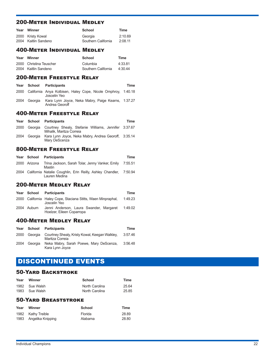### 200-Meter Individual Medley

| Year | Winner               | School              | Time    |
|------|----------------------|---------------------|---------|
|      | 2000 Kristy Kowal    | Georgia             | 2:10.69 |
|      | 2004 Kaitlin Sandeno | Southern California | 2:08.11 |

### 400-Meter Individual Medley

| Year | Winner                  | School              | Time    |
|------|-------------------------|---------------------|---------|
|      | 2000 Christina Teuscher | Columbia            | 4:33.81 |
|      | 2004 Kaitlin Sandeno    | Southern California | 4:30.44 |

### 200-Meter Freestyle Relay

| Year |         | School Participants                                                                | Time |
|------|---------|------------------------------------------------------------------------------------|------|
|      |         | 2000 California Anya Kolbisen, Haley Cope, Nicole Omphroy, 1:40.18<br>Joscelin Yeo |      |
| 2004 | Georgia | Kara Lynn Joyce, Neka Mabry, Paige Kearns, 1:37.27<br>Andrea Georoff               |      |

#### 400-Meter Freestyle Relay

| Year |         | School Participants                                                                           | Time |
|------|---------|-----------------------------------------------------------------------------------------------|------|
|      |         | 2000 Georgia Courtney Shealy, Stefanie Williams, Jennifer 3:37.67<br>Mihalik. Maritza Correia |      |
| 2004 | Georgia | Kara Lynn Joyce, Neka Mabry, Andrea Georoff, 3:35.14<br>Mary DeScenza                         |      |

### 800-Meter Freestyle Relay

|              | Year School Participants                                                                 | Time |
|--------------|------------------------------------------------------------------------------------------|------|
| 2000 Arizona | Trina Jackson, Sarah Tolar, Jenny Vanker, Emily 7:55.51<br>Mastin                        |      |
|              | 2004 California Natalie Coughlin, Erin Reilly, Ashley Chandler, 7:50.94<br>Lauren Medina |      |

### 200-Meter Medley Relay

|             | Year School Participants                                                      | Time    |
|-------------|-------------------------------------------------------------------------------|---------|
|             | 2000 California Haley Cope, Staciana Stitts, Waen Minpraphal,<br>Joscelin Yeo | 1:49.23 |
| 2004 Auburn | Jenni Anderson, Laura Swander, Margaret<br>Hoelzer, Eileen Coparropa          | 1:49.02 |

### 400-Meter Medley Relay

| Year |              | School Participants                                               | Time    |
|------|--------------|-------------------------------------------------------------------|---------|
|      | 2000 Georgia | Courtney Shealy, Kristy Kowal, Keegan Walkley,<br>Maritza Correia | 3:57.46 |
| 2004 | Georgia      | Neka Mabry, Sarah Poewe, Mary DeScenza,<br>Kara Lynn Joyce        | 3:56.48 |

### DISCONTINUED EVENTS

### 50-Yard Backstroke

| Year | Winner         | School         | Time  |
|------|----------------|----------------|-------|
|      | 1982 Sue Walsh | North Carolina | 25.64 |
|      | 1983 Sue Walsh | North Carolina | 25.85 |

### 50-Yard Breaststroke

| Year | Winner                 | School  | Time  |
|------|------------------------|---------|-------|
|      | 1982 Kathy Treible     | Florida | 28.89 |
|      | 1983 Angelika Knipping | Alabama | 28.80 |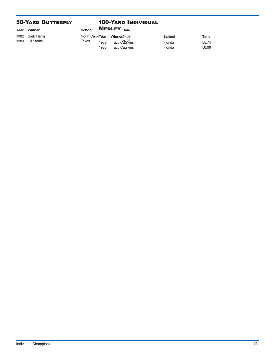### 50-Yard Butterfly

#### 100-Yard Individual

| Year | Winner            | <b>School</b> |      | <b>MEDLEY</b> $_{Time}$            |         |             |
|------|-------------------|---------------|------|------------------------------------|---------|-------------|
|      | 1982 Barb Harris  |               |      | North Carolmear Winner 24.82       | School  | <b>Time</b> |
|      | 1983 Jill Sterkel | Texas         |      | 1982 Tracy Catul <del>ใ</del> ห้กร | Florida | 55.74       |
|      |                   |               | 1983 | Tracy Caulkins                     | Florida | 56.09       |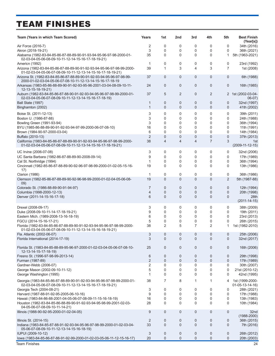# TEAM FINISHES

| Team (Years in which Team Scored)                                                                                                      | Years               | 1st               | 2nd                 | 3rd         | 4th               | 5th               | <b>Best Finish</b><br>(Year[s])     |
|----------------------------------------------------------------------------------------------------------------------------------------|---------------------|-------------------|---------------------|-------------|-------------------|-------------------|-------------------------------------|
| Air Force (2016-7)                                                                                                                     | 2                   | 0                 | 0                   | 0           | 0                 | 0                 | 34th (2016)                         |
| Akron (2018-19-21)                                                                                                                     | 3                   | 0                 | 0                   | 0           | 0                 | 0                 | 36th (2021)                         |
| Alabama (1982-83-84-85-86-87-88-89-90-91-93-94-95-96-97-98-2000-01-<br>02-03-04-05-06-08-09-10-11-12-14-15-16-17-18-19-21)             | 35                  | 0                 | 0                   | 0           | 0                 | 1                 | 5th (1963-2021)                     |
| Americn (1992)                                                                                                                         | 1                   | 0                 | 0                   | 0           | 0                 | 0                 | 23rd (1992)                         |
| Arizona (1982-83-84-85-86-87-88-89-90-91-92-93-94-95-96-97-98-99-2000-<br>01-02-03-04-05-06-07-08-09-10-11-12-13-14-15-16-17-18-19-21) | 39                  | 1                 | 3                   | 4           | 3                 | $\overline{7}$    | 1st (2008)                          |
| Arizona St. (1982-83-84-85-86-87-88-89-90-91-92-93-94-95-96-97-98-99-<br>2000-01-02-03-04-05-06-07-08-10-11-12-13-14-15-16-17-18-19    | 37                  | 0                 | $\mathbf 0$         | 0           | 0                 | 0                 | 6th (1988)                          |
| Arkansas (1983-85-86-88-89-90-91-92-93-95-96-2001-03-04-08-09-10-11-<br>12-13-15-18-19-21)                                             | 24                  | 0                 | $\mathbf 0$         | 0           | 0                 | 0                 | 16th (1985)                         |
| Auburn (1982-83-84-85-86-87-88-90-91-92-93-94-95-96-97-98-99-2000-01-<br>02-03-04-05-06-07-08-09-10-11-12-13-14-15-16-17-18-19)        | 37                  | 5                 | 2                   | 0           | 2                 | $\overline{2}$    | 1st (2002-03-04-<br>$06-07)$        |
| Ball State (1997)<br>Binghamton (2002)                                                                                                 | 1<br>$\mathbf{1}$   | 0<br>$\mathbf{0}$ | 0<br>$\overline{0}$ | 0<br>0      | 0<br>$\mathbf{0}$ | 0<br>$\mathbf{0}$ | 32nd (1997)<br>41th (2002)          |
| Boise St. (2011-12-13)                                                                                                                 | 3                   | 0                 | 0                   | 0           | 0                 | 0                 | 39th (2011)                         |
| Boston U. (1986-87-88)                                                                                                                 | 3                   | 0                 | 0                   | 0           | 0                 | 0                 | 24th (1988)                         |
| Bowling Green (1991-93-94)                                                                                                             | 3                   | 0                 | 0                   | 0           | 0                 | 0                 | 36th (1994)                         |
| BYU (1985-86-88-89-90-91-92-93-94-97-99-2000-06-07-08-10)                                                                              | 16                  | 0                 | 0                   | 0           | 0                 | 0                 | 11th (1991)                         |
| Brown (1984-90-97-2000-03-04)                                                                                                          | 6                   | 0                 | 0                   | 0           | 0                 | 0                 | 14th (1984)                         |
| Buffalo (2010-13)                                                                                                                      | $\overline{2}$      | 0                 | $\mathbf 0$         | 0           | 0                 | $\mathbf 0$       | 37th (2013)                         |
| California (1983-84-85-86-87-88-89-90-91-92-93-94-95-96-97-98-99-2000-<br>01-02-03-04-05-06-07-08-09-10-11-12-13-14-15-16-17-18-19-21) | 38                  | 4                 | $\overline{4}$      | 4           | 7                 | 3                 | 1st<br>$(2009-11-12-15)$            |
| UC Irvine (2006-07-08)                                                                                                                 | 3                   | 0                 | 0                   | 0           | 0                 | 0                 | 32nd (2006)                         |
| UC Santa Barbara (1982-86-87-88-89-90-2008-09-14)                                                                                      | 9                   | 0                 | 0                   | $\mathbf 0$ | 0                 | 0                 | 17th (1989)                         |
| Cal St. Northridge (1994)                                                                                                              | 1                   | 0                 | 0                   | 0           | 0                 | 0                 | 36th (1994)                         |
| Cincinnati (1982-85-86-87-88-89-90-92-96-97-98-99-2000-01-02-05-15-16-<br>17)                                                          | 19                  | 0                 | 0                   | 0           | 0                 | 0                 | 13th (1986)                         |
| Clarion (1986)                                                                                                                         | 1                   | 0                 | 0                   | 0           | 0                 | 0                 | 36th (1986)                         |
| Clemson (1982-85-86-87-88-89-90-92-96-98-99-2000-01-02-04-05-06-08-<br>09)                                                             | 19                  | 0                 | $\mathbf 0$         | 0           | 0                 | $\overline{2}$    | 5th (1987-88)                       |
| Colorado St. (1986-88-89-90-91-94-97)                                                                                                  | 7                   | 0                 | 0                   | 0           | 0                 | 0                 | 12th (1994)                         |
| Columbia (1998-2000-12-13)                                                                                                             | $\overline{4}$      | $\mathbf{0}$      | $\mathbf 0$         | 0           | 0                 | 0                 | 20th (1998)                         |
| Denver (2011-14-15-16-17-18)                                                                                                           | 6                   | $\mathbf{0}$      | $\mathbf{0}$        | 0           | 0                 | 0                 | 28th<br>$(2011 - 14 - 15)$          |
| Drexel (2008-09-17)                                                                                                                    | 3                   | 0                 | 0                   | 0           | 0                 | 0                 | 38th (2009)                         |
| Duke (2008-09-10-11-14-17-18-19-21)                                                                                                    | 9                   | 0                 | 0                   | 0           | 0                 | 0                 | 19th (2011)                         |
| Eastern Mich. (1989-2008-13-16-18-19)                                                                                                  | 6                   | 0                 | $\mathbf 0$         | 0           | 0                 | 0                 | 23rd (2013)                         |
| FGCU (2014-15-16-17-21)                                                                                                                | 5                   | 0                 | 0                   | 0           | 0                 | 0                 | 26th (2015)                         |
| Florida (1982-83-84-85-86-87-88-89-90-91-92-93-94-95-96-97-98-99-2000-<br>01-02-03-04-05-06-07-08-09-10-11-12-13-14-15-16-18-19-21)    | 38                  | 2                 | 5                   | 7           | 2                 | 1                 | 1st (1982-2010)                     |
| Fla. Atlantic (2002-06-07)                                                                                                             | 3                   | 0                 | 0                   | 0           | 0                 | 0                 | 25th (2006)                         |
| Florida International (2014-17-19)                                                                                                     | 3                   | 0                 | $\mathbf 0$         | $\mathbf 0$ | 0                 | 0                 | 32nd (2017)                         |
| Florida St. (1983-84-85-88-89-95-96-97-2000-01-02-03-04-05-06-07-08-10-<br>12-13-14-15-17-18-19)                                       | 25                  | 0                 | $\mathbf 0$         | 0           | 0                 | 0                 | 16th (2006)                         |
| Fresno St. (1996-97-98-99-2013-14)<br>Furman (1987-89)                                                                                 | 6<br>$\overline{2}$ | 0<br>0            | 0<br>$\pmb{0}$      | 0<br>0      | 0<br>0            | 0<br>0            | 29th (1998)<br>17th (1989)          |
| Gardner-Webb (2006-07)                                                                                                                 | 2                   | 0                 | 0                   | 0           | 0                 | 0                 | 30th (2007)                         |
| George Mason (2002-09-10-11-12)                                                                                                        | 5                   | 0                 | 0                   | 0           | 0                 | 0                 | 21st (2010-12)                      |
| George Washington (1995)                                                                                                               | 1                   | 0                 | 0                   | 0           | 0                 | 0                 | 42nd (1995)                         |
| Georgia (1983-84-85-86-87-88-89-90-91-92-93-94-95-96-97-98-99-2000-01-<br>02-03-04-05-06-07-08-09-10-11-12-13-14-15-16-17-18-19-21)    | 38                  | 7                 | 8                   | 1           | 1                 | 4                 | 1st (1999-2000-<br>$01-05-13-14-16$ |
| Georgia Tech (2004-08-21)                                                                                                              | 3                   | 0                 | 0                   | 0           | 0                 | 0                 | 28th (2021)                         |
| Harvard (1987-88-91-92-95-2005-06-10-16)                                                                                               | 9                   | 0                 | 0                   | 0           | 0                 | 0                 | 17th (1988)                         |
| Hawaii (1983-84-86-88-2001-04-05-06-07-08-09-11-15-16-18-19)                                                                           | 16                  | 0                 | 0                   | 0           | 0                 | 0                 | 13th (1983)                         |
| Houston (1982-83-84-85-86-88-89-90-91-92-93-94-95-98-99-2001-02-03-                                                                    | 28                  | 0                 | 0                   | 0           | 0                 | 0                 | 10th (1984)                         |
| 04-05-06-07-08-09-10-11-14-21)                                                                                                         |                     |                   |                     |             |                   |                   |                                     |
| Illinois (1988-90-92-95-2000-01-02-04-05)                                                                                              | 9                   | 0                 | $\mathbf 0$         | 0           | 0                 | 0                 | 32 <sub>nd</sub><br>$(1988 - 2000)$ |
| Illinois St. (2014-15)                                                                                                                 | 2                   | 0                 | 0                   | 0           | 0                 | 0                 | 36th (2015)                         |
| Indiana (1983-84-85-87-88-91-92-93-94-95-96-97-98-99-2000-01-02-03-04-<br>05-06-07-08-09-10-11-12-13-14-15-16-18-19)                   | 33                  | $\mathbf{0}$      | 0                   | 0           | 0                 | 0                 | 7th (2016)                          |
| IUPUI (2009-10-12)                                                                                                                     | 3                   | 0                 | 0                   | 0           | 0                 | 0                 | 26th (2012)                         |
| lowa (1983-84-85-86-87-88-91-92-99-2000-01-02-03-05-06-11-12-15-16-17)                                                                 | 20                  | 0                 | 0                   | $\mathbf 0$ | 0                 | 0                 | 20th (2003)                         |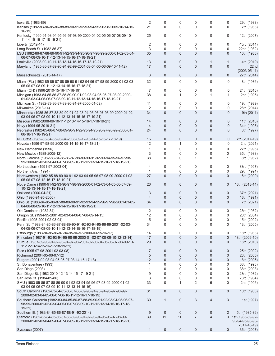| lowa St. (1983-89)<br>Kansas (1982-83-84-85-86-88-89-90-91-92-93-94-95-96-98-2009-10-14-15-                                             | 2<br>21           | 0<br>0         | 0<br>$\Omega$  | 0<br>$\Omega$  | 0<br>$\Omega$  | 0<br>0         | 29th (1983)<br>7th (1983)             |
|-----------------------------------------------------------------------------------------------------------------------------------------|-------------------|----------------|----------------|----------------|----------------|----------------|---------------------------------------|
| $16-19$<br>Kentucky (1990-91-93-94-95-96-97-98-99-2000-01-02-05-06-07-08-09-10-                                                         | 25                | 0              | 0              | 0              | 0              | 0              | 12th (2007)                           |
| 11-14-15-16-17-18-19-21)<br>Liberty (2012-14)                                                                                           | 2                 | 0              | 0              | 0              | 0              | 0              | 43rd (2014)                           |
|                                                                                                                                         | 3                 | $\Omega$       | 0              | 0              | 0              | 0              |                                       |
| Long Beach St. (1982-86-87)                                                                                                             |                   |                |                |                |                |                | 22nd (1982)                           |
| LSU (1982-86-87-88-89-90-91-92-93-94-95-96-97-98-99-2000-01-02-03-04-<br>06-07-08-09-10-11-12-13-14-15-16-17-18-19-21)                  | 35                | $\mathbf{0}$   | 0              | $\overline{0}$ | $\mathbf 0$    | $\mathbf{0}$   | 10th (1986)                           |
| Louisville (2008-09-10-11-12-13-14-15-16-17-18-19-21)                                                                                   | 13                | 0              | 0              | 0              | 1              | 1              | 4th (2019)                            |
| Maryland (1985-86-87-89-90-91-92-99-2001-03-04-05-06-09-10-11-12)                                                                       | 17                | $\mathbf{0}$   | $\overline{0}$ | $\overline{0}$ | $\overline{0}$ | $\mathbf{0}$   | 22nd                                  |
| Massachusetts (2013-14-17)                                                                                                              | 3                 | 0              | 0              | 0              | 0              | 0              | $(2003 - 05 - 11)$<br>27th (2014)     |
| Miami (FL) (1982-85-86-87-88-89-90-91-92-94-96-97-98-99-2000-01-02-03-                                                                  | 32                | 0              | 0              | 0              | 0              | $\mathbf 0$    | 8th (1986)                            |
| 05-06-07-08-09-11-12-13-14-15-16-17-18-21)                                                                                              |                   |                |                |                |                |                |                                       |
| Miami (OH) (1996-2010-15-16-17-18-19)                                                                                                   | 7                 | 0              | 0              | 0              | 0              | 0              | 24th (2016)                           |
| Michigan (1983-84-85-86-87-88-89-90-91-92-93-94-95-96-97-98-99-2000-                                                                    | 38                | 0              | 1              | 2              | 1              | $\mathbf{1}$   | 2nd (1995)                            |
| 01-02-03-04-05-06-07-08-09-10-11-12-13-14-15-16-17-18-19-21)                                                                            |                   |                |                |                |                |                |                                       |
| Michigan St. (1982-83-86-87-89-90-91-97-2000-01-02)                                                                                     | 11                | 0              | 0              | 0              | 0              | 0              | 19th (1989)                           |
| Milwaukee (2013-14)                                                                                                                     | $\overline{2}$    | 0              | 0              | 0              | 0              | $\mathbf 0$    | 26th (2014)                           |
| Minnesota (1985-86-87-88-89-90-91-92-93-94-95-96-97-98-99-2000-01-02-                                                                   | 34                | $\mathbf{0}$   | $\mathbf 0$    | $\overline{0}$ | 0              | $\mathbf{0}$   | 9th (2011)                            |
| 03-04-06-07-08-09-10-11-12-13-14-15-16-17-19-21)                                                                                        |                   |                |                |                |                |                |                                       |
| Missouri (1982-2008-09-10-11-12-13-14-15-16-17-18-19-21)                                                                                | 14                | 0              | 0              | 0              | 0              | $\mathbf 0$    | 11th (2016)                           |
| Navy (1994-95-2019-21)                                                                                                                  | 4                 | $\mathbf{0}$   | 0              | 0              | 0              | $\mathbf 0$    | 34th (1995)                           |
| Nebraska (1982-85-86-87-88-89-90-91-92-93-94-95-96-97-98-99-2000-01-<br>06-16-17-18-19-21)                                              | 24                | $\overline{0}$ | $\overline{0}$ | $\Omega$       | 0              | $\mathbf{0}$   | 8th (1997)                            |
| NC State (1982-83-84-85-93-94-2008-09-12-13-14-15-16-17-18-19)                                                                          | 16                | $\mathbf{0}$   | 0              | 0              | 0              | $\mathbf 0$    | 7th (2017-19)                         |
| Nevada (1996-97-98-99-2000-09-14-15-16-17-18-21)                                                                                        | $12 \overline{ }$ | 0              | 1              | 0              | 0              | $\mathbf 0$    | 2nd (2021)                            |
| New Hampshire (1996)                                                                                                                    | 1                 | 0              | 0              | 0              | 0              | 0              | 27th (1996)                           |
| New Mexico (1988-2005-12)                                                                                                               | 3                 | 0              | 0              | 0              | 0              | 0              | 35th (1988)                           |
| North Carolina (1982-83-84-85-86-87-88-89-90-91-92-93-94-95-96-97-98-                                                                   | 38                | 0              | 0              | 1              | 0              | 1              | 3rd (1982)                            |
| 99-2000-01-02-03-04-06-07-08-09-10-11-12-13-14-15-16-17-18-19-21)                                                                       |                   |                |                |                |                |                |                                       |
| Northeastern (1991-97-2003-04)                                                                                                          | 4                 | 0              | 0              | 0              | 0              | 0              | 33rd (1997)                           |
| Northern Ariz. (1994)                                                                                                                   | 1                 | 0              | 0              | 0              | 0              | 0              | 29th (1994)                           |
| Northwestern (1982-85-88-89-90-91-92-93-94-95-96-97-98-99-2000-01-02-<br>05-06-07-08-12-16-17-18-19-21)                                 | 27                | $\Omega$       | $\mathbf{0}$   | $\Omega$       | $\overline{0}$ | $\mathbf{0}$   | 6th (2000)                            |
| Notre Dame (1990-91-92-93-96-97-98-99-2000-01-02-03-04-05-06-07-09-<br>10-12-13-14-15-17-18-19-21)                                      | 26                | 0              | 0              | 0              | 0              | 0              | 16th (2013-14)                        |
| Oakland (2000-04-21)                                                                                                                    | 3                 | 0              | 0              | 0              | 0              | $\mathbf 0$    | 37th (2021)                           |
| Ohio (1990-91-95-2000)                                                                                                                  | 4                 | 0              | 0              | 0              | 0              | $\overline{0}$ | 16th (1991)                           |
| Ohio St. (1983-84-85-86-87-88-89-90-91-92-93-94-95-96-97-98-2001-03-05-                                                                 | 34                | $\Omega$       | $\mathbf{0}$   | $\mathbf{0}$   | $\mathbf{0}$   | $\mathbf{0}$   | 7th (2021)                            |
| 04-06-08-09-10-11-12-13-14-15-16-17-18-19-21)                                                                                           |                   |                |                |                |                |                |                                       |
| Old Dominion (1982-84)                                                                                                                  | 2                 | 0              | 0              | 0              | 0              | 0              | 23rd (1982)                           |
| Oregon St. (1994-95-2001-02-03-04-06-07-08-09-14-15)                                                                                    | 12                | 0              | 0              | 0              | 0              | 0              | 20th (2004)                           |
| Pacific (1995-2001-02-03-04)                                                                                                            | 5                 | 0              | 0              | 0              | 0              | 0              | 15th (2002)                           |
| Penn St. (1983-84-85-86-87-88-89-90-91-92-93-94-95-96-99-2001-02-03-                                                                    | 34                | 0              | 0              | 0              | 0              | 0              | 13th (2005)                           |
| 04-05-06-07-08-09-10-11-12-13-14-15-16-17-18-19)                                                                                        |                   |                |                |                |                |                |                                       |
| Pittsburgh (1983-84-85-86-87-94-95-96-97-2000-03-15-16-17)                                                                              | 14                | 0              | 0              | 0              | 0              | 0              | 18th (1983)                           |
| Princeton (1987-91-92-93-94-95-98-99-2000-01-02-07-08-09-10-12-13-14)                                                                   | 17                | 0              | 0              | $\mathbf 0$    | 0              | $\mathbf 0$    | 18th (2009-10)                        |
| Purdue (1987-89-90-91-92-93-94-97-98-2001-02-03-04-05-06-07-08-09-10-<br>11-12-13-14-15-16-17-18-19-21)                                 | 29                | $\mathbf{0}$   | 0              | $\mathbf{0}$   | 0              | 0              | 16th (2010)                           |
| Rice (1995-97-98-2001-02-03-08)                                                                                                         | 7                 | 0              | 0              | 0              | 0              | 0              | 25th (2002)                           |
| Richmond (2004-05-06-07-12)                                                                                                             | 5                 | 0              | 0              | 0              | 0              | $\mathbf 0$    | 28th (2005)                           |
| Rutgers (2001-02-03-04-05-06-07-08-14-16-17-18)                                                                                         | 12                | 0              | $\pmb{0}$      | 0              | 0              | $\pmb{0}$      | 18th (2006)                           |
| St. Bonaventure (1993)                                                                                                                  | 1                 | 0              | 0              | 0              | 0              | 0              | 38th (1993)                           |
|                                                                                                                                         | 1                 | 0              |                | 0              |                |                |                                       |
| San Diego (2003)                                                                                                                        |                   |                | 0              |                | 0              | 0              | 38th (2003)                           |
| San Diego St. (1982-2010-12-13-14-15-17-19-21)                                                                                          | 9                 | 0              | 0              | 0              | 0              | 0              | 23rd (1982)                           |
| San Jose St. (1984-85-86)                                                                                                               | 3                 | 0              | 0              | 0              | 0              | 0              | 23rd (1984)                           |
| SMU (1983-85-86-87-88-89-90-91-92-93-94-95-96-97-98-99-2000-01-02-<br>03-04-05-06-07-08-09-10-11-12-13-14-15-16)                        | 33                | 0              | 1              | $\overline{2}$ | 6              | 0              | 2nd (1996)                            |
| South Carolina (1982-83-84-85-86-87-88-89-90-91-93-94-95-97-98-99-<br>2000-02-03-04-05-06-07-08-10-11-12-16-17-18-19)                   | 31                | 0              | $\mathbf 0$    | 0              | 0              | 0              | 10th (1988)                           |
| Southern California (1982-83-84-85-86-87-88-89-90-91-92-93-94-95-96-97-                                                                 | 39                | 1              | 0              | 3              | 4              | 3              | 1st (1997)                            |
| 98-99-2000-01-02-03-04-05-06-07-08-09-10-11-12-13-14-15-16-17-18-<br>$19-21)$                                                           |                   |                |                |                |                |                |                                       |
| Southern III. (1983-84-85-86-87-88-91-92-2014)                                                                                          | 9                 | 0              | 0              | 0              | 0              | 2              | 5th (1985-86)                         |
| Stanford (1982-83-84-85-86-87-88-89-90-91-92-93-94-95-96-97-98-99-<br>2000-01-02-03-04-05-06-07-08-09-10-11-12-13-14-15-16-17-18-19-21) | 39                | 11             | 11             | $\overline{7}$ | 4              |                | 3 1st (1983-89-92-<br>93-94-95-96-98- |
|                                                                                                                                         |                   |                |                |                |                |                | 2017-18-19)                           |
| Syracuse (2007)                                                                                                                         | $\mathbf{1}$      | 0              | 0              | 0              | 0              | 0              | 36th (2007)                           |
|                                                                                                                                         |                   |                |                |                |                |                |                                       |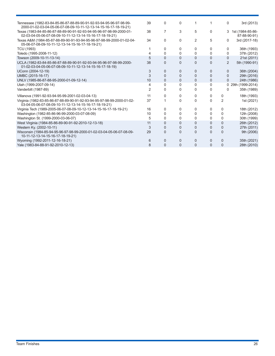| 39 | 0            | 0            |          |          |          | 3rd (2013)                                                          |
|----|--------------|--------------|----------|----------|----------|---------------------------------------------------------------------|
| 38 | 7            | 3            | 5        | 0        |          | 1st (1984-85-86-<br>87-88-90-91)                                    |
| 34 | O.           | 0            | 2        | 5        |          | 3rd (2017-18)                                                       |
|    |              | 0            | 0        | 0        |          | 36th (1993)                                                         |
|    | 0            | 0            | $\Omega$ | 0        |          | 37th (2012)                                                         |
|    | 0            | 0            | 0        | $\Omega$ |          | 21st (2011)                                                         |
| 38 | 0            | 0            | $\Omega$ | $\Omega$ |          | 5th (1990-91)                                                       |
|    | 0            | $\Omega$     | 0        | 0        |          | 36th (2004)                                                         |
| 3  | 0            | 0            | $\Omega$ | 0        |          | 29th (2016)                                                         |
| 10 | 0            | $\mathbf{0}$ | 0        | 0        |          | 24th (1986)                                                         |
|    | <sup>0</sup> | 0            | 0        | 0        |          | 29th (1999-2014)                                                    |
|    |              | 0            | 0        | 0        |          | 35th (1989)                                                         |
| 11 |              | 0            | 0        | 0        | 0        | 18th (1993)                                                         |
| 37 |              | 0            | $\Omega$ | $\Omega$ | 2        | 1st (2021)                                                          |
| 16 | 0            | 0            | 0        | 0        | $\Omega$ | 18th (2012)                                                         |
| 10 | 0            | 0            | 0        | 0        | 0        | 12th (2008)                                                         |
| 5  | 0            | 0            | 0        | 0        | 0        | 30th (1999)                                                         |
| 11 | 0            | 0            | 0        | $\Omega$ | $\Omega$ | 26th (2012)                                                         |
| 3  | 0            | 0            | $\Omega$ | 0        | $\Omega$ | 27th (2011)                                                         |
| 29 | $\Omega$     | 0            | $\Omega$ | $\Omega$ | $\Omega$ | 9th (2006)                                                          |
| 6  | 0            | 0            | 0        | 0        | 0        | 35th (2021)                                                         |
| 8  | $\Omega$     | $\Omega$     | $\Omega$ | $\Omega$ | 0        | 28th (2010)                                                         |
|    |              |              |          |          |          | 0<br>3<br>0<br>0<br>0<br>0<br>2<br>0<br>0<br>$\mathbf{0}$<br>0<br>0 |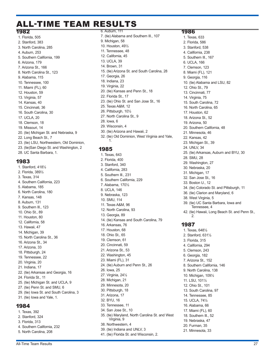### ALL-TIME TEAM RESULTS 6. Auburn, 111

#### 1982

1. Florida, 505 2. Stanford, 383 3. North Carolina, 285 4. Auburn, 253 5. Southern California, 199 6. Arizona, 179 7. Arizona St., 166 8. North Carolina St., 123 9. Alabama, 115 10. Tennessee, 100 11. Miami (FL), 60 12. Houston, 59 13. Virginia, 57 14. Kansas, 40 15. Cincinnati, 36 16. South Carolina, 30 17. UCLA, 20 18. Clemson, 18 19. Missouri, 14 20. (tie) Michigan St. and Nebraska, 9 22. Long Beach St., 7 23. (tie) LSU, Northwestern, Old Dominion, 23. (tie)San Diego St. and Washington, 2 28. UC Santa Barbara, 1.

#### 1983

1. Stanford, 418½ 2. Florida, 389½ 3. Texas, 314 4. Southern California, 223 5. Alabama, 185 6. North Carolina, 180 7. Kansas, 148 8. Auburn, 131 9. Southern Ill., 123 10. Ohio St., 89 11. Houston, 80 12. California, 58 13. Hawaii, 47 14. Michigan, 39 15. North Carolina St., 36 16. Arizona St., 34 17. Arizona, 33 18. Pittsburgh, 24 19. Tennessee, 22 20. Virginia, 20 21. Indiana, 17 22. (tie) Arkansas and Georgia, 16 24. Florida St., 11 25. (tie) Michigan St. and UCLA, 9 27. (tie) Penn St. and SMU, 6 29. (tie) Iowa St. and South Carolina, 3 31. (tie) Iowa and Yale, 1.

#### 1984

- 1. Texas, 392
- 2. Stanford, 324 3. Florida, 313
- 4. Southern California, 232
- 5. North Carolina, 208

7. (tie) Alabama and Southern Ill., 107 9. Michigan, 58 10. Houston, 49½ 11. Tennessee, 48 12. California, 45 13. UCLA, 39 14. Brown, 31 15. (tie) Arizona St. and South Carolina, 28 17. Georgia, 26 18. Indiana, 23 19. Virginia, 22 20. (tie) Kansas and Penn St., 18 22. Florida St., 17 23. (tie) Ohio St. and San Jose St., 16 25. Texas A&M, 12 26. Pittsburgh, 10½ 27. North Carolina St., 9 28. Iowa, 6 29. Wisconsin, 4 30. (tie) Arizona and Hawaii, 2 32. (tie) Old Dominion, West Virginia and Yale, 1.

### 1985

1. Texas, 643 2. Florida, 400 3. Stanford, 340 4. California, 283 5. Southern Ill., 231 6. Southern California, 229 7. Alabama, 170½ 8. UCLA, 146 9. Nebraska, 123 10. SMU, 114 11. Texas A&M, 96 12. North Carolina, 93 13. Georgia, 89 14. (tie) Kansas and South Carolina, 79 16. Arkansas, 76 17. Houston, 68 18. Ohio St., 65 19. Clemson, 61 20. Cincinnati, 59 21. Arizona St., 53 22. Washington, 45 23. Miami (FL), 31 24. (tie) Auburn and Penn St., 26 26. Iowa, 25 27. Virginia, 24½ 28. Michigan, 21 29. Minnesota, 20 30. Pittsburgh, 18 31. Arizona, 17 32. BYU, 16 33. Tennessee, 11 34. San Jose St., 10 35. (tie) Maryland, North Carolina St. and West Virginia, 9 38. Northwestern, 4 39. (tie) Indiana and UNLV, 3 41. (tie) Florida St. and Wisconsin, 2.

#### 1986

1. Texas, 633 2. Florida, 586 3. Stanford, 538 4. California, 238 5. Southern Ill., 167 6. UCLA, 166 7. Clemson, 123 8. Miami (FL), 121 9. Georgia, 116 10. (tie) Alabama and LSU, 82 12. Ohio St., 79 13. Cincinnati, 77 14. Virginia, 75 15. South Carolina, 72 16. North Carolina, 65 17. Houston, 62 18. Arizona St., 52 19. Arizona, 50 20. Southern California, 48 21. Minnesota, 46 22. Kansas, 42 23. Michigan St., 39 24. UNLV, 34 25. (tie) Arkansas, Auburn and BYU, 30 28. SMU, 28 29. Washington, 27 30. Nebraska, 20 31. Michigan, 17 32. San Jose St., 16 33. Boston U., 12 34. (tie) Colorado St. and Pittsburgh, 11 36. (tie) Clarion and Maryland, 6 38. West Virginia, 5 39. (tie) UC Santa Barbara, Iowa and Tennessee, 4 42. (tie) Hawaii, Long Beach St. and Penn St., 2. 1987 1. Texas, 648½ 2. Stanford, 631½ 3. Florida, 315 4. California, 294 5. Clemson, 243 6. Georgia, 182 7. Arizona St., 152 8. Southern California, 146 9. North Carolina, 138 10. Michigan, 109½ 11. LSU, 101½ 12. Ohio St., 101 13. South Carolina, 97 14. Tennessee, 85 15. UCLA, 74½ 16. Alabama, 66

- 17. Miami (FL), 60
- 18. Southern Ill., 52
- 19. Nebraska, 47
- 20. Furman, 35
	- 21. Minnesota, 33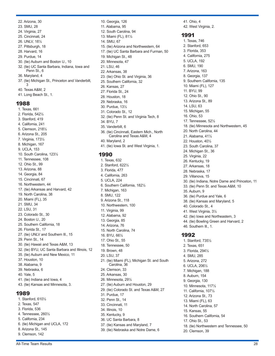- 22. Arizona, 30
- 23. SMU, 28
- 24. Virginia, 27
- 25. Cincinnati, 24
- 26. UNLV, 18½
- 27. Pittsburgh, 18
- 28. Harvard, 16
- 29. Purdue, 14
- 30. (tie) Auburn and Boston U., 10
- 32. (tie) UC Santa Barbara, Indiana, Iowa and Penn St., 6
- 36. Maryland, 4
- 37. (tie) Michigan St., Princeton and Vanderbilt, 3
- 40. Texas A&M, 2
- 41. Long Beach St., 1.

#### 1988

1. Texas, 661 2. Florida, 542½ 3. Stanford, 419 4. California, 241 5. Clemson, 218½ 6. Arizona St., 205 7. Virginia, 173½ 8. Michigan, 167 9. UCLA, 153 10. South Carolina, 123½ 11. Tennessee, 108 12. Ohio St., 99 13. Arizona, 88 14. Georgia, 84 15. Cincinnati, 67 16. Northwestern, 44 17. (tie) Arkansas and Harvard, 42 19. North Carolina, 38 20. Miami (FL), 35 21. SMU, 34 22. LSU, 31 23. Colorado St., 30 24. Boston U., 20 25. Southern California, 18 26. Florida St., 17 27. (tie) UNLV and Southern Ill., 15 29. Penn St., 14 30. (tie) Hawaii and Texas A&M, 13 32. (tie) BYU, UC Santa Barbara and Illinois, 12 35. (tie) Auburn and New Mexico, 11 37. Houston, 10 38. Alabama, 9 39. Nebraska, 6 40. Yale, 5 41. (tie) Indiana and Iowa, 4 43. (tie) Kansas and Minnesota, 3.

### 1989

1. Stanford, 610½ 2. Texas, 547 3. Florida, 536 4. Tennessee, 260½ 5. California, 234 6. (tie) Michigan and UCLA, 172 8. Arizona St., 145 9. Clemson, 142

10. Georgia, 126 11. Alabama, 95 12. South Carolina, 94 13. Miami (FL), 81½ 14. SMU, 67 15. (tie) Arizona and Northwestern, 64 17. (tie) UC Santa Barbara and Furman, 50 19. Michigan St., 48 20. Minnesota, 47 21. LSU, 46 22. Arkansas, 38 23. (tie) Ohio St. and Virginia, 36 25. Southern California, 32 26. Kansas, 27 27. Florida St., 24 28. Houston, 18 29. Nebraska, 16 30. Purdue, 13½ 31. Colorado St., 12 32. (tie) Penn St. and Virginia Tech, 8 34. BYU, 7 35. Vanderbilt, 6 36. (tie) Cincinnati, Eastern Mich., North Carolina and Texas A&M, 4 40. Maryland, 2 41. (tie) Iowa St. and West Virginia, 1. 1990 1. Texas, 632 2. Stanford, 622½ 3. Florida, 477 4. California, 263

- 5. UCLA, 224 6. Southern California, 182½ 7. Michigan, 163 8. SMU, 122 9. Arizona St., 118 10. Northwestern, 100 11. Virginia, 99 12. Alabama, 92 13. Georgia, 85 14. Arizona, 76 15. North Carolina, 74 16. BYU, 66½ 17. Ohio St., 55 18. Tennessee, 50 19. Brown, 48 20. LSU, 37 21. (tie) Miami (FL), Michigan St. and South Carolina, 36 24. Clemson, 33 25. Arkansas, 30 26. Minnesota, 29½ 27. (tie) Auburn and Houston, 29 29. (tie) Colorado St. and Texas A&M, 27 31. Purdue, 17 32. Penn St., 14 33. Cincinnati, 11 34. Illinois, 10 35. Kentucky, 9 36. UC Santa Barbara, 8 37. (tie) Kansas and Maryland, 7
- 39. (tie) Nebraska and Notre Dame, 6

41. Ohio, 4 42. West Virginia, 2.

#### 1991

1. Texas, 746 2. Stanford, 653 3. Florida, 353 4. California, 275 5. UCLA, 192 6. SMU, 190 7. Arizona, 163 8. Georgia, 137 9. Southern California, 135 10. Miami (FL), 127 11. BYU, 99 12. Ohio St., 90 13. Arizona St., 89 14. LSU, 63 15. Michigan, 55 16. Ohio, 53 17. Tennessee, 52½ 18. (tie) Minnesota and Northwestern, 45 20. North Carolina, 44 21. Alabama, 41½ 22. Houston, 40½ 23. South Carolina, 37 24. Michigan St., 36 25. Virginia, 22 26. Kentucky, 19 27. Arkansas, 18 28. Nebraska, 17 29. Villanova, 15 30. (tie) Indiana, Notre Dame and Princeton, 11 33. (tie) Penn St. and Texas A&M, 10 35. Auburn, 9 36. (tie) Purdue and Yale, 6 38. (tie) Kansas and Maryland, 5 40. Colorado St., 4 41. West Virginia, 3½ 42. (tie) Iowa and Northeastern, 3 44. (tie) Bowling Green and Harvard, 2 46. Southern Ill., 1. 1992 1. Stanford, 735½ 2. Texas, 651 3. Florida, 294½ 4. SMU, 285 5. Arizona, 272 6. UCLA, 206½ 7. Michigan, 188 8. Auburn, 154 9. Georgia, 130 10. Minnesota, 117½ 11. California, 107½ 12. Arizona St., 73 13. Miami (FL), 63 14. North Carolina, 57 15. Kansas, 55 16. Southern California, 54 17. Ohio St., 53

- 18. (tie) Northwestern and Tennessee, 50
- 20. Clemson, 39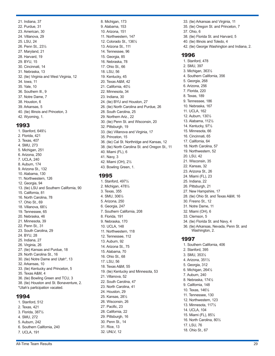21. Indiana, 37 22. Purdue, 31 23. American, 30 24. Villanova, 29 25. LSU, 24 26. Penn St., 23½ 27. Maryland, 21 28. Harvard, 19 29. BYU, 15 30. Cincinnati, 14 31. Nebraska, 13 32. (tie) Virginia and West Virginia, 12 34. Iowa, 11 35. Yale, 10 36. Southern Ill., 9 37. Notre Dame, 7 38. Houston, 6 39. Arkansas, 5 40. (tie) Illinois and Princeton, 3 42. Wyoming, 1.

#### 1993

1. Stanford, 649½ 2. Florida, 421 3. Texas, 407 4. SMU, 273 5. Michigan, 251 6. Arizona, 250 7. UCLA, 240 8. Auburn, 174 9. Arizona St., 132 10. Alabama, 130 11. Northwestern, 126 12. Georgia, 94 13. (tie) LSU and Southern California, 90 15. California, 81 16. North Carolina, 78 17. Ohio St., 69 18. Villanova, 68½ 19. Tennessee, 65 20. Nebraska, 46 21. Minnesota, 39 22. Penn St., 31 23. South Carolina, 29 24. BYU, 28 25. Indiana, 27 26. Virginia, 26 27. (tie) Kansas and Purdue, 18 29. North Carolina St., 16 30. (tie) Notre Dame and Utah\*, 13 32. Arkansas, 10 33. (tie) Kentucky and Princeton, 5 35. Texas A&M, 4 36. (tie) Bowling Green and TCU, 3 38. (tie) Houston and St. Bonaventure, 2. \*Utah's participation vacated.

### 1994

1. Stanford, 512 2. Texas, 421 3. Florida, 387½ 4. SMU, 272 5. Auburn, 242 6. Southern California, 240 7. UCLA, 191

8. Michigan, 173 9. Alabama, 153 10. Arizona, 151 11. Northwestern, 147 12. Colorado St., 136½ 13. Arizona St., 111 14. Tennessee, 96 15. Georgia, 85 16. Nebraska, 78 17. Ohio St., 66 18. LSU, 56 19. Kentucky, 45 20. Texas A&M, 42 21. California, 40½ 22. Minnesota, 34 23. Indiana, 30 24. (tie) BYU and Houston, 27 26. (tie) North Carolina and Purdue, 26 28. South Carolina, 25 29. Northern Ariz., 22 30. (tie) Penn St. and Wisconsin, 20 32. Pittsburgh, 19 33. (tie) Villanova and Virginia, 17 35. Princeton, 15 36. (tie) Cal St. Northridge and Kansas, 12 38. (tie) North Carolina St. and Oregon St., 11 40. Miami (FL), 6 41. Navy, 3 42. Miami (OH), 2½ 43. Bowling Green, 1. 1995 1. Stanford, 497½ 2. Michigan, 478½ 3. Texas, 355 4. SMU, 306½ 5. Arizona, 250 6. Georgia, 247 7. Southern California, 208

8. Florida, 191 9. Nebraska, 170 10. UCLA, 148 11. Northwestern, 118 12. Tennessee, 112 13. Auburn, 92 14. Arizona St., 75 15. Alabama, 70 16. Ohio St., 68 17. LSU, 56 18. Texas A&M, 55

21. Villanova, 52 22. South Carolina, 47 23. North Carolina, 41 24. Houston, 29 25. Kansas, 28½ 26. Wisconsin, 26 27. Pacific, 23 28. California, 22 29. Pittsburgh, 16 30. Penn St., 14 31. Rice, 13 32. UNLV, 12

19. (tie) Kentucky and Minnesota, 53

3. Michigan, 363½ 4. Southern California, 356 5. Georgia, 268 6. Arizona, 256 7. Florida, 220 8. Texas, 189 9. Tennessee, 186 10. Nebraska, 167 11. UCLA, 162 12. Auburn, 130½ 13. Alabama, 112½ 14. Kentucky, 97½ 15. Minnesota, 66 16. Cincinnati, 65 17. California, 64 18. North Carolina, 57 19. Northwestern, 52 20. LSU, 42 21. Wisconsin, 35 22. Kansas, 32 23. Arizona St., 26 24. Miami (FL), 23 25. Indiana, 22 26. Pittsburgh, 21 27. New Hampshire, 17 28. (tie) Ohio St. and Texas A&M, 16 30. Fresno St., 12 31. Notre Dame, 11 32. Miami (OH), 6 33. Clemson, 5 34. (tie) Florida St. and Navy, 4 36. (tie) Arkansas, Nevada, Penn St. and Washington, 2. 1997 1. Southern California, 406 2. Stanford, 395 3. SMU, 353½ 4. Arizona, 351½ 5. Georgia, 312 6. Michigan, 264½ 7. Auburn, 240 8. Nebraska, 174½ 9. California, 148 10. Texas, 146½ 11. Tennessee, 130 12. Northwestern, 123 13. Minnesota, 117½ 14. UCLA, 104

33. (tie) Arkansas and Virginia, 11 35. (tie) Oregon St. and Princeton, 7

38. (tie) Florida St. and Harvard, 5 40. (tie) Illinois and Toledo, 4

42. (tie) George Washington and Indiana, 2.

37. Ohio, 6

1996

1. Stanford, 478 2. SMU, 397

15. Miami (FL), 85½ 16. North Carolina, 80½

#### 17. LSU, 76 18. Ohio St., 67

All-Time Team Results 29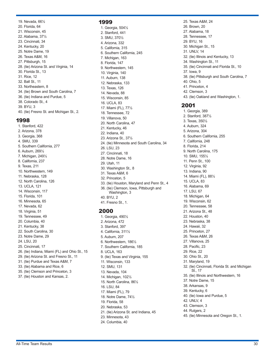19. Nevada, 66½ 20. Florida, 64 21. Wisconsin, 45 22. Alabama, 37½ 23. Cincinnati, 34 24. Kentucky, 20 25. Notre Dame, 19 26. Texas A&M, 16 27. Pittsburgh, 15 28. (tie) Arizona St. and Virginia, 14 30. Florida St., 13 31. Rice, 12 32. Ball St., 11 33. Northeastern, 8 34. (tie) Brown and South Carolina, 7 36. (tie) Indiana and Purdue, 5 38. Colorado St., 4 39. BYU, 3 40. (tie) Fresno St. and Michigan St., 2.

#### 1998

1. Stanford, 422 2. Arizona, 378 3. Georgia, 368 4. SMU, 339 5. Southern California, 277 6. Auburn, 269½ 7. Michigan, 249½ 8. California, 237 9. Texas, 211 10. Northwestern, 149 11. Nebraska, 128 12. North Carolina, 126 13. UCLA, 121 14. Wisconsin, 117 15. Florida, 101 16. Minnesota, 65 17. Nevada, 62 18. Virginia, 51 19. Tennessee, 49 20. Columbia, 40 21. Kentucky, 38 22. South Carolina, 30 23. Notre Dame, 29 24. LSU, 20 25. Cincinnati, 17 26. (tie) Indiana, Miami (FL) and Ohio St., 15 29. (tie) Arizona St. and Fresno St., 11 31. (tie) Purdue and Texas A&M, 7 33. (tie) Alabama and Rice, 6 35. (tie) Clemson and Princeton, 3 37. (tie) Houston and Kansas, 2.

#### 1999

1. Georgia, 504½ 2. Stanford, 441 3. SMU, 370½ 4. Arizona, 332 5. California, 315 6. Southern California, 245 7. Michigan, 163 8. Florida, 147 9. Northwestern, 145 10. Virginia, 140 11. Auburn, 138 12. Nebraska, 133 13. Texas, 126 14. Nevada, 88 15. Wisconsin, 85 16. UCLA, 83 17. Miami (FL), 77½ 18. Tennessee, 72 19. Villanova, 50 20. North Carolina, 47 21. Kentucky, 46 22. Indiana, 40 23. Arizona St., 37½ 24. (tie) Minnesota and South Carolina, 34 26. LSU, 23 27. Cincinnati, 18 28. Notre Dame, 16 29. Utah, 11 30. Washington St., 8 31. Texas A&M, 6 32. Princeton, 5 33. (tie) Houston, Maryland and Penn St., 4 36. (tie) Clemson, Iowa, Pittsburgh and Washington, 3 40. BYU, 2 41. Fresno St., 1.

### 2000

1. Georgia, 490½ 2. Arizona, 472 3. Stanford, 397 4. California, 311½ 5. Auburn, 207 6. Northwestern, 186½ 7. Southern California, 185 8. UCLA, 163 9. (tie) Texas and Virginia, 155 11. Wisconsin, 133 12. SMU, 131 13. Nevada, 104 14. Michigan, 102½ 15. North Carolina, 86½ 16. LSU, 84 17. Miami (FL), 79 18. Notre Dame, 74½ 19. Florida, 58 20. Nebraska, 53 21. (tie) Arizona St. and Indiana, 45 23. Minnesota, 43 24. Columbia, 40

25. Texas A&M, 24 26. Brown, 20 27. Alabama, 18 28. Tennessee, 17 29. BYU, 16 30. Michigan St., 15 31. UNLV, 14 32. (tie) Illinois and Kentucky, 13 34. Washington St., 11 35. (tie) Cincinnati and Florida St., 10 37. Iowa, 9 38. (tie) Pittsburgh and South Carolina, 7 40. Ohio, 5 41. Princeton, 4 42. Clemson, 3 43. (tie) Oakland and Washington, 1. 2001 1. Georgia, 389 2. Stanford, 387½ 3. Texas, 350½ 4. Auburn, 324 5. Arizona, 304

- 6. Southern California, 255
- 7. California, 248
- 8. Florida, 214
- 9. North Carolina, 175
- 10. SMU, 155½
- 11. Penn St., 100 12. Virginia, 92
- 13. Indiana, 90
- 14. Miami (FL), 88½
- 15. UCLA, 83
- 16. Alabama, 69
- 17. LSU, 67
- 18. Michigan, 64 19. Wisconsin, 62
- 20. Tennessee, 58
- 21. Arizona St., 48
- 22. Houston, 40
- 23. Nebraska, 38
- 24. Hawaii, 32
- 25. Princeton, 27
- 26. Texas A&M, 26
- 27. Villanova, 25
- 28. Pacific, 23 29. Rice, 22
- 30. Ohio St., 20
- 31. Maryland, 19
- 32. (tie) Cincinnati, Florida St. and Michigan St., 17
- 35. (tie) Illinois and Northwestern, 16
- 37. Notre Dame, 15
- 38. Arkansas, 9
- 39. Kentucky, 6
- 40. (tie) Iowa and Purdue, 5
- 42. UNLV, 4
- 43. Clemson, 3
- 44. Rutgers, 2
- 45. (tie) Minnesota and Oregon St., 1.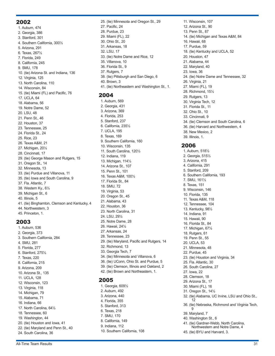#### 2002

1. Auburn, 474 2. Georgia, 386 3. Stanford, 301 4. Southern California, 300½ 5. Arizona, 291 6. Texas, 267½ 7. Florida, 249 8. California, 245 9. SMU, 178 10. (tie) Arizona St. and Indiana, 136 12. Virginia, 125 13. North Carolina, 110 14. Wisconsin, 84 15. (tie) Miami (FL) and Pacific, 76 17. UCLA, 64 18. Alabama, 56 19. Notre Dame, 52 20. LSU, 48 21. Penn St., 46 22. Houston, 37 23. Tennessee, 25 24. Florida St., 24 25. Rice, 23 26. Texas A&M, 21 27. Michigan, 20½ 28. Cincinnati, 17 29. (tie) George Mason and Rutgers, 15 31. Oregon St., 14 32. Minnesota, 13 33. (tie) Purdue and Villanova, 11 35. (tie) Iowa and South Carolina, 9 37. Fla. Atlantic, 7 38. Western Ky., 6½ 39. Michigan St., 6 40. Illinois, 5 41. (tie) Binghamton, Clemson and Kentucky, 4 44. Northwestern, 3 45. Princeton, 1.

#### 2003

1. Auburn, 536 2. Georgia, 373 3. Southern California, 284 4. SMU, 281 5. Florida, 277 6. Stanford, 275½ 7. Texas, 220 8. California, 215 9. Arizona, 209 10. Arizona St., 135 11. UCLA, 128 12. Wisconsin, 123 13. Virginia, 118 14. Michigan, 79 15. Alabama, 71 16. Indiana, 66 17. North Carolina, 64½ 18. Tennessee, 60 19. Washington, 44 20. (tie) Houston and Iowa, 41 22. (tie) Maryland and Penn St., 40 24. South Carolina, 36

25. (tie) Minnesota and Oregon St., 29 27. Pacific, 24 28. Purdue, 23 29. Miami (FL), 22 30. Ohio St., 20 31. Arkansas, 18 32. LSU, 17 33. (tie) Notre Dame and Rice, 12 35. Villanova, 10 36. Florida St., 9 37. Rutgers, 7 38. (tie) Pittsburgh and San Diego, 6 40. Brown, 3 41. (tie) Northeastern and Washington St., 1. 2004 1. Auburn, 569 2. Georgia, 431 3. Arizona, 369 4. Florida, 253 5. Stanford, 237 6. California, 235½ 7. UCLA, 195 8. Texas, 169 9. Southern California, 160

29. (tie) Maryland, Pacific and Rutgers, 14

34. (tie) Minnesota and Villanova, 6 36. (tie) UConn, Ohio St. and Purdue, 5 39. (tie) Clemson, Illinois and Oakland, 2 42. (tie) Brown and Northeastern, 1.

10. Wisconsin, 135 11. South Carolina, 120½

12. Indiana, 119 13. Michigan, 114½ 14. Arizona St., 107 15. Penn St., 101 16. Texas A&M, 100½ 17. Florida St., 84 18. SMU, 72 19. Virginia, 53 20. Oregon St., 45 21. Alabama, 43 22. Houston, 36 23. North Carolina, 31 24. LSU, 29½ 25. Notre Dame, 28 26. Hawaii, 24½ 27. Arkansas, 24 28. Tennessee, 23

32. Richmond, 13 33. Georgia Tech, 7

1. Georgia, 609½ 2. Auburn, 492 3. Arizona, 440 4. Florida, 355 5. Stanford, 313 6. Texas, 218 7. SMU, 170 8. California, 149 9. Indiana, 112

10. Southern California, 108

2005

11. Wisconsin, 107 12. Arizona St., 90 13. Penn St., 87 14. (tie) Michigan and Texas A&M, 84 16. Hawaii, 68 17. Purdue, 59 18. (tie) Kentucky and UCLA, 52 20. Houston, 47 21. Alabama, 44 22. Maryland, 40 23. Iowa, 36 24. (tie) Notre Dame and Tennessee, 32 26. Virginia, 21 27. Miami (FL), 19 28. Richmond, 15½ 29. Rutgers, 13 30. Virginia Tech, 12 31. Florida St., 11 32. Ohio St., 10 33. Cincinnati, 9 34. (tie) Clemson and South Carolina, 6 36. (tie) Harvard and Northwestern, 4 38. New Mexico, 2 39. Illinois, 1.

#### 2006

1. Auburn, 518½ 2. Georgia, 515½ 3. Arizona, 415 4. California, 291 5. Stanford, 209 6. Southern California, 193 7. SMU, 161½ 8. Texas, 151 9. Wisconsin, 146 10. Florida, 135 11. Texas A&M, 118 12. Tennessee, 104 13. Kentucky, 98½ 14. Indiana, 91 15. Hawaii, 90 16. Florida St., 84 17. Michigan, 67½ 18. Rutgers, 61 19. Penn St., 55 20. UCLA, 53 21. Minnesota, 48 22. Purdue, 45 23. (tie) Houston and Virginia, 34 25. Fla. Atlantic, 30 26. South Carolina, 27 27. Iowa, 22 28. Clemson, 18 29. Arizona St., 17 30. Miami (FL), 16 31. Oregon St., 14½ 32. (tie) Alabama, UC Irvine, LSU and Ohio St., 12 36. (tie) Nebraska, Richmond and Virginia Tech, 9 39. Maryland, 7 40. Washington St., 6 41. (tie) Gardner-Webb, North Carolina, Northwestern and Notre Dame, 4 45. (tie) BYU and Harvard, 3.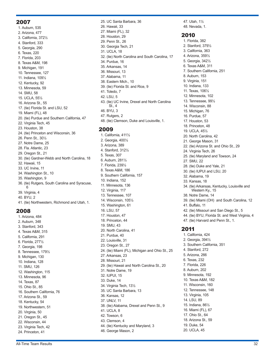#### 2007

1. Auburn, 535 2. Arizona, 477 3. California, 372½ 4. Stanford, 333 5. Georgia, 290 6. Texas, 220 7. Florida, 203 8. Texas A&M, 198 9. Michigan, 191 10. Tennessee, 127 11. Indiana, 109½ 12. Kentucky, 92 13. Minnesota, 59 14. SMU, 58 15. UCLA, 55½ 16. Arizona St., 55 17. (tie) Florida St. and LSU, 52 19. Miami (FL), 48 20. (tie) Purdue and Southern California, 47 22. Virginia Tech, 45 23. Houston, 38 24. (tie) Princeton and Wisconsin, 36 26. Penn St., 30½ 27. Notre Dame, 25 28. Fla. Atlantic, 23 29. Oregon St., 21 30. (tie) Gardner-Webb and North Carolina, 18 32. Hawaii, 15 33. UC Irvine, 11 34. Washington St., 10 35. Washington, 9 36. (tie) Rutgers, South Carolina and Syracuse, 6 39. Virginia, 4 40. BYU, 2 41. (tie) Northwestern, Richmond and Utah, 1.

#### 2008

1. Arizona, 484 2. Auburn, 348 3. Stanford, 343 4. Texas A&M, 315 5. California, 291 6. Florida, 277½ 7. Georgia, 198 8. Tennessee, 179½ 9. Michigan, 130 10. Indiana, 128 11. SMU, 126 12. Washington, 115 13. Minnesota, 96 14. Texas, 87 15. Ohio St., 85 16. Southern California, 76 17. Arizona St., 59 18. Kentucky, 54 19. Northwestern, 51 20. Virginia, 50 21. Oregon St., 45 22. Wisconsin, 44 23. Virginia Tech, 42 24. Princeton, 41

25. UC Santa Barbara, 36 26. Hawaii, 33 27. Miami (FL), 32 28. Houston, 29 29. Penn St., 26 30. Georgia Tech, 21 31. UCLA, 18 32. (tie) North Carolina and South Carolina, 17 34. Purdue, 16 35. Arkansas, 14 36. Missouri, 13 37. Alabama, 11 38. Eastern Mich., 10 39. (tie) Florida St. and Rice, 9 41. Toledo, 7 42. LSU, 5 43. (tie) UC Irvine, Drexel and North Carolina St., 4 46. BYU, 3 47. Rutgers, 2 48. (tie) Clemson, Duke and Louisville, 1. 2009

1. California, 411½ 2. Georgia, 400½ 3. Arizona, 389 4. Stanford, 312½ 5. Texas, 307 6. Auburn, 281½ 7. Florida, 239½ 8. Texas A&M, 186 9. Southern California, 157 10. Indiana, 152 11. Minnesota, 136 12. Virginia, 117 13. Tennessee, 107 14. Wisconsin, 105½ 15. Washington, 61 16. LSU, 57 17. Houston, 47 18. Princeton, 44 19. SMU, 43 20. North Carolina, 41 21. Purdue, 40 22. Louisville, 31 23. Oregon St., 27 24. (tie) Miami (FL), Michigan and Ohio St., 25 27. Arkansas, 23 28. Missouri, 21 29. (tie) Hawaii and North Carolina St., 20 31. Notre Dame, 19 32. IUPUI, 15 33. Duke, 14 34. Virginia Tech, 13½ 35. UC Santa Barbara, 13 36. Kansas, 12 37. UNLV, 11 38. (tie) Alabama, Drexel and Penn St., 9 41. UCLA, 8 42. Towson, 6 43. Clemson, 4 44. (tie) Kentucky and Maryland, 3 46. George Mason, 2

47. Utah, 1½ 48. Nevada, 1.

#### 2010

1. Florida, 382 2. Stanford, 379½ 3. California, 363 4. Arizona, 359½ 5. Georgia, 342½ 6. Texas A&M, 311 7. Southern California, 251 8. Auburn, 153 9. Virginia, 151 10. Indiana, 133 11. Texas, 106½ 12. Minnesota, 102 13. Tennessee, 99½ 14. Wisconsin, 88 15. Michigan, 76 16. Purdue, 57 17. Houston, 53 18. Princeton, 48 19. UCLA, 45½ 20. North Carolina, 42 21. George Mason, 31 22. (tie) Arizona St. and Ohio St., 29 24. Virginia Tech, 26 25. (tie) Maryland and Towson, 24 27. SMU, 22 28. (tie) Duke and Yale, 21 30. (tie) IUPUI and LSU, 20 32. Alabama, 19 33. Kansas, 18 34. (tie) Arkansas, Kentucky, Louisville and Western Ky., 15 38. Notre Dame, 14 39. (tie) Miami (OH) and South Carolina, 12 41. Buffalo, 11 42. (tie) Missouri and San Diego St., 5 44. (tie) BYU, Florida St. and West Virginia, 4 47. (tie) Harvard and Penn St., 1. 2011 1. California, 424 2. Georgia, 394½ 3. Southern California, 351 4. Stanford, 272 5. Arizona, 266 6. Texas, 232 7. Florida, 226 8. Auburn, 202 9. Minnesota, 192 10. Texas A&M, 182 11. Wisconsin, 160 12. Tennessee, 148 13. Virginia, 105 14. LSU, 89 15. Indiana, 86½ 16. Miami (FL), 67 17. Ohio St., 64 18. Arizona St., 59 19. Duke, 54

20. UCLA, 45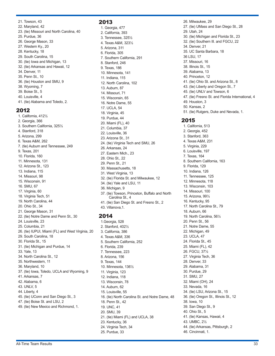21. Towson, 43 22. Maryland, 42 23. (tie) Missouri and North Carolina, 40 25. Purdue, 36 26. George Mason, 33 27. Western Ky., 20 28. Kentucky, 18 29. South Carolina, 15 30. (tie) Iowa and Michigan, 13 32. (tie) Arkansas and Hawaii, 12 34. Denver, 11 35. Penn St., 10 36. (tie) Houston and SMU, 9 38. Wyoming, 7 39. Boise St., 5 40. Louisville, 4 41. (tie) Alabama and Toledo, 2.

#### 2012

1. California, 412½ 2. Georgia, 366 3. Southern California, 325½ 4. Stanford, 318 5. Arizona, 299 6. Texas A&M, 262 7. (tie) Auburn and Tennessee, 249 9. Texas, 201 10. Florida, 160 11. Minnesota, 131 12. Arizona St., 123 13. Indiana, 115 14. Missouri, 98 15. Wisconsin, 91 16. SMU, 67 17. Virginia, 60 18. Virginia Tech, 51 19. North Carolina, 44 20. Ohio St., 34 21. George Mason, 31 22. (tie) Notre Dame and Penn St., 30 24. Louisville, 23 25. Columbia, 21 26. (tie) IUPUI, Miami (FL) and West Virginia, 20 29. South Carolina, 18 30. Florida St., 15 31. (tie) Michigan and Purdue, 14 33. Yale, 13 34. North Carolina St., 12 35. Northwestern, 11 36. Maryland, 10 37. (tie) Iowa, Toledo, UCLA and Wyoming, 9 41. Arkansas, 7 42. Alabama, 6 43. UNLV, 5 44. Liberty, 4 45. (tie) UConn and San Diego St., 3 47. (tie) Boise St. and LSU, 2 49. (tie) New Mexico and Richmond, 1.

### 2013

1. Georgia, 477 2. California, 393 3. Tennessee, 325½ 4. Texas A&M, 323½ 5. Arizona, 311 6. Florida, 305 7. Southern California, 291 8. Stanford, 246 9. Texas, 186 10. Minnesota, 141 11. Indiana, 115 12. North Carolina, 102 13. Auburn, 87 14. Missouri, 71 15. Wisconsin, 65 16. Notre Dame, 55 17. UCLA, 54 18. Virginia, 45 19. Purdue, 44 20. Miami (FL), 40 21. Columbia, 37 22. Louisville, 36 23. Arizona St., 31 24. (tie) Virginia Tech and SMU, 26 26. Arkansas, 24 27. Eastern Mich., 23 28. Ohio St., 22 29. Penn St., 21 30. Massachusetts, 18 31. West Virginia, 13 32. (tie) Florida St. and Milwaukee, 12 34. (tie) Yale and LSU, 11 36. Michigan, 9 37. (tie) Towson, Princeton, Buffalo and North Carolina St., 4 41. (tie) San Diego St. and Fresno St., 2 43. Villanova,1.

#### 2014

1.Georgia, 528 2. Stanford, 402½ 3. California, 386 4. Texas A&M, 336 5. Southern California, 252 6. Florida, 239 7. Tennessee, 223 8. Arizona, 156 9. Texas, 144 10. Minnesota, 136½ 11. Virginia, 123 12. Indiana, 118 13. Wisconsin, 78 14. Auburn, 62 15. Louisville, 55 16. (tie) North Carolina St. and Notre Dame, 48 18. Penn St., 42 19. UNC, 41 20. SMU, 39 21. (tie) Miami (FL) and UCLA, 38 23. Kentucky, 36 24. Virginia Tech, 34 25. Purdue, 33

26. Milwaukee, 29 27. (tie) UMass and San Diego St., 28 29. Utah, 24 30. (tie) Michigan and Florida St., 23 32. (tie) Southern Ill. and FGCU, 22 34. Denver, 21 35. UC Santa Barbara, 18 36 LSU, 17 37. Missouri, 16 38. Illinois St., 15 39. Alabama, 13 40. Princeton, 12 41. (tie) Ohio St. and Arizona St., 8 43. (tie) Liberty and Oregon St., 7 45. (tie) UNLV and Towson, 6 47. (tie) Fresno St. and Florida International, 4 49. Houston, 3 50. Kansas, 2 51. (tie) Rutgers, Duke and Nevada, 1.

### 2015

1. California, 513 2. Georgia, 452 3. Stanford, 363 4. Texas A&M, 231 5. Virginia, 229 6. Louisville, 197 7. Texas, 164 8. Southern California, 163 9. Florida, 129 10. Indiana, 126 11. Tennessee, 125 12. Minnesota, 118 13. Wisconsin, 103 14. Missouri, 100 15. Arizona, 99½ 16. Kentucky, 95 17. North Carolina St., 79 18. Auburn, 66 19. North Carolina, 56½ 20. Penn St., 56 21. Notre Dame, 55 22. Michigan, 49 23. UCLA, 47 24. Florida St., 45 25. Miami (FL), 42 26. FGCU, 37½ 27. Virginia Tech, 36 28. Denver, 33 29. Alabama, 31 30. Purdue, 29 31. SMU, 27 32. Miami (OH), 24 33. Nevada, 16 34. (tie) LSU, Arizona St., 15 36. (tie) Oregon St., Illinois St., 12 38. Iowa, 10 39. San Diego St., 9 40. Ohio St., 5 41. (tie) Kansas, Hawaii, 4 43. UMBC, 2½ 44. (tie) Arkansas, Pittsburgh, 2 46. Cincinnati, 1.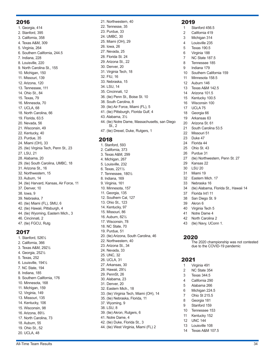#### 2016

1. Georgia, 414 2. Stanford, 395 3. California, 358 4. Texas A&M, 309 5. Virginia, 264 6. Southern California, 244.5 7. Indiana, 228 8. Louisville, 220 9. North Carolina St., 155 10. Michigan, 150 11. Missouri, 139 12. Arizona, 120 13. Tennessee, 111 14. Ohio St., 84 15. Texas, 79 16. Minnesota, 70 17. UCLA, 68 18. North Carolina, 66 19. Florida, 63.5 20. Nevada, 56 21. Wisconsin, 49 22. Kentucky, 40 23. Purdue, 35 24. Miami (OH), 33 25. (tie) Virginia Tech, Penn St., 23 27. LSU, 21 28. Alabama, 20 29. (tie) South Carolina, UMBC, 18 31. Arizona St., 16 32. Northwestern, 15 33. Auburn, 14 34. (tie) Harvard, Kansas, Air Force, 11 37. Denver, 10 38. Iowa, 9 39. Nebraska, 7 40. (tie) Miami (FL), SMU, 6 42. (tie) Hawaii, Pittsburgh, 4 44. (tie) Wyoming, Eastern Mich., 3 46. Cincinnati, 2 47. (tie) FGCU, Rutg

#### 2017

1. Stanford, 526½ 2. California, 366 3. Texas A&M, 292½ 4. Georgia, 252½ 5. Texas, 252 6. Louisville, 194½ 7. NC State, 194 8. Indiana, 185 9. Southern California, 176 10. Minnesota, 168 11. Michigan, 159 12. Virginia, 149 13. Missouri, 135 14. Kentucky, 106 15. Wisconsin, 98 16. Arizona, 89½ 17. North Carolina, 73 18. Auburn, 55 19. Ohio St., 52 20. UCLA, 48

22. Tennesse, 35 23. Purdue, 33 24. UMBC, 30 25. Miami (OH), 29 26. Iowa, 26 27. Nevada, 25 28. Florida St. 24 29. Arizona St., 22 30. Denver, 20 31. Virginia Tech, 18 32. FIU, 16 33. Nebraska, 15 34. LSU, 14 35. Cincinnati, 12 36. (tie) Penn St., Boise St. 10 38. South Carolina, 8 39. (tie) Air Force, Miami (FL), 5 41. (tie) Pittsburgh, Florida Gulf, 4 43. Alabama, 3½ 44. (tie) Notre Dame, Massachusetts, san Diego St., 2 47. (tie) Drexel, Duke, Rutgers, 1

21. Northwestern, 40

#### 2018

1. Stanford, 593 2. California, 373 3. Texas A&M, 299 4. Michigan, 267 5. Louisville, 232 6. Texas, 221½ 7. Tennessee, 180½ 8. Indiana, 169 9. Virginia, 161 10. Minnesota, 157 11. Georgia, 135 12. Southern Cal, 127 13. Ohio St., 123 14. Kentucky, 97 15. Missouri, 86 16. Auburn, 82½ 17. Wisconsin, 78 18. NC State, 70 19. Purdue, 51 20. (tie) Arizona, South Carolina, 46 22. Northwestern, 40 23. Arizona St., 34 24. Nevada, 33 25. UNC, 32 26. UCLA, 31 27. Arkansas, 30 28. Hawaii, 29½ 29. PennSt, 26 30. Alabama, 23 31. Denver, 20 32. Eastern Mich., 18 33. (tie) Virginia Tech, Miami (OH), 14 35. (tie) Nebraska, Florida, 11 37. Wyoming, 9 38. LSU, 8 39. (tie) Akron, Rutgers, 6 41. Notre Dame, 4 42. (tie) Duke, Florida St., 3 44. (tie) West Virginia, Miami (FL) 2

#### 2019

 Stanford 456.5 California 419 Michigan 314 Louisville 235 Texas 190.5 Virginia 188 NC State 187.5 Tennessee 185 Indiana 179 Southern California 159 Minnesota 158.5 Auburn 146 Texas A&M 142.5 Arizona 101.5 Kentucky 100.5 Wisconsin 100 17 UCLA 75 Georgia 66 Arkansas 63 Arizona St. 61 South Carolina 53.5 Missouri 51 23 Duke 47 Florida 44 Ohio St. 43 Purdue 31 (tie) Northwestern, Penn St. 27 Kansas 22 30 LSU 20 31 Miami 19 Eastern Mich. 17 Nebraska 16 (tie) Alabama, Florida St., Hawaii 14 Florida Int'l 11 San Diego St. 9 39 Akron 6 Virginia Tech 5 Notre Dame 4

- 42 North Carolina 2
- 43 (tie) Navy, UConn 1.

#### 2020

The 2020 championship was not contested due to the COVID-19 pandemic

#### 2021

- 1 Virginia 491
- 2 NC State 354
- 3 Texas 344.5
- 4 California 290
- 5 Alabama 266
- 6 Michigan 224.5
- 7 Ohio St 215.5 8 Georgia 181
- 9 Stanford 159
- 10 Tennessee 153
- 11 Kentucky 152
- 12 UNC 144
- 13 Louisville 108
- 14 Texas A&M 107.5